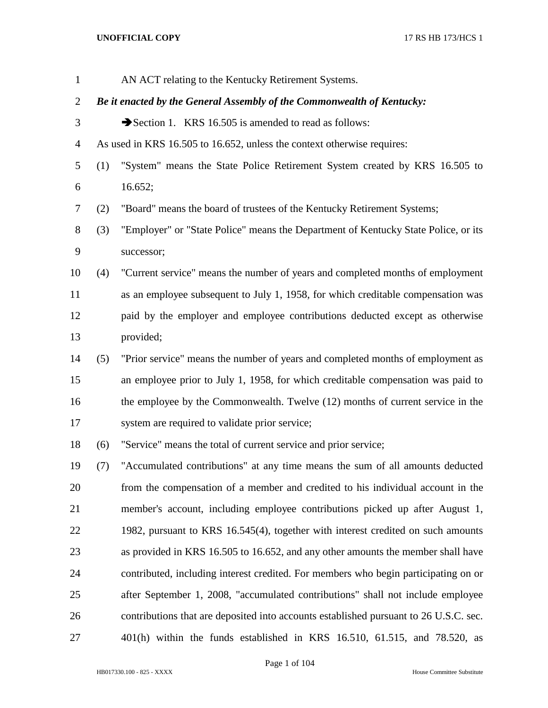| $\mathbf{1}$   |     | AN ACT relating to the Kentucky Retirement Systems.                                   |
|----------------|-----|---------------------------------------------------------------------------------------|
| $\overline{2}$ |     | Be it enacted by the General Assembly of the Commonwealth of Kentucky:                |
| 3              |     | Section 1. KRS 16.505 is amended to read as follows:                                  |
| $\overline{4}$ |     | As used in KRS 16.505 to 16.652, unless the context otherwise requires:               |
| 5              | (1) | "System" means the State Police Retirement System created by KRS 16.505 to            |
| 6              |     | 16.652;                                                                               |
| 7              | (2) | "Board" means the board of trustees of the Kentucky Retirement Systems;               |
| $8\,$          | (3) | "Employer" or "State Police" means the Department of Kentucky State Police, or its    |
| $\mathbf{9}$   |     | successor;                                                                            |
| 10             | (4) | "Current service" means the number of years and completed months of employment        |
| 11             |     | as an employee subsequent to July 1, 1958, for which creditable compensation was      |
| 12             |     | paid by the employer and employee contributions deducted except as otherwise          |
| 13             |     | provided;                                                                             |
| 14             | (5) | "Prior service" means the number of years and completed months of employment as       |
| 15             |     | an employee prior to July 1, 1958, for which creditable compensation was paid to      |
| 16             |     | the employee by the Commonwealth. Twelve (12) months of current service in the        |
| 17             |     | system are required to validate prior service;                                        |
| 18             | (6) | "Service" means the total of current service and prior service;                       |
| 19             | (7) | "Accumulated contributions" at any time means the sum of all amounts deducted         |
| 20             |     | from the compensation of a member and credited to his individual account in the       |
| 21             |     | member's account, including employee contributions picked up after August 1,          |
| 22             |     | 1982, pursuant to KRS 16.545(4), together with interest credited on such amounts      |
| 23             |     | as provided in KRS 16.505 to 16.652, and any other amounts the member shall have      |
| 24             |     | contributed, including interest credited. For members who begin participating on or   |
| 25             |     | after September 1, 2008, "accumulated contributions" shall not include employee       |
| 26             |     | contributions that are deposited into accounts established pursuant to 26 U.S.C. sec. |
| 27             |     | $401(h)$ within the funds established in KRS 16.510, 61.515, and 78.520, as           |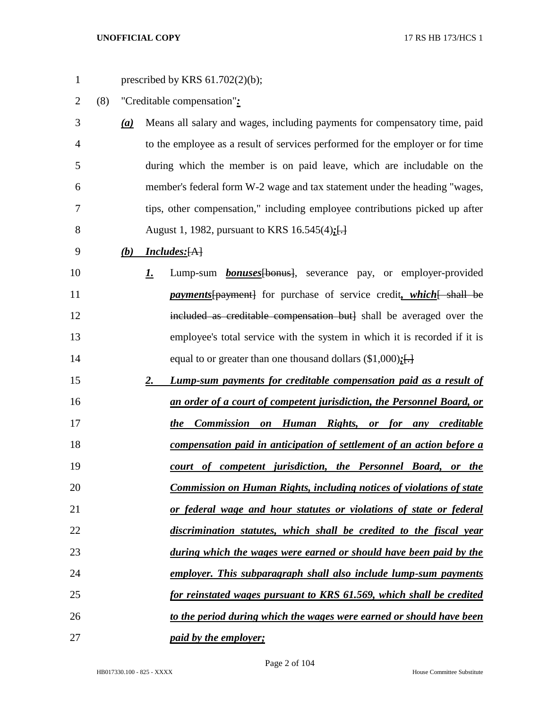| $\mathbf{1}$ |     |                   | prescribed by KRS $61.702(2)(b)$ ;                                                |
|--------------|-----|-------------------|-----------------------------------------------------------------------------------|
| 2            | (8) |                   | "Creditable compensation":                                                        |
| 3            |     | $\underline{(a)}$ | Means all salary and wages, including payments for compensatory time, paid        |
| 4            |     |                   | to the employee as a result of services performed for the employer or for time    |
| 5            |     |                   | during which the member is on paid leave, which are includable on the             |
| 6            |     |                   | member's federal form W-2 wage and tax statement under the heading "wages,        |
| 7            |     |                   | tips, other compensation," including employee contributions picked up after       |
| 8            |     |                   | August 1, 1982, pursuant to KRS 16.545(4):[-]                                     |
| 9            |     | (b)               | <b>Includes:</b> [A]                                                              |
| 10           |     |                   | Lump-sum <i>bonuses</i> [bonus], severance pay, or employer-provided<br><u>I.</u> |
| 11           |     |                   | <i>payments</i> [payment] for purchase of service credit, which [ shall be        |
| 12           |     |                   | included as creditable compensation but] shall be averaged over the               |
| 13           |     |                   | employee's total service with the system in which it is recorded if it is         |
| 14           |     |                   | equal to or greater than one thousand dollars $(\$1,000)$ :[]                     |
| 15           |     |                   | Lump-sum payments for creditable compensation paid as a result of<br>2.           |
| 16           |     |                   | an order of a court of competent jurisdiction, the Personnel Board, or            |
| 17           |     |                   | the Commission on Human Rights, or for any creditable                             |
| 18           |     |                   | compensation paid in anticipation of settlement of an action before a             |
| 19           |     |                   | court of competent jurisdiction, the Personnel Board, or the                      |
| 20           |     |                   | Commission on Human Rights, including notices of violations of state              |
| 21           |     |                   | or federal wage and hour statutes or violations of state or federal               |
| 22           |     |                   | discrimination statutes, which shall be credited to the fiscal year               |
| 23           |     |                   | during which the wages were earned or should have been paid by the                |
| 24           |     |                   | employer. This subparagraph shall also include lump-sum payments                  |
| 25           |     |                   | for reinstated wages pursuant to KRS 61.569, which shall be credited              |
| 26           |     |                   | to the period during which the wages were earned or should have been              |
| 27           |     |                   | paid by the employer;                                                             |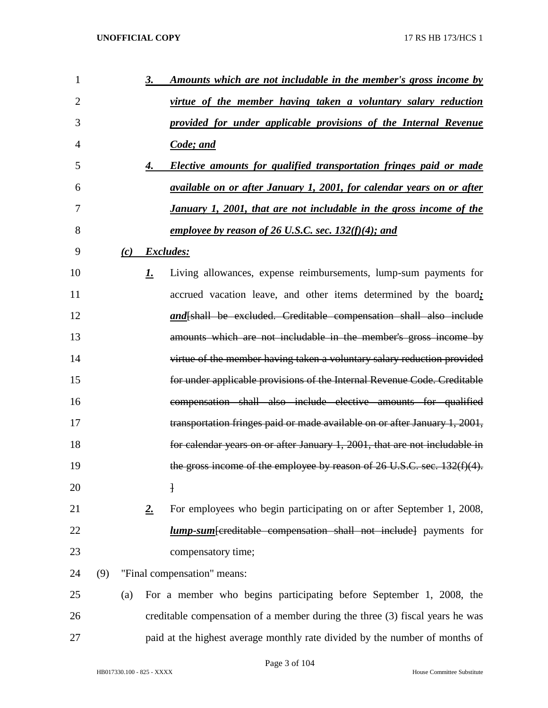| 1              |     |     | 3. | Amounts which are not includable in the member's gross income by             |
|----------------|-----|-----|----|------------------------------------------------------------------------------|
| $\overline{2}$ |     |     |    | virtue of the member having taken a voluntary salary reduction               |
| 3              |     |     |    | provided for under applicable provisions of the Internal Revenue             |
| $\overline{4}$ |     |     |    | Code; and                                                                    |
| 5              |     |     | 4. | Elective amounts for qualified transportation fringes paid or made           |
| 6              |     |     |    | available on or after January 1, 2001, for calendar years on or after        |
| 7              |     |     |    | January 1, 2001, that are not includable in the gross income of the          |
| 8              |     |     |    | employee by reason of 26 U.S.C. sec. $132(f)(4)$ ; and                       |
| 9              |     |     |    | $(c)$ Excludes:                                                              |
| 10             |     |     | 1. | Living allowances, expense reimbursements, lump-sum payments for             |
| 11             |     |     |    | accrued vacation leave, and other items determined by the board;             |
| 12             |     |     |    | and [shall be excluded. Creditable compensation shall also include           |
| 13             |     |     |    | amounts which are not includable in the member's gross income by             |
| 14             |     |     |    | virtue of the member having taken a voluntary salary reduction provided      |
| 15             |     |     |    | for under applicable provisions of the Internal Revenue Code. Creditable     |
| 16             |     |     |    | compensation shall also include elective amounts for qualified               |
| 17             |     |     |    | transportation fringes paid or made available on or after January 1, 2001,   |
| 18             |     |     |    | for calendar years on or after January 1, 2001, that are not includable in   |
| 19             |     |     |    | the gross income of the employee by reason of 26 U.S.C. sec. 132(f)(4).      |
| 20             |     |     |    | ł                                                                            |
| 21             |     |     | 2. | For employees who begin participating on or after September 1, 2008,         |
| 22             |     |     |    | <b>lump-sum</b> [creditable compensation shall not include] payments for     |
| 23             |     |     |    | compensatory time;                                                           |
| 24             | (9) |     |    | "Final compensation" means:                                                  |
| 25             |     | (a) |    | For a member who begins participating before September 1, 2008, the          |
| 26             |     |     |    | creditable compensation of a member during the three (3) fiscal years he was |
| 27             |     |     |    | paid at the highest average monthly rate divided by the number of months of  |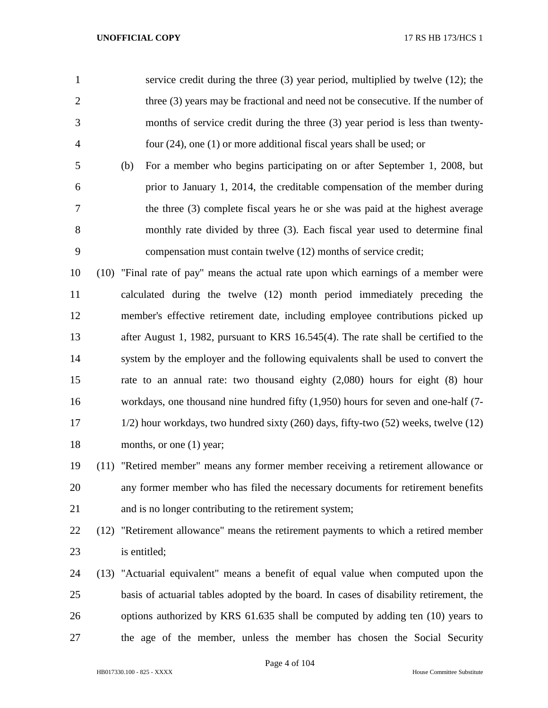|                |     | service credit during the three $(3)$ year period, multiplied by twelve $(12)$ ; the |
|----------------|-----|--------------------------------------------------------------------------------------|
| 2              |     | three (3) years may be fractional and need not be consecutive. If the number of      |
| 3              |     | months of service credit during the three (3) year period is less than twenty-       |
| $\overline{4}$ |     | four $(24)$ , one $(1)$ or more additional fiscal years shall be used; or            |
| 5 <sup>5</sup> | (b) | For a member who begins participating on or after September 1, 2008, but             |

 prior to January 1, 2014, the creditable compensation of the member during the three (3) complete fiscal years he or she was paid at the highest average monthly rate divided by three (3). Each fiscal year used to determine final compensation must contain twelve (12) months of service credit;

 (10) "Final rate of pay" means the actual rate upon which earnings of a member were calculated during the twelve (12) month period immediately preceding the member's effective retirement date, including employee contributions picked up after August 1, 1982, pursuant to KRS 16.545(4). The rate shall be certified to the system by the employer and the following equivalents shall be used to convert the rate to an annual rate: two thousand eighty (2,080) hours for eight (8) hour workdays, one thousand nine hundred fifty (1,950) hours for seven and one-half (7- 1/2) hour workdays, two hundred sixty (260) days, fifty-two (52) weeks, twelve (12) 18 months, or one (1) year;

# (11) "Retired member" means any former member receiving a retirement allowance or any former member who has filed the necessary documents for retirement benefits and is no longer contributing to the retirement system;

 (12) "Retirement allowance" means the retirement payments to which a retired member is entitled;

 (13) "Actuarial equivalent" means a benefit of equal value when computed upon the basis of actuarial tables adopted by the board. In cases of disability retirement, the options authorized by KRS 61.635 shall be computed by adding ten (10) years to the age of the member, unless the member has chosen the Social Security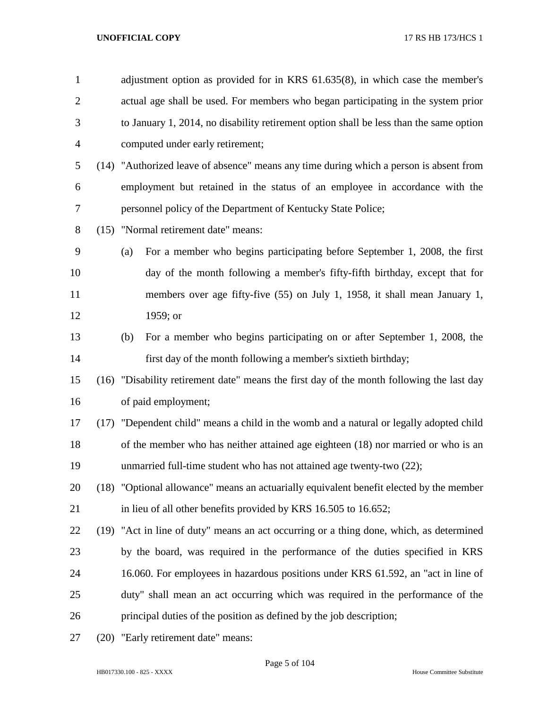| $\mathbf{1}$   | adjustment option as provided for in KRS 61.635(8), in which case the member's            |
|----------------|-------------------------------------------------------------------------------------------|
| $\overline{2}$ | actual age shall be used. For members who began participating in the system prior         |
| 3              | to January 1, 2014, no disability retirement option shall be less than the same option    |
| $\overline{4}$ | computed under early retirement;                                                          |
| 5              | (14) "Authorized leave of absence" means any time during which a person is absent from    |
| 6              | employment but retained in the status of an employee in accordance with the               |
| 7              | personnel policy of the Department of Kentucky State Police;                              |
| $8\phantom{.}$ | (15) "Normal retirement date" means:                                                      |
| 9              | For a member who begins participating before September 1, 2008, the first<br>(a)          |
| 10             | day of the month following a member's fifty-fifth birthday, except that for               |
| 11             | members over age fifty-five (55) on July 1, 1958, it shall mean January 1,                |
| 12             | 1959; or                                                                                  |
| 13             | For a member who begins participating on or after September 1, 2008, the<br>(b)           |
| 14             | first day of the month following a member's sixtieth birthday;                            |
| 15             | (16) "Disability retirement date" means the first day of the month following the last day |
| 16             | of paid employment;                                                                       |
| 17             | (17) "Dependent child" means a child in the womb and a natural or legally adopted child   |
| 18             | of the member who has neither attained age eighteen (18) nor married or who is an         |
| 19             | unmarried full-time student who has not attained age twenty-two (22);                     |
| 20             | (18) "Optional allowance" means an actuarially equivalent benefit elected by the member   |
| 21             | in lieu of all other benefits provided by KRS 16.505 to 16.652;                           |
| 22             | (19) "Act in line of duty" means an act occurring or a thing done, which, as determined   |
| 23             | by the board, was required in the performance of the duties specified in KRS              |
| 24             | 16.060. For employees in hazardous positions under KRS 61.592, an "act in line of         |
| 25             | duty" shall mean an act occurring which was required in the performance of the            |
| 26             | principal duties of the position as defined by the job description;                       |
| 27             | (20) "Early retirement date" means:                                                       |

## Page 5 of 104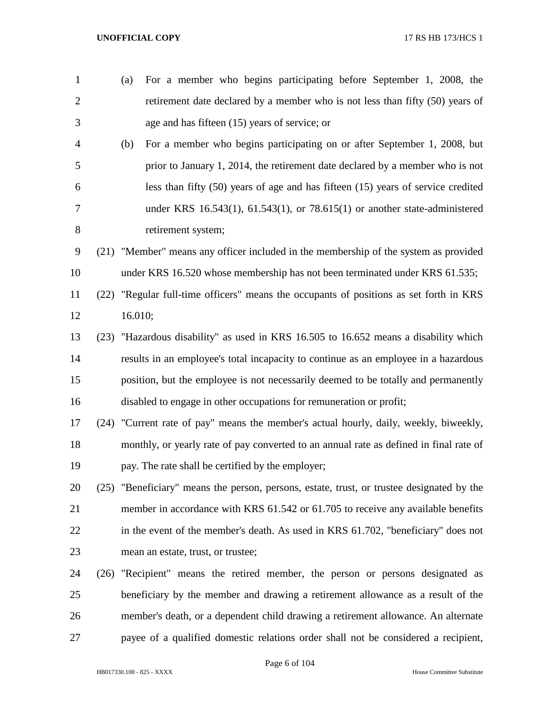(a) For a member who begins participating before September 1, 2008, the retirement date declared by a member who is not less than fifty (50) years of age and has fifteen (15) years of service; or (b) For a member who begins participating on or after September 1, 2008, but prior to January 1, 2014, the retirement date declared by a member who is not less than fifty (50) years of age and has fifteen (15) years of service credited under KRS 16.543(1), 61.543(1), or 78.615(1) or another state-administered retirement system; (21) "Member" means any officer included in the membership of the system as provided under KRS 16.520 whose membership has not been terminated under KRS 61.535; (22) "Regular full-time officers" means the occupants of positions as set forth in KRS 16.010; (23) "Hazardous disability" as used in KRS 16.505 to 16.652 means a disability which results in an employee's total incapacity to continue as an employee in a hazardous position, but the employee is not necessarily deemed to be totally and permanently disabled to engage in other occupations for remuneration or profit; (24) "Current rate of pay" means the member's actual hourly, daily, weekly, biweekly, monthly, or yearly rate of pay converted to an annual rate as defined in final rate of pay. The rate shall be certified by the employer; (25) "Beneficiary" means the person, persons, estate, trust, or trustee designated by the member in accordance with KRS 61.542 or 61.705 to receive any available benefits in the event of the member's death. As used in KRS 61.702, "beneficiary" does not mean an estate, trust, or trustee; (26) "Recipient" means the retired member, the person or persons designated as beneficiary by the member and drawing a retirement allowance as a result of the member's death, or a dependent child drawing a retirement allowance. An alternate payee of a qualified domestic relations order shall not be considered a recipient,

Page 6 of 104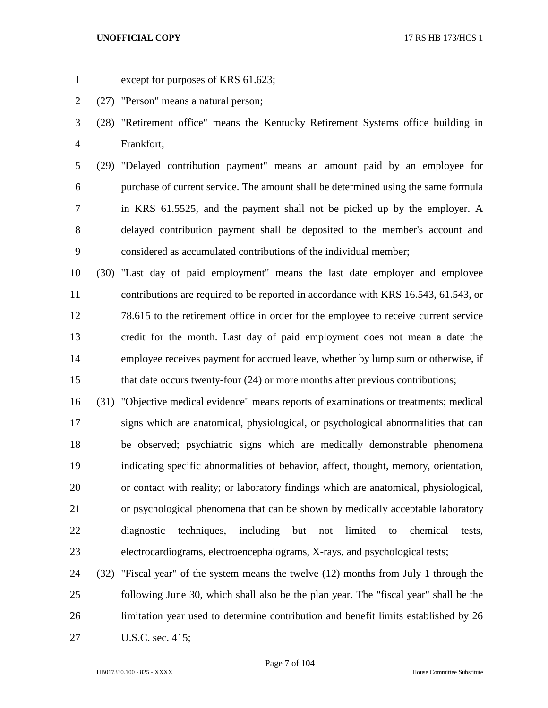- 
- except for purposes of KRS 61.623;
- (27) "Person" means a natural person;
- (28) "Retirement office" means the Kentucky Retirement Systems office building in Frankfort;
- (29) "Delayed contribution payment" means an amount paid by an employee for purchase of current service. The amount shall be determined using the same formula in KRS 61.5525, and the payment shall not be picked up by the employer. A delayed contribution payment shall be deposited to the member's account and considered as accumulated contributions of the individual member;
- (30) "Last day of paid employment" means the last date employer and employee contributions are required to be reported in accordance with KRS 16.543, 61.543, or 78.615 to the retirement office in order for the employee to receive current service credit for the month. Last day of paid employment does not mean a date the employee receives payment for accrued leave, whether by lump sum or otherwise, if that date occurs twenty-four (24) or more months after previous contributions;
- (31) "Objective medical evidence" means reports of examinations or treatments; medical signs which are anatomical, physiological, or psychological abnormalities that can be observed; psychiatric signs which are medically demonstrable phenomena indicating specific abnormalities of behavior, affect, thought, memory, orientation, or contact with reality; or laboratory findings which are anatomical, physiological, or psychological phenomena that can be shown by medically acceptable laboratory diagnostic techniques, including but not limited to chemical tests, electrocardiograms, electroencephalograms, X-rays, and psychological tests;
- (32) "Fiscal year" of the system means the twelve (12) months from July 1 through the following June 30, which shall also be the plan year. The "fiscal year" shall be the limitation year used to determine contribution and benefit limits established by 26 U.S.C. sec. 415;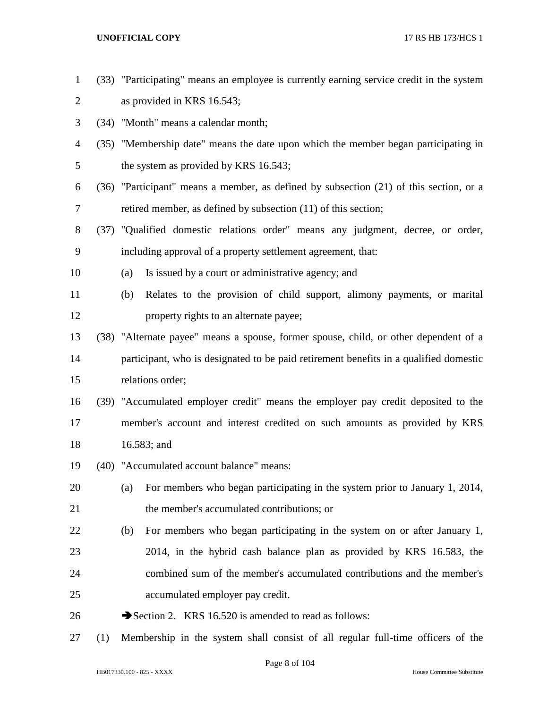- (33) "Participating" means an employee is currently earning service credit in the system as provided in KRS 16.543;
- (34) "Month" means a calendar month;
- (35) "Membership date" means the date upon which the member began participating in 5 the system as provided by KRS 16.543;
- (36) "Participant" means a member, as defined by subsection (21) of this section, or a retired member, as defined by subsection (11) of this section;
- (37) "Qualified domestic relations order" means any judgment, decree, or order, including approval of a property settlement agreement, that:
- (a) Is issued by a court or administrative agency; and
- (b) Relates to the provision of child support, alimony payments, or marital **property rights to an alternate payee;**
- (38) "Alternate payee" means a spouse, former spouse, child, or other dependent of a participant, who is designated to be paid retirement benefits in a qualified domestic relations order;
- (39) "Accumulated employer credit" means the employer pay credit deposited to the member's account and interest credited on such amounts as provided by KRS 16.583; and
- (40) "Accumulated account balance" means:
- (a) For members who began participating in the system prior to January 1, 2014, the member's accumulated contributions; or
- (b) For members who began participating in the system on or after January 1, 2014, in the hybrid cash balance plan as provided by KRS 16.583, the combined sum of the member's accumulated contributions and the member's accumulated employer pay credit.
- 26  $\rightarrow$  Section 2. KRS 16.520 is amended to read as follows:
- (1) Membership in the system shall consist of all regular full-time officers of the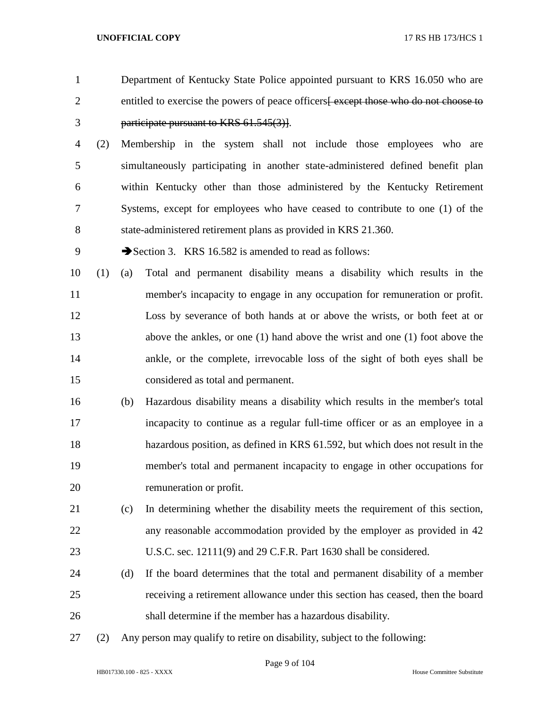| $\overline{2}$ |     |     | entitled to exercise the powers of peace officers except those who do not choose to |
|----------------|-----|-----|-------------------------------------------------------------------------------------|
| 3              |     |     | participate pursuant to KRS 61.545(3).                                              |
| $\overline{4}$ | (2) |     | Membership in the system shall not include those employees who are                  |
| 5              |     |     | simultaneously participating in another state-administered defined benefit plan     |
| 6              |     |     | within Kentucky other than those administered by the Kentucky Retirement            |
| 7              |     |     | Systems, except for employees who have ceased to contribute to one (1) of the       |
| 8              |     |     | state-administered retirement plans as provided in KRS 21.360.                      |
| 9              |     |     | Section 3. KRS 16.582 is amended to read as follows:                                |
| 10             | (1) | (a) | Total and permanent disability means a disability which results in the              |
| 11             |     |     | member's incapacity to engage in any occupation for remuneration or profit.         |
| 12             |     |     | Loss by severance of both hands at or above the wrists, or both feet at or          |
| 13             |     |     | above the ankles, or one (1) hand above the wrist and one (1) foot above the        |
| 14             |     |     | ankle, or the complete, irrevocable loss of the sight of both eyes shall be         |
| 15             |     |     | considered as total and permanent.                                                  |
| 16             |     | (b) | Hazardous disability means a disability which results in the member's total         |
| 17             |     |     | incapacity to continue as a regular full-time officer or as an employee in a        |
| 18             |     |     | hazardous position, as defined in KRS 61.592, but which does not result in the      |
| 19             |     |     | member's total and permanent incapacity to engage in other occupations for          |
| 20             |     |     | remuneration or profit.                                                             |
| 21             |     | (c) | In determining whether the disability meets the requirement of this section,        |
| 22             |     |     | any reasonable accommodation provided by the employer as provided in 42             |
| 23             |     |     | U.S.C. sec. 12111(9) and 29 C.F.R. Part 1630 shall be considered.                   |
| 24             |     | (d) | If the board determines that the total and permanent disability of a member         |
| 25             |     |     | receiving a retirement allowance under this section has ceased, then the board      |
|                |     |     |                                                                                     |

Department of Kentucky State Police appointed pursuant to KRS 16.050 who are

- shall determine if the member has a hazardous disability.
- (2) Any person may qualify to retire on disability, subject to the following: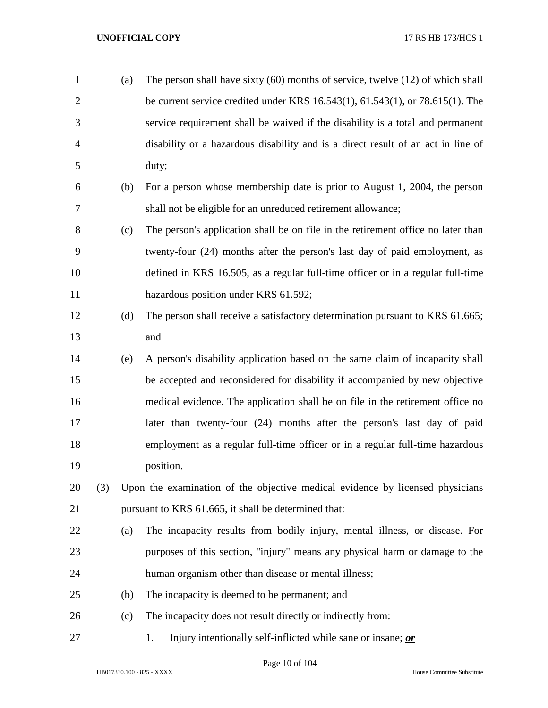| $\mathbf{1}$   |     | (a) | The person shall have sixty $(60)$ months of service, twelve $(12)$ of which shall     |
|----------------|-----|-----|----------------------------------------------------------------------------------------|
| $\overline{2}$ |     |     | be current service credited under KRS $16.543(1)$ , $61.543(1)$ , or $78.615(1)$ . The |
| 3              |     |     | service requirement shall be waived if the disability is a total and permanent         |
| $\overline{4}$ |     |     | disability or a hazardous disability and is a direct result of an act in line of       |
| 5              |     |     | duty;                                                                                  |
| 6              |     | (b) | For a person whose membership date is prior to August 1, 2004, the person              |
| 7              |     |     | shall not be eligible for an unreduced retirement allowance;                           |
| 8              |     | (c) | The person's application shall be on file in the retirement office no later than       |
| 9              |     |     | twenty-four (24) months after the person's last day of paid employment, as             |
| 10             |     |     | defined in KRS 16.505, as a regular full-time officer or in a regular full-time        |
| 11             |     |     | hazardous position under KRS 61.592;                                                   |
| 12             |     | (d) | The person shall receive a satisfactory determination pursuant to KRS 61.665;          |
| 13             |     |     | and                                                                                    |
| 14             |     | (e) | A person's disability application based on the same claim of incapacity shall          |
| 15             |     |     | be accepted and reconsidered for disability if accompanied by new objective            |
| 16             |     |     | medical evidence. The application shall be on file in the retirement office no         |
| 17             |     |     | later than twenty-four (24) months after the person's last day of paid                 |
| 18             |     |     | employment as a regular full-time officer or in a regular full-time hazardous          |
| 19             |     |     | position.                                                                              |
| 20             | (3) |     | Upon the examination of the objective medical evidence by licensed physicians          |
| 21             |     |     | pursuant to KRS 61.665, it shall be determined that:                                   |
| 22             |     | (a) | The incapacity results from bodily injury, mental illness, or disease. For             |
| 23             |     |     | purposes of this section, "injury" means any physical harm or damage to the            |
| 24             |     |     | human organism other than disease or mental illness;                                   |
| 25             |     | (b) | The incapacity is deemed to be permanent; and                                          |
| 26             |     | (c) | The incapacity does not result directly or indirectly from:                            |
| 27             |     |     | Injury intentionally self-inflicted while sane or insane; or<br>1.                     |

Page 10 of 104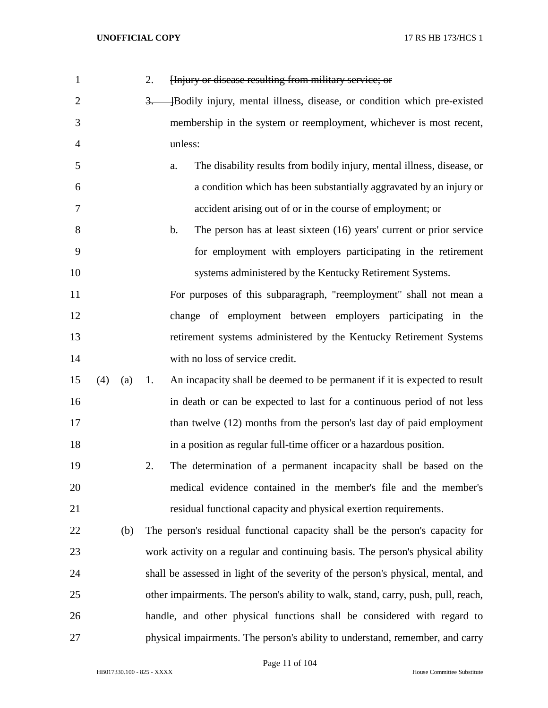| $\mathbf{1}$   |     |     | 2.<br>Hnjury or disease resulting from military service; or                       |
|----------------|-----|-----|-----------------------------------------------------------------------------------|
| $\overline{2}$ |     |     | Bodily injury, mental illness, disease, or condition which pre-existed<br>$3-$    |
| 3              |     |     | membership in the system or reemployment, whichever is most recent,               |
| 4              |     |     | unless:                                                                           |
| 5              |     |     | The disability results from bodily injury, mental illness, disease, or<br>a.      |
| 6              |     |     | a condition which has been substantially aggravated by an injury or               |
| 7              |     |     | accident arising out of or in the course of employment; or                        |
| 8              |     |     | b.<br>The person has at least sixteen (16) years' current or prior service        |
| 9              |     |     | for employment with employers participating in the retirement                     |
| 10             |     |     | systems administered by the Kentucky Retirement Systems.                          |
| 11             |     |     | For purposes of this subparagraph, "reemployment" shall not mean a                |
| 12             |     |     | change of employment between employers participating in the                       |
| 13             |     |     | retirement systems administered by the Kentucky Retirement Systems                |
| 14             |     |     | with no loss of service credit.                                                   |
| 15             | (4) | (a) | An incapacity shall be deemed to be permanent if it is expected to result<br>1.   |
| 16             |     |     | in death or can be expected to last for a continuous period of not less           |
| 17             |     |     | than twelve (12) months from the person's last day of paid employment             |
| 18             |     |     | in a position as regular full-time officer or a hazardous position.               |
| 19             |     |     | The determination of a permanent incapacity shall be based on the<br>2.           |
| 20             |     |     | medical evidence contained in the member's file and the member's                  |
| 21             |     |     | residual functional capacity and physical exertion requirements.                  |
| 22             |     | (b) | The person's residual functional capacity shall be the person's capacity for      |
| 23             |     |     | work activity on a regular and continuing basis. The person's physical ability    |
| 24             |     |     | shall be assessed in light of the severity of the person's physical, mental, and  |
| 25             |     |     | other impairments. The person's ability to walk, stand, carry, push, pull, reach, |
| 26             |     |     | handle, and other physical functions shall be considered with regard to           |
| 27             |     |     | physical impairments. The person's ability to understand, remember, and carry     |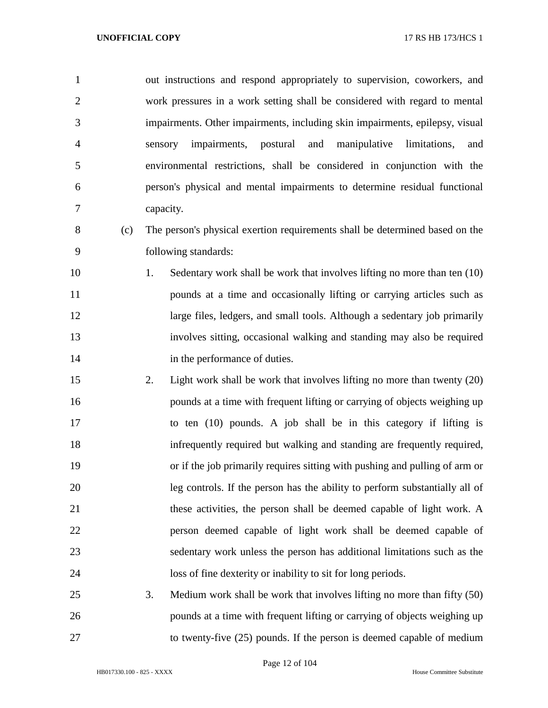| $\mathbf{1}$   | out instructions and respond appropriately to supervision, coworkers, and      |
|----------------|--------------------------------------------------------------------------------|
| $\overline{2}$ | work pressures in a work setting shall be considered with regard to mental     |
| 3              | impairments. Other impairments, including skin impairments, epilepsy, visual   |
| $\overline{4}$ | impairments, postural and manipulative<br>limitations,<br>sensory<br>and       |
| 5              | environmental restrictions, shall be considered in conjunction with the        |
| 6              | person's physical and mental impairments to determine residual functional      |
| 7              | capacity.                                                                      |
| 8<br>(c)       | The person's physical exertion requirements shall be determined based on the   |
| 9              | following standards:                                                           |
| 10             | 1.<br>Sedentary work shall be work that involves lifting no more than ten (10) |
| 11             | pounds at a time and occasionally lifting or carrying articles such as         |
| 12             | large files, ledgers, and small tools. Although a sedentary job primarily      |
| 13             | involves sitting, occasional walking and standing may also be required         |
| 14             | in the performance of duties.                                                  |
| 15             | 2.<br>Light work shall be work that involves lifting no more than twenty (20)  |
| 16             | pounds at a time with frequent lifting or carrying of objects weighing up      |
| 17             | to ten (10) pounds. A job shall be in this category if lifting is              |
| 18             | infrequently required but walking and standing are frequently required,        |
| 19             | or if the job primarily requires sitting with pushing and pulling of arm or    |
| 20             | leg controls. If the person has the ability to perform substantially all of    |
| 21             | these activities, the person shall be deemed capable of light work. A          |
| 22             | person deemed capable of light work shall be deemed capable of                 |
| 23             | sedentary work unless the person has additional limitations such as the        |
| 24             | loss of fine dexterity or inability to sit for long periods.                   |
| 25             | 3.<br>Medium work shall be work that involves lifting no more than fifty (50)  |
| 26             | pounds at a time with frequent lifting or carrying of objects weighing up      |
| 27             | to twenty-five (25) pounds. If the person is deemed capable of medium          |

Page 12 of 104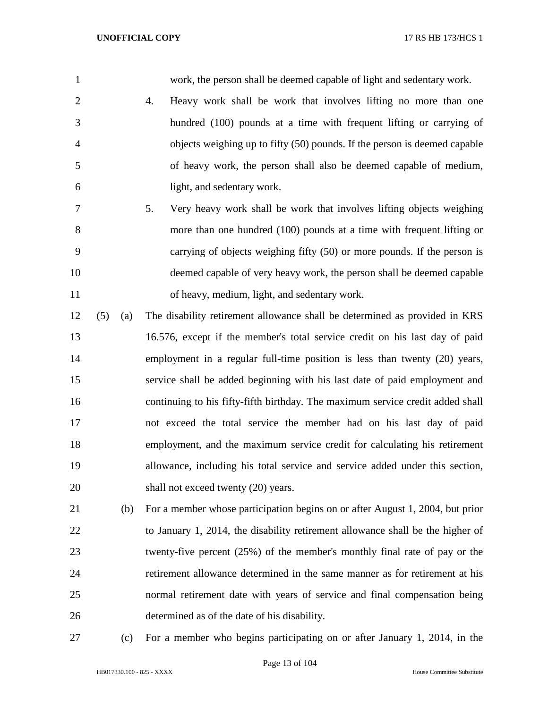work, the person shall be deemed capable of light and sedentary work.

- 4. Heavy work shall be work that involves lifting no more than one hundred (100) pounds at a time with frequent lifting or carrying of objects weighing up to fifty (50) pounds. If the person is deemed capable of heavy work, the person shall also be deemed capable of medium, light, and sedentary work.
- 5. Very heavy work shall be work that involves lifting objects weighing more than one hundred (100) pounds at a time with frequent lifting or carrying of objects weighing fifty (50) or more pounds. If the person is deemed capable of very heavy work, the person shall be deemed capable of heavy, medium, light, and sedentary work.
- (5) (a) The disability retirement allowance shall be determined as provided in KRS 16.576, except if the member's total service credit on his last day of paid employment in a regular full-time position is less than twenty (20) years, service shall be added beginning with his last date of paid employment and continuing to his fifty-fifth birthday. The maximum service credit added shall not exceed the total service the member had on his last day of paid employment, and the maximum service credit for calculating his retirement allowance, including his total service and service added under this section, 20 shall not exceed twenty (20) years.
- (b) For a member whose participation begins on or after August 1, 2004, but prior to January 1, 2014, the disability retirement allowance shall be the higher of twenty-five percent (25%) of the member's monthly final rate of pay or the retirement allowance determined in the same manner as for retirement at his normal retirement date with years of service and final compensation being determined as of the date of his disability.
- 

(c) For a member who begins participating on or after January 1, 2014, in the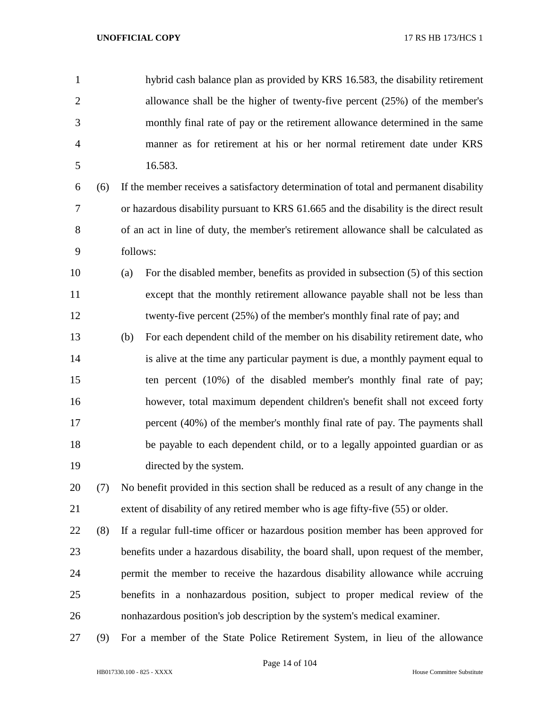hybrid cash balance plan as provided by KRS 16.583, the disability retirement allowance shall be the higher of twenty-five percent (25%) of the member's monthly final rate of pay or the retirement allowance determined in the same manner as for retirement at his or her normal retirement date under KRS 16.583.

 (6) If the member receives a satisfactory determination of total and permanent disability or hazardous disability pursuant to KRS 61.665 and the disability is the direct result of an act in line of duty, the member's retirement allowance shall be calculated as follows:

 (a) For the disabled member, benefits as provided in subsection (5) of this section except that the monthly retirement allowance payable shall not be less than twenty-five percent (25%) of the member's monthly final rate of pay; and

 (b) For each dependent child of the member on his disability retirement date, who is alive at the time any particular payment is due, a monthly payment equal to ten percent (10%) of the disabled member's monthly final rate of pay; however, total maximum dependent children's benefit shall not exceed forty percent (40%) of the member's monthly final rate of pay. The payments shall be payable to each dependent child, or to a legally appointed guardian or as directed by the system.

 (7) No benefit provided in this section shall be reduced as a result of any change in the extent of disability of any retired member who is age fifty-five (55) or older.

 (8) If a regular full-time officer or hazardous position member has been approved for benefits under a hazardous disability, the board shall, upon request of the member, permit the member to receive the hazardous disability allowance while accruing benefits in a nonhazardous position, subject to proper medical review of the nonhazardous position's job description by the system's medical examiner.

(9) For a member of the State Police Retirement System, in lieu of the allowance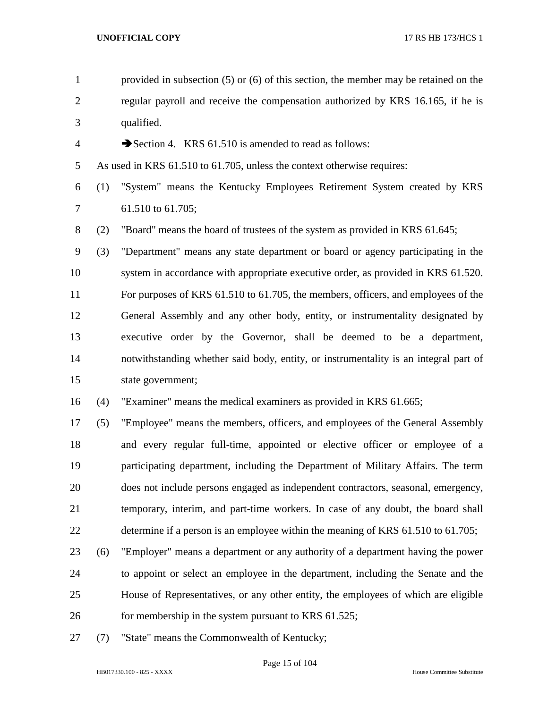| $\mathbf{1}$   |     | provided in subsection $(5)$ or $(6)$ of this section, the member may be retained on the |
|----------------|-----|------------------------------------------------------------------------------------------|
| $\overline{2}$ |     | regular payroll and receive the compensation authorized by KRS 16.165, if he is          |
| 3              |     | qualified.                                                                               |
| $\overline{4}$ |     | Section 4. KRS 61.510 is amended to read as follows:                                     |
| 5              |     | As used in KRS 61.510 to 61.705, unless the context otherwise requires:                  |
| 6              | (1) | "System" means the Kentucky Employees Retirement System created by KRS                   |
| 7              |     | 61.510 to 61.705;                                                                        |
| $8\,$          | (2) | "Board" means the board of trustees of the system as provided in KRS 61.645;             |
| 9              | (3) | "Department" means any state department or board or agency participating in the          |
| 10             |     | system in accordance with appropriate executive order, as provided in KRS 61.520.        |
| 11             |     | For purposes of KRS 61.510 to 61.705, the members, officers, and employees of the        |
| 12             |     | General Assembly and any other body, entity, or instrumentality designated by            |
| 13             |     | executive order by the Governor, shall be deemed to be a department,                     |
| 14             |     | notwithstanding whether said body, entity, or instrumentality is an integral part of     |
| 15             |     | state government;                                                                        |
| 16             | (4) | "Examiner" means the medical examiners as provided in KRS 61.665;                        |
| 17             | (5) | "Employee" means the members, officers, and employees of the General Assembly            |
| 18             |     | and every regular full-time, appointed or elective officer or employee of a              |
| 19             |     | participating department, including the Department of Military Affairs. The term         |
| 20             |     | does not include persons engaged as independent contractors, seasonal, emergency,        |
| 21             |     | temporary, interim, and part-time workers. In case of any doubt, the board shall         |
| 22             |     | determine if a person is an employee within the meaning of KRS 61.510 to 61.705;         |
| 23             | (6) | "Employer" means a department or any authority of a department having the power          |
| 24             |     | to appoint or select an employee in the department, including the Senate and the         |
| 25             |     | House of Representatives, or any other entity, the employees of which are eligible       |
| 26             |     | for membership in the system pursuant to KRS 61.525;                                     |
| 27             | (7) | "State" means the Commonwealth of Kentucky;                                              |

Page 15 of 104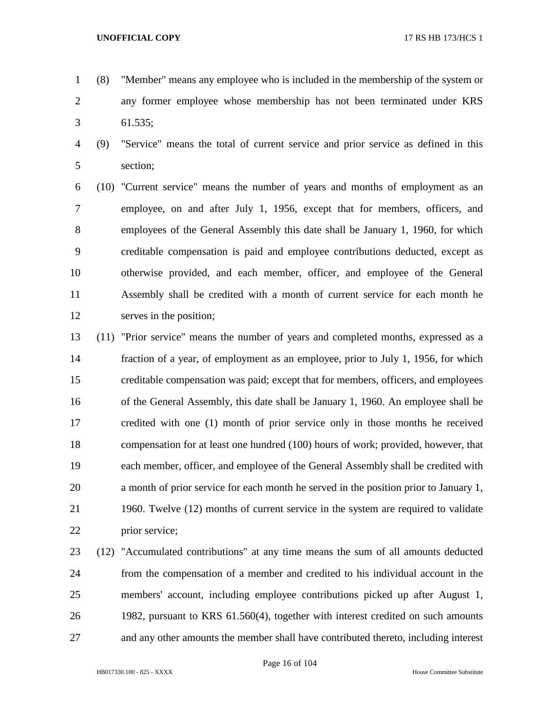- (8) "Member" means any employee who is included in the membership of the system or any former employee whose membership has not been terminated under KRS 61.535;
- (9) "Service" means the total of current service and prior service as defined in this section;

 (10) "Current service" means the number of years and months of employment as an employee, on and after July 1, 1956, except that for members, officers, and employees of the General Assembly this date shall be January 1, 1960, for which creditable compensation is paid and employee contributions deducted, except as otherwise provided, and each member, officer, and employee of the General Assembly shall be credited with a month of current service for each month he serves in the position;

 (11) "Prior service" means the number of years and completed months, expressed as a fraction of a year, of employment as an employee, prior to July 1, 1956, for which creditable compensation was paid; except that for members, officers, and employees of the General Assembly, this date shall be January 1, 1960. An employee shall be credited with one (1) month of prior service only in those months he received compensation for at least one hundred (100) hours of work; provided, however, that each member, officer, and employee of the General Assembly shall be credited with a month of prior service for each month he served in the position prior to January 1, 1960. Twelve (12) months of current service in the system are required to validate prior service;

 (12) "Accumulated contributions" at any time means the sum of all amounts deducted from the compensation of a member and credited to his individual account in the members' account, including employee contributions picked up after August 1, 1982, pursuant to KRS 61.560(4), together with interest credited on such amounts and any other amounts the member shall have contributed thereto, including interest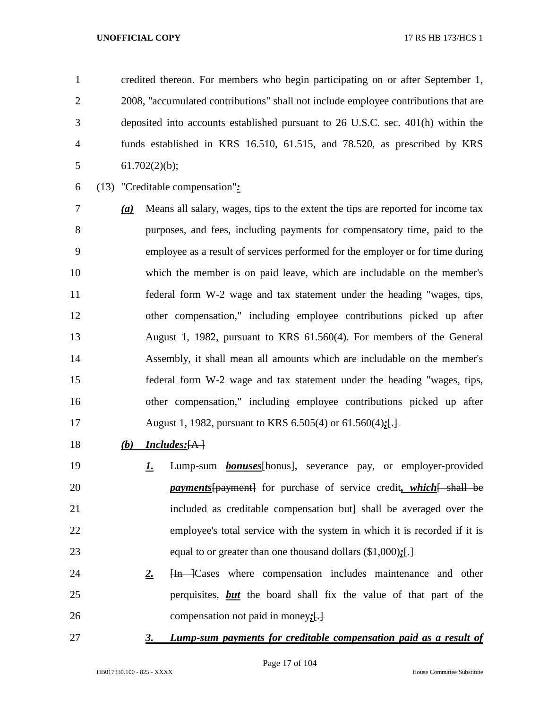credited thereon. For members who begin participating on or after September 1, 2008, "accumulated contributions" shall not include employee contributions that are deposited into accounts established pursuant to 26 U.S.C. sec. 401(h) within the funds established in KRS 16.510, 61.515, and 78.520, as prescribed by KRS 5 61.702 $(2)(b)$ ;

(13) "Creditable compensation"*:*

 *(a)* Means all salary, wages, tips to the extent the tips are reported for income tax purposes, and fees, including payments for compensatory time, paid to the employee as a result of services performed for the employer or for time during which the member is on paid leave, which are includable on the member's federal form W-2 wage and tax statement under the heading "wages, tips, other compensation," including employee contributions picked up after August 1, 1982, pursuant to KRS 61.560(4). For members of the General Assembly, it shall mean all amounts which are includable on the member's federal form W-2 wage and tax statement under the heading "wages, tips, other compensation," including employee contributions picked up after August 1, 1982, pursuant to KRS 6.505(4) or 61.560(4)*;*[.]

- *(b) Includes:*[A ]
- *1.* Lump-sum *bonuses*[bonus], severance pay, or employer-provided *payments* [payment] for purchase of service credit, which [ shall be 21 included as creditable compensation but] shall be averaged over the employee's total service with the system in which it is recorded if it is equal to or greater than one thousand dollars (\$1,000)*;*[.]
- 24 **2. H<sub>n</sub>** Cases where compensation includes maintenance and other perquisites, *but* the board shall fix the value of that part of the compensation not paid in money*;*[.]
- 

## *3. Lump-sum payments for creditable compensation paid as a result of*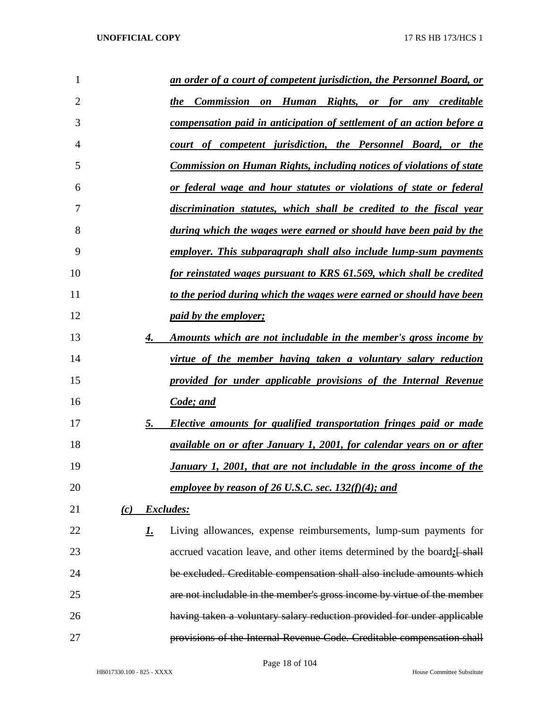| 1              |     |           | <u>an order of a court of competent jurisdiction, the Personnel Board, or</u> |
|----------------|-----|-----------|-------------------------------------------------------------------------------|
| $\overline{2}$ |     |           | the Commission on Human Rights, or for any creditable                         |
| 3              |     |           | compensation paid in anticipation of settlement of an action before a         |
| 4              |     |           | court of competent jurisdiction, the Personnel Board, or the                  |
| 5              |     |           | <b>Commission on Human Rights, including notices of violations of state</b>   |
| 6              |     |           | or federal wage and hour statutes or violations of state or federal           |
| 7              |     |           | discrimination statutes, which shall be credited to the fiscal year           |
| 8              |     |           | during which the wages were earned or should have been paid by the            |
| 9              |     |           | employer. This subparagraph shall also include lump-sum payments              |
| 10             |     |           | for reinstated wages pursuant to KRS 61.569, which shall be credited          |
| 11             |     |           | to the period during which the wages were earned or should have been          |
| 12             |     |           | <i>paid by the employer;</i>                                                  |
| 13             |     | 4.        | <u>Amounts which are not includable in the member's gross income by</u>       |
| 14             |     |           | virtue of the member having taken a voluntary salary reduction                |
| 15             |     |           | provided for under applicable provisions of the Internal Revenue              |
| 16             |     |           | Code; and                                                                     |
| 17             |     | 5.        | Elective amounts for qualified transportation fringes paid or made            |
| 18             |     |           | <i>available on or after January 1, 2001, for calendar years on or after</i>  |
| 19             |     |           | <u>January 1, 2001, that are not includable in the gross income of the</u>    |
| 20             |     |           | employee by reason of 26 U.S.C. sec. $132(f)(4)$ ; and                        |
| 21             | (c) |           | Excludes:                                                                     |
| 22             |     | <u>1.</u> | Living allowances, expense reimbursements, lump-sum payments for              |
| 23             |     |           | accrued vacation leave, and other items determined by the board; [shall]      |
| 24             |     |           | be excluded. Creditable compensation shall also include amounts which         |
| 25             |     |           | are not includable in the member's gross income by virtue of the member       |
| 26             |     |           | having taken a voluntary salary reduction provided for under applicable       |
| 27             |     |           | provisions of the Internal Revenue Code. Creditable compensation shall        |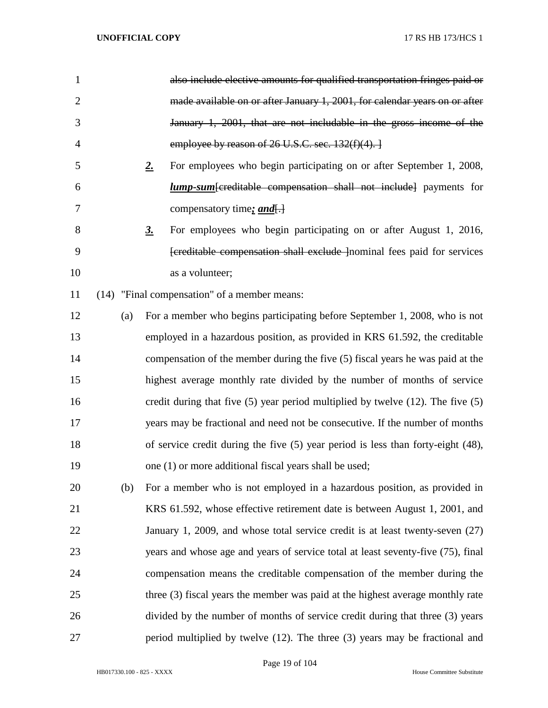| 1              |     | also include elective amounts for qualified transportation fringes paid or             |
|----------------|-----|----------------------------------------------------------------------------------------|
| $\overline{2}$ |     | made available on or after January 1, 2001, for calendar years on or after             |
| 3              |     | January 1, 2001, that are not includable in the gross income of the                    |
| 4              |     | employee by reason of $26$ U.S.C. sec. $132(f)(4)$ .                                   |
| 5              |     | For employees who begin participating on or after September 1, 2008,<br>2.             |
| 6              |     | <i>lump-sum</i> [creditable compensation shall not include] payments for               |
| 7              |     | compensatory time: <i>and</i> .                                                        |
| 8              |     | For employees who begin participating on or after August 1, 2016,<br><u>3.</u>         |
| 9              |     | [creditable compensation shall exclude ] nominal fees paid for services                |
| 10             |     | as a volunteer;                                                                        |
| 11             |     | (14) "Final compensation" of a member means:                                           |
| 12             | (a) | For a member who begins participating before September 1, 2008, who is not             |
| 13             |     | employed in a hazardous position, as provided in KRS 61.592, the creditable            |
| 14             |     | compensation of the member during the five (5) fiscal years he was paid at the         |
| 15             |     | highest average monthly rate divided by the number of months of service                |
| 16             |     | credit during that five $(5)$ year period multiplied by twelve $(12)$ . The five $(5)$ |
| 17             |     | years may be fractional and need not be consecutive. If the number of months           |
| 18             |     | of service credit during the five $(5)$ year period is less than forty-eight $(48)$ ,  |
| 19             |     | one (1) or more additional fiscal years shall be used;                                 |
| 20             | (b) | For a member who is not employed in a hazardous position, as provided in               |
| 21             |     | KRS 61.592, whose effective retirement date is between August 1, 2001, and             |
| 22             |     | January 1, 2009, and whose total service credit is at least twenty-seven $(27)$        |
| 23             |     | years and whose age and years of service total at least seventy-five (75), final       |
| 24             |     | compensation means the creditable compensation of the member during the                |
| 25             |     | three (3) fiscal years the member was paid at the highest average monthly rate         |
| 26             |     | divided by the number of months of service credit during that three (3) years          |
| 27             |     | period multiplied by twelve (12). The three (3) years may be fractional and            |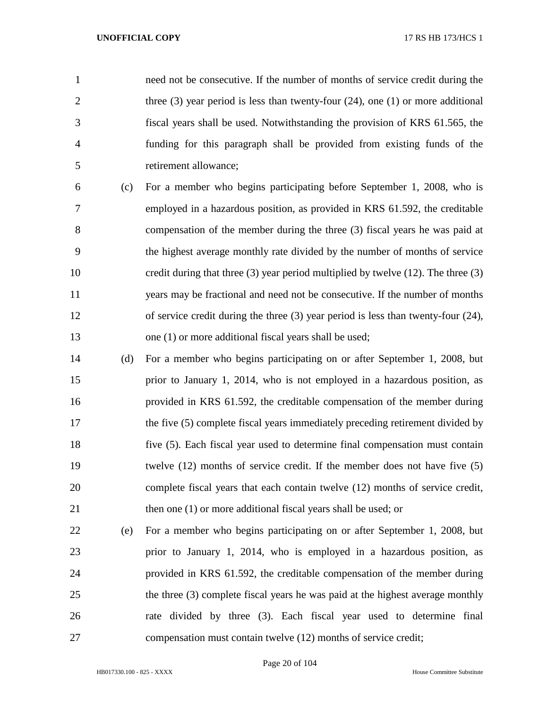need not be consecutive. If the number of months of service credit during the 2 three (3) year period is less than twenty-four (24), one (1) or more additional fiscal years shall be used. Notwithstanding the provision of KRS 61.565, the funding for this paragraph shall be provided from existing funds of the retirement allowance;

- (c) For a member who begins participating before September 1, 2008, who is employed in a hazardous position, as provided in KRS 61.592, the creditable compensation of the member during the three (3) fiscal years he was paid at the highest average monthly rate divided by the number of months of service credit during that three (3) year period multiplied by twelve (12). The three (3) years may be fractional and need not be consecutive. If the number of months of service credit during the three (3) year period is less than twenty-four (24), 13 one (1) or more additional fiscal years shall be used;
- (d) For a member who begins participating on or after September 1, 2008, but prior to January 1, 2014, who is not employed in a hazardous position, as provided in KRS 61.592, the creditable compensation of the member during 17 the five (5) complete fiscal years immediately preceding retirement divided by five (5). Each fiscal year used to determine final compensation must contain twelve (12) months of service credit. If the member does not have five (5) complete fiscal years that each contain twelve (12) months of service credit, 21 then one (1) or more additional fiscal years shall be used; or
- (e) For a member who begins participating on or after September 1, 2008, but prior to January 1, 2014, who is employed in a hazardous position, as provided in KRS 61.592, the creditable compensation of the member during the three (3) complete fiscal years he was paid at the highest average monthly rate divided by three (3). Each fiscal year used to determine final compensation must contain twelve (12) months of service credit;
	- HB017330.100 825 XXXX House Committee Substitute

Page 20 of 104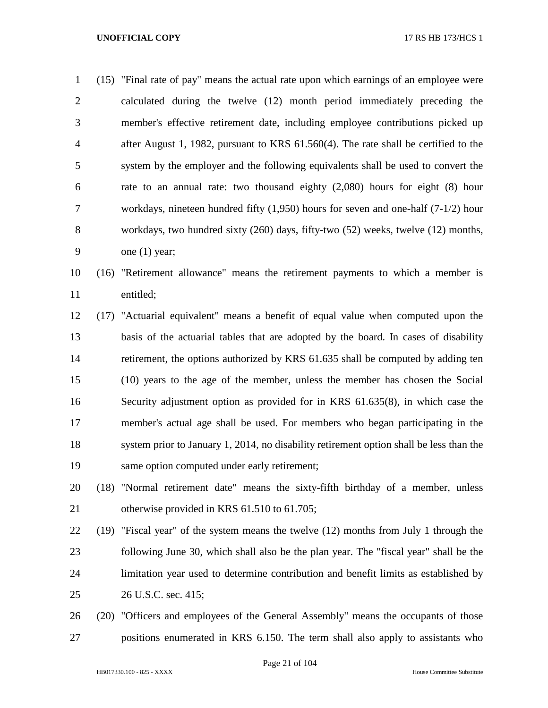(15) "Final rate of pay" means the actual rate upon which earnings of an employee were calculated during the twelve (12) month period immediately preceding the member's effective retirement date, including employee contributions picked up after August 1, 1982, pursuant to KRS 61.560(4). The rate shall be certified to the system by the employer and the following equivalents shall be used to convert the rate to an annual rate: two thousand eighty (2,080) hours for eight (8) hour workdays, nineteen hundred fifty (1,950) hours for seven and one-half (7-1/2) hour workdays, two hundred sixty (260) days, fifty-two (52) weeks, twelve (12) months, one (1) year; (16) "Retirement allowance" means the retirement payments to which a member is

entitled;

 (17) "Actuarial equivalent" means a benefit of equal value when computed upon the basis of the actuarial tables that are adopted by the board. In cases of disability retirement, the options authorized by KRS 61.635 shall be computed by adding ten (10) years to the age of the member, unless the member has chosen the Social Security adjustment option as provided for in KRS 61.635(8), in which case the member's actual age shall be used. For members who began participating in the system prior to January 1, 2014, no disability retirement option shall be less than the same option computed under early retirement;

- (18) "Normal retirement date" means the sixty-fifth birthday of a member, unless 21 otherwise provided in KRS 61.510 to 61.705;
- (19) "Fiscal year" of the system means the twelve (12) months from July 1 through the following June 30, which shall also be the plan year. The "fiscal year" shall be the limitation year used to determine contribution and benefit limits as established by 26 U.S.C. sec. 415;
- (20) "Officers and employees of the General Assembly" means the occupants of those positions enumerated in KRS 6.150. The term shall also apply to assistants who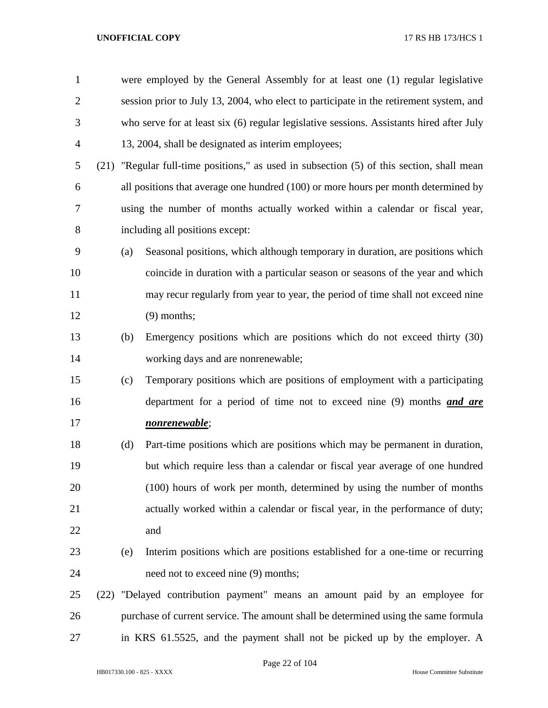| $\mathbf{1}$   |      |                                                                                        | were employed by the General Assembly for at least one (1) regular legislative           |  |  |  |
|----------------|------|----------------------------------------------------------------------------------------|------------------------------------------------------------------------------------------|--|--|--|
| $\overline{2}$ |      | session prior to July 13, 2004, who elect to participate in the retirement system, and |                                                                                          |  |  |  |
| 3              |      |                                                                                        | who serve for at least six (6) regular legislative sessions. Assistants hired after July |  |  |  |
| $\overline{4}$ |      |                                                                                        | 13, 2004, shall be designated as interim employees;                                      |  |  |  |
| 5              | (21) |                                                                                        | "Regular full-time positions," as used in subsection (5) of this section, shall mean     |  |  |  |
| 6              |      |                                                                                        | all positions that average one hundred (100) or more hours per month determined by       |  |  |  |
| 7              |      |                                                                                        | using the number of months actually worked within a calendar or fiscal year,             |  |  |  |
| 8              |      |                                                                                        | including all positions except:                                                          |  |  |  |
| 9              |      | (a)                                                                                    | Seasonal positions, which although temporary in duration, are positions which            |  |  |  |
| 10             |      |                                                                                        | coincide in duration with a particular season or seasons of the year and which           |  |  |  |
| 11             |      |                                                                                        | may recur regularly from year to year, the period of time shall not exceed nine          |  |  |  |
| 12             |      |                                                                                        | $(9)$ months;                                                                            |  |  |  |
| 13             |      | (b)                                                                                    | Emergency positions which are positions which do not exceed thirty (30)                  |  |  |  |
| 14             |      |                                                                                        | working days and are nonrenewable;                                                       |  |  |  |
| 15             |      | (c)                                                                                    | Temporary positions which are positions of employment with a participating               |  |  |  |
| 16             |      |                                                                                        | department for a period of time not to exceed nine (9) months <i>and are</i>             |  |  |  |
| 17             |      |                                                                                        | <u>nonrenewable;</u>                                                                     |  |  |  |
| 18             |      | (d)                                                                                    | Part-time positions which are positions which may be permanent in duration,              |  |  |  |
| 19             |      |                                                                                        | but which require less than a calendar or fiscal year average of one hundred             |  |  |  |
| 20             |      |                                                                                        | (100) hours of work per month, determined by using the number of months                  |  |  |  |
| 21             |      |                                                                                        | actually worked within a calendar or fiscal year, in the performance of duty;            |  |  |  |
| 22             |      |                                                                                        | and                                                                                      |  |  |  |
| 23             |      | (e)                                                                                    | Interim positions which are positions established for a one-time or recurring            |  |  |  |
| 24             |      |                                                                                        | need not to exceed nine (9) months;                                                      |  |  |  |
| 25             |      |                                                                                        | (22) "Delayed contribution payment" means an amount paid by an employee for              |  |  |  |
| 26             |      |                                                                                        | purchase of current service. The amount shall be determined using the same formula       |  |  |  |
| 27             |      |                                                                                        | in KRS 61.5525, and the payment shall not be picked up by the employer. A                |  |  |  |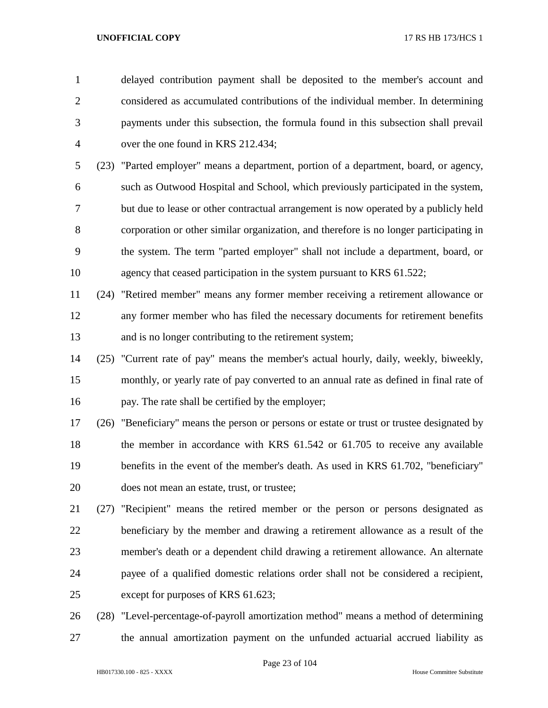delayed contribution payment shall be deposited to the member's account and considered as accumulated contributions of the individual member. In determining payments under this subsection, the formula found in this subsection shall prevail over the one found in KRS 212.434;

 (23) "Parted employer" means a department, portion of a department, board, or agency, such as Outwood Hospital and School, which previously participated in the system, but due to lease or other contractual arrangement is now operated by a publicly held corporation or other similar organization, and therefore is no longer participating in the system. The term "parted employer" shall not include a department, board, or 10 agency that ceased participation in the system pursuant to KRS 61.522;

- (24) "Retired member" means any former member receiving a retirement allowance or any former member who has filed the necessary documents for retirement benefits and is no longer contributing to the retirement system;
- (25) "Current rate of pay" means the member's actual hourly, daily, weekly, biweekly, monthly, or yearly rate of pay converted to an annual rate as defined in final rate of pay. The rate shall be certified by the employer;
- (26) "Beneficiary" means the person or persons or estate or trust or trustee designated by 18 the member in accordance with KRS 61.542 or 61.705 to receive any available benefits in the event of the member's death. As used in KRS 61.702, "beneficiary" does not mean an estate, trust, or trustee;
- (27) "Recipient" means the retired member or the person or persons designated as beneficiary by the member and drawing a retirement allowance as a result of the member's death or a dependent child drawing a retirement allowance. An alternate payee of a qualified domestic relations order shall not be considered a recipient, except for purposes of KRS 61.623;
- (28) "Level-percentage-of-payroll amortization method" means a method of determining the annual amortization payment on the unfunded actuarial accrued liability as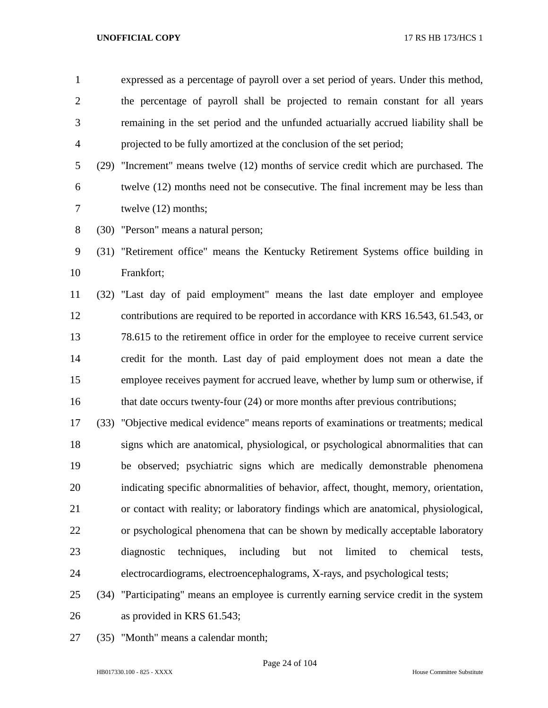expressed as a percentage of payroll over a set period of years. Under this method, the percentage of payroll shall be projected to remain constant for all years remaining in the set period and the unfunded actuarially accrued liability shall be projected to be fully amortized at the conclusion of the set period;

 (29) "Increment" means twelve (12) months of service credit which are purchased. The twelve (12) months need not be consecutive. The final increment may be less than twelve (12) months;

(30) "Person" means a natural person;

 (31) "Retirement office" means the Kentucky Retirement Systems office building in Frankfort;

 (32) "Last day of paid employment" means the last date employer and employee contributions are required to be reported in accordance with KRS 16.543, 61.543, or 78.615 to the retirement office in order for the employee to receive current service credit for the month. Last day of paid employment does not mean a date the employee receives payment for accrued leave, whether by lump sum or otherwise, if 16 that date occurs twenty-four (24) or more months after previous contributions;

 (33) "Objective medical evidence" means reports of examinations or treatments; medical signs which are anatomical, physiological, or psychological abnormalities that can be observed; psychiatric signs which are medically demonstrable phenomena indicating specific abnormalities of behavior, affect, thought, memory, orientation, or contact with reality; or laboratory findings which are anatomical, physiological, or psychological phenomena that can be shown by medically acceptable laboratory diagnostic techniques, including but not limited to chemical tests, electrocardiograms, electroencephalograms, X-rays, and psychological tests;

 (34) "Participating" means an employee is currently earning service credit in the system as provided in KRS 61.543;

(35) "Month" means a calendar month;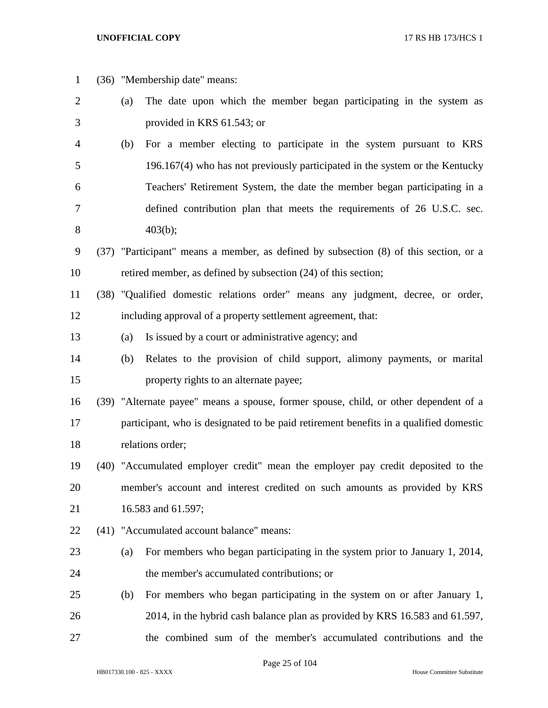| $\mathbf{1}$ |     | (36) "Membership date" means:                                                         |
|--------------|-----|---------------------------------------------------------------------------------------|
| 2            | (a) | The date upon which the member began participating in the system as                   |
| 3            |     | provided in KRS 61.543; or                                                            |
| 4            | (b) | For a member electing to participate in the system pursuant to KRS                    |
| 5            |     | 196.167(4) who has not previously participated in the system or the Kentucky          |
| 6            |     | Teachers' Retirement System, the date the member began participating in a             |
| 7            |     | defined contribution plan that meets the requirements of 26 U.S.C. sec.               |
| 8            |     | 403(b);                                                                               |
| 9            |     | (37) "Participant" means a member, as defined by subsection (8) of this section, or a |
| 10           |     | retired member, as defined by subsection (24) of this section;                        |
| 11           |     | (38) "Qualified domestic relations order" means any judgment, decree, or order,       |
| 12           |     | including approval of a property settlement agreement, that:                          |
| 13           | (a) | Is issued by a court or administrative agency; and                                    |
| 14           | (b) | Relates to the provision of child support, alimony payments, or marital               |
| 15           |     | property rights to an alternate payee;                                                |
| 16           |     | (39) "Alternate payee" means a spouse, former spouse, child, or other dependent of a  |
| 17           |     | participant, who is designated to be paid retirement benefits in a qualified domestic |
| 18           |     | relations order;                                                                      |
| 19           |     | (40) "Accumulated employer credit" mean the employer pay credit deposited to the      |
| 20           |     | member's account and interest credited on such amounts as provided by KRS             |
| 21           |     | 16.583 and 61.597;                                                                    |
| 22           |     | (41) "Accumulated account balance" means:                                             |
| 23           | (a) | For members who began participating in the system prior to January 1, 2014,           |
| 24           |     | the member's accumulated contributions; or                                            |
| 25           | (b) | For members who began participating in the system on or after January 1,              |
| 26           |     | 2014, in the hybrid cash balance plan as provided by KRS 16.583 and 61.597,           |
| 27           |     | the combined sum of the member's accumulated contributions and the                    |

Page 25 of 104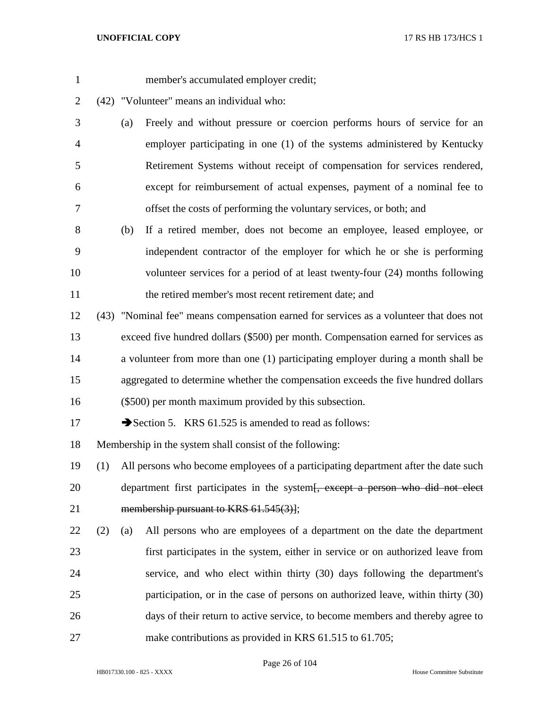- member's accumulated employer credit;
- (42) "Volunteer" means an individual who:
- (a) Freely and without pressure or coercion performs hours of service for an employer participating in one (1) of the systems administered by Kentucky Retirement Systems without receipt of compensation for services rendered, except for reimbursement of actual expenses, payment of a nominal fee to offset the costs of performing the voluntary services, or both; and
- (b) If a retired member, does not become an employee, leased employee, or independent contractor of the employer for which he or she is performing volunteer services for a period of at least twenty-four (24) months following 11 the retired member's most recent retirement date; and
- (43) "Nominal fee" means compensation earned for services as a volunteer that does not exceed five hundred dollars (\$500) per month. Compensation earned for services as a volunteer from more than one (1) participating employer during a month shall be aggregated to determine whether the compensation exceeds the five hundred dollars (\$500) per month maximum provided by this subsection.
- 17 Section 5. KRS 61.525 is amended to read as follows:

Membership in the system shall consist of the following:

- (1) All persons who become employees of a participating department after the date such 20 department first participates in the system<del>[, except a person who did not elect</del> 21 membership pursuant to KRS 61.545(3)];
- (2) (a) All persons who are employees of a department on the date the department first participates in the system, either in service or on authorized leave from service, and who elect within thirty (30) days following the department's participation, or in the case of persons on authorized leave, within thirty (30) days of their return to active service, to become members and thereby agree to 27 make contributions as provided in KRS 61.515 to 61.705;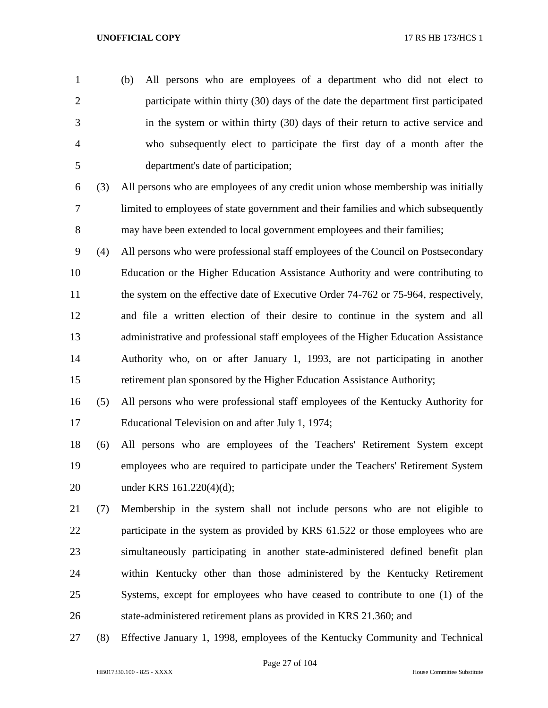- (b) All persons who are employees of a department who did not elect to participate within thirty (30) days of the date the department first participated in the system or within thirty (30) days of their return to active service and who subsequently elect to participate the first day of a month after the department's date of participation;
- (3) All persons who are employees of any credit union whose membership was initially limited to employees of state government and their families and which subsequently 8 may have been extended to local government employees and their families;
- (4) All persons who were professional staff employees of the Council on Postsecondary Education or the Higher Education Assistance Authority and were contributing to 11 the system on the effective date of Executive Order 74-762 or 75-964, respectively, and file a written election of their desire to continue in the system and all administrative and professional staff employees of the Higher Education Assistance Authority who, on or after January 1, 1993, are not participating in another retirement plan sponsored by the Higher Education Assistance Authority;
- (5) All persons who were professional staff employees of the Kentucky Authority for Educational Television on and after July 1, 1974;
- (6) All persons who are employees of the Teachers' Retirement System except employees who are required to participate under the Teachers' Retirement System under KRS 161.220(4)(d);
- (7) Membership in the system shall not include persons who are not eligible to 22 participate in the system as provided by KRS 61.522 or those employees who are simultaneously participating in another state-administered defined benefit plan within Kentucky other than those administered by the Kentucky Retirement Systems, except for employees who have ceased to contribute to one (1) of the state-administered retirement plans as provided in KRS 21.360; and
- (8) Effective January 1, 1998, employees of the Kentucky Community and Technical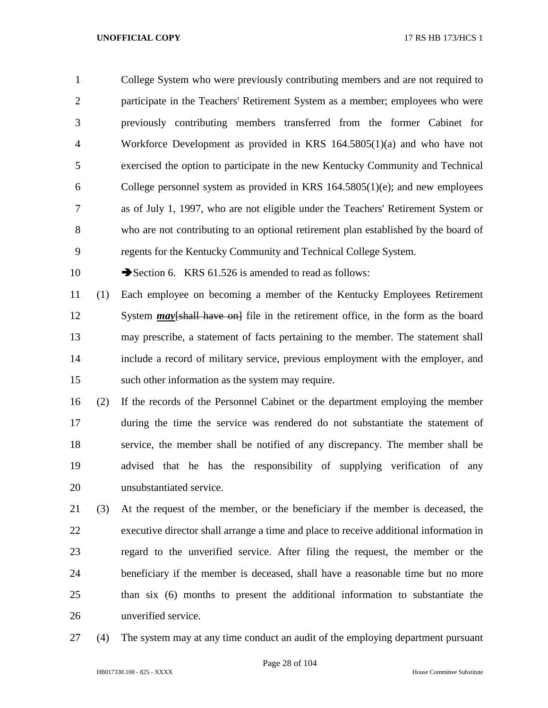College System who were previously contributing members and are not required to participate in the Teachers' Retirement System as a member; employees who were previously contributing members transferred from the former Cabinet for Workforce Development as provided in KRS 164.5805(1)(a) and who have not exercised the option to participate in the new Kentucky Community and Technical College personnel system as provided in KRS 164.5805(1)(e); and new employees as of July 1, 1997, who are not eligible under the Teachers' Retirement System or who are not contributing to an optional retirement plan established by the board of regents for the Kentucky Community and Technical College System.

10 Section 6. KRS 61.526 is amended to read as follows:

 (1) Each employee on becoming a member of the Kentucky Employees Retirement 12 System *may*[shall have on] file in the retirement office, in the form as the board may prescribe, a statement of facts pertaining to the member. The statement shall include a record of military service, previous employment with the employer, and such other information as the system may require.

 (2) If the records of the Personnel Cabinet or the department employing the member during the time the service was rendered do not substantiate the statement of service, the member shall be notified of any discrepancy. The member shall be advised that he has the responsibility of supplying verification of any unsubstantiated service.

 (3) At the request of the member, or the beneficiary if the member is deceased, the executive director shall arrange a time and place to receive additional information in regard to the unverified service. After filing the request, the member or the beneficiary if the member is deceased, shall have a reasonable time but no more than six (6) months to present the additional information to substantiate the unverified service.

(4) The system may at any time conduct an audit of the employing department pursuant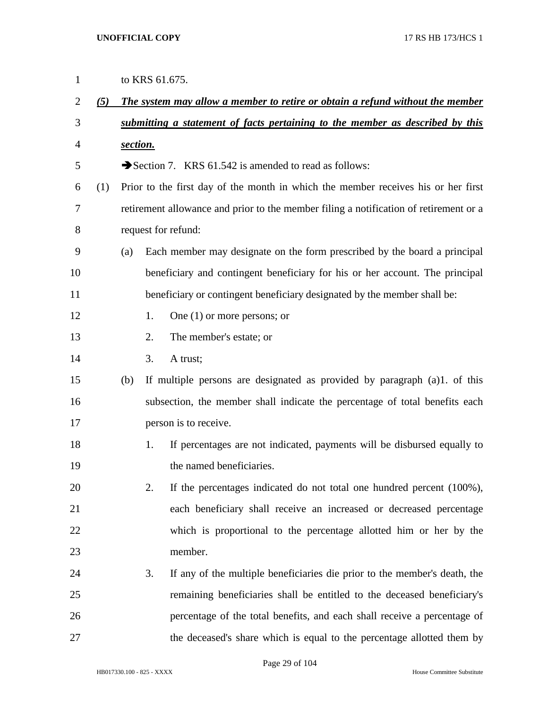| $\mathbf{1}$   |     |          |    | to KRS 61.675.                                                                        |
|----------------|-----|----------|----|---------------------------------------------------------------------------------------|
| $\overline{2}$ | (5) |          |    | The system may allow a member to retire or obtain a refund without the member         |
| 3              |     |          |    | submitting a statement of facts pertaining to the member as described by this         |
| 4              |     | section. |    |                                                                                       |
| 5              |     |          |    | Section 7. KRS 61.542 is amended to read as follows:                                  |
| 6              | (1) |          |    | Prior to the first day of the month in which the member receives his or her first     |
| 7              |     |          |    | retirement allowance and prior to the member filing a notification of retirement or a |
| 8              |     |          |    | request for refund:                                                                   |
| 9              |     | (a)      |    | Each member may designate on the form prescribed by the board a principal             |
| 10             |     |          |    | beneficiary and contingent beneficiary for his or her account. The principal          |
| 11             |     |          |    | beneficiary or contingent beneficiary designated by the member shall be:              |
| 12             |     |          | 1. | One $(1)$ or more persons; or                                                         |
| 13             |     |          | 2. | The member's estate; or                                                               |
| 14             |     |          | 3. | A trust;                                                                              |
| 15             |     | (b)      |    | If multiple persons are designated as provided by paragraph (a)1. of this             |
| 16             |     |          |    | subsection, the member shall indicate the percentage of total benefits each           |
| 17             |     |          |    | person is to receive.                                                                 |
| 18             |     |          | 1. | If percentages are not indicated, payments will be disbursed equally to               |
| 19             |     |          |    | the named beneficiaries.                                                              |
| 20             |     |          | 2. | If the percentages indicated do not total one hundred percent (100%),                 |
| 21             |     |          |    | each beneficiary shall receive an increased or decreased percentage                   |
| 22             |     |          |    | which is proportional to the percentage allotted him or her by the                    |
| 23             |     |          |    | member.                                                                               |
| 24             |     |          | 3. | If any of the multiple beneficiaries die prior to the member's death, the             |
| 25             |     |          |    | remaining beneficiaries shall be entitled to the deceased beneficiary's               |
| 26             |     |          |    | percentage of the total benefits, and each shall receive a percentage of              |
| 27             |     |          |    | the deceased's share which is equal to the percentage allotted them by                |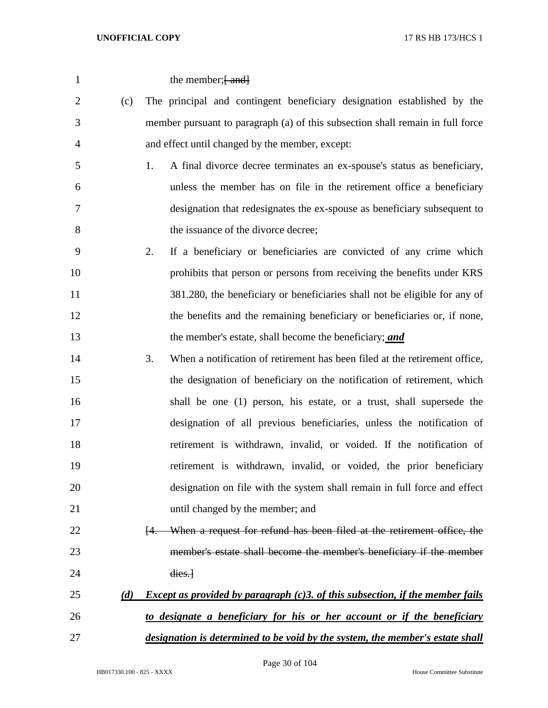| $\mathbf{1}$   |     | the member; [-and]                                                                                |
|----------------|-----|---------------------------------------------------------------------------------------------------|
| $\overline{2}$ | (c) | The principal and contingent beneficiary designation established by the                           |
| 3              |     | member pursuant to paragraph (a) of this subsection shall remain in full force                    |
| 4              |     | and effect until changed by the member, except:                                                   |
| 5              |     | A final divorce decree terminates an ex-spouse's status as beneficiary,<br>1.                     |
| 6              |     | unless the member has on file in the retirement office a beneficiary                              |
| 7              |     | designation that redesignates the ex-spouse as beneficiary subsequent to                          |
| 8              |     | the issuance of the divorce decree;                                                               |
| 9              |     | If a beneficiary or beneficiaries are convicted of any crime which<br>2.                          |
| 10             |     | prohibits that person or persons from receiving the benefits under KRS                            |
| 11             |     | 381.280, the beneficiary or beneficiaries shall not be eligible for any of                        |
| 12             |     | the benefits and the remaining beneficiary or beneficiaries or, if none,                          |
| 13             |     | the member's estate, shall become the beneficiary; and                                            |
| 14             |     | 3.<br>When a notification of retirement has been filed at the retirement office,                  |
| 15             |     | the designation of beneficiary on the notification of retirement, which                           |
| 16             |     | shall be one (1) person, his estate, or a trust, shall supersede the                              |
| 17             |     | designation of all previous beneficiaries, unless the notification of                             |
| 18             |     | retirement is withdrawn, invalid, or voided. If the notification of                               |
| 19             |     | retirement is withdrawn, invalid, or voided, the prior beneficiary                                |
| 20             |     | designation on file with the system shall remain in full force and effect                         |
| 21             |     | until changed by the member; and                                                                  |
| 22             |     | When a request for refund has been filed at the retirement office, the<br>H.                      |
| 23             |     | member's estate shall become the member's beneficiary if the member                               |
| 24             |     | dies.                                                                                             |
| 25             | (d) | <i>Except as provided by paragraph <math>(c)</math>3. of this subsection, if the member fails</i> |
| 26             |     | to designate a beneficiary for his or her account or if the beneficiary                           |
| 27             |     | designation is determined to be void by the system, the member's estate shall                     |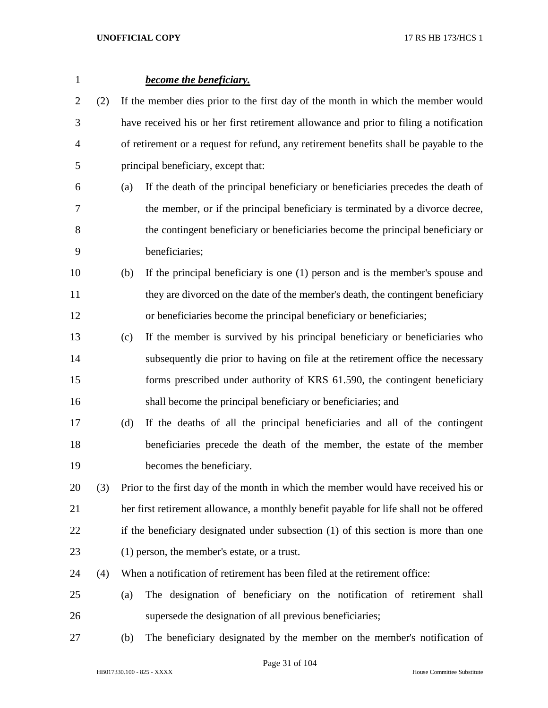| $\mathbf{1}$ |     |                                                                                  | <b>become the beneficiary.</b>                                                          |  |  |
|--------------|-----|----------------------------------------------------------------------------------|-----------------------------------------------------------------------------------------|--|--|
| 2            | (2) | If the member dies prior to the first day of the month in which the member would |                                                                                         |  |  |
| 3            |     |                                                                                  | have received his or her first retirement allowance and prior to filing a notification  |  |  |
| 4            |     |                                                                                  | of retirement or a request for refund, any retirement benefits shall be payable to the  |  |  |
| 5            |     |                                                                                  | principal beneficiary, except that:                                                     |  |  |
| 6            |     | (a)                                                                              | If the death of the principal beneficiary or beneficiaries precedes the death of        |  |  |
| 7            |     |                                                                                  | the member, or if the principal beneficiary is terminated by a divorce decree,          |  |  |
| 8            |     |                                                                                  | the contingent beneficiary or beneficiaries become the principal beneficiary or         |  |  |
| 9            |     |                                                                                  | beneficiaries;                                                                          |  |  |
| 10           |     | (b)                                                                              | If the principal beneficiary is one (1) person and is the member's spouse and           |  |  |
| 11           |     |                                                                                  | they are divorced on the date of the member's death, the contingent beneficiary         |  |  |
| 12           |     |                                                                                  | or beneficiaries become the principal beneficiary or beneficiaries;                     |  |  |
| 13           |     | (c)                                                                              | If the member is survived by his principal beneficiary or beneficiaries who             |  |  |
| 14           |     |                                                                                  | subsequently die prior to having on file at the retirement office the necessary         |  |  |
| 15           |     |                                                                                  | forms prescribed under authority of KRS 61.590, the contingent beneficiary              |  |  |
| 16           |     |                                                                                  | shall become the principal beneficiary or beneficiaries; and                            |  |  |
| 17           |     | (d)                                                                              | If the deaths of all the principal beneficiaries and all of the contingent              |  |  |
| 18           |     |                                                                                  | beneficiaries precede the death of the member, the estate of the member                 |  |  |
| 19           |     |                                                                                  | becomes the beneficiary.                                                                |  |  |
| 20           | (3) |                                                                                  | Prior to the first day of the month in which the member would have received his or      |  |  |
| 21           |     |                                                                                  | her first retirement allowance, a monthly benefit payable for life shall not be offered |  |  |
| 22           |     |                                                                                  | if the beneficiary designated under subsection (1) of this section is more than one     |  |  |
| 23           |     |                                                                                  | (1) person, the member's estate, or a trust.                                            |  |  |
| 24           | (4) |                                                                                  | When a notification of retirement has been filed at the retirement office:              |  |  |
| 25           |     | (a)                                                                              | The designation of beneficiary on the notification of retirement shall                  |  |  |
| 26           |     |                                                                                  | supersede the designation of all previous beneficiaries;                                |  |  |
| 27           |     | (b)                                                                              | The beneficiary designated by the member on the member's notification of                |  |  |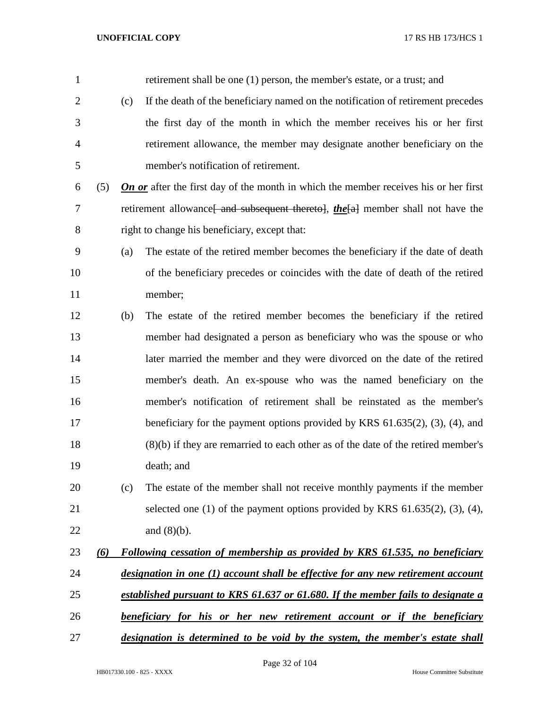retirement shall be one (1) person, the member's estate, or a trust; and (c) If the death of the beneficiary named on the notification of retirement precedes the first day of the month in which the member receives his or her first retirement allowance, the member may designate another beneficiary on the member's notification of retirement. (5) *On or* after the first day of the month in which the member receives his or her first 7 retirement allowance<del>[ and subsequent thereto]</del>, *the*[a] member shall not have the right to change his beneficiary, except that: (a) The estate of the retired member becomes the beneficiary if the date of death of the beneficiary precedes or coincides with the date of death of the retired member; (b) The estate of the retired member becomes the beneficiary if the retired member had designated a person as beneficiary who was the spouse or who later married the member and they were divorced on the date of the retired member's death. An ex-spouse who was the named beneficiary on the member's notification of retirement shall be reinstated as the member's beneficiary for the payment options provided by KRS 61.635(2), (3), (4), and (8)(b) if they are remarried to each other as of the date of the retired member's death; and (c) The estate of the member shall not receive monthly payments if the member selected one (1) of the payment options provided by KRS 61.635(2), (3), (4), and (8)(b). *(6) Following cessation of membership as provided by KRS 61.535, no beneficiary designation in one (1) account shall be effective for any new retirement account established pursuant to KRS 61.637 or 61.680. If the member fails to designate a beneficiary for his or her new retirement account or if the beneficiary designation is determined to be void by the system, the member's estate shall*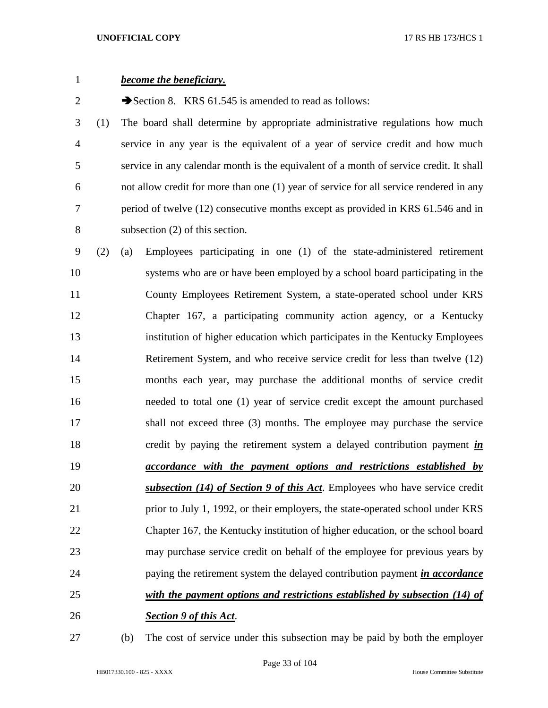| $\mathbf{1}$   |     | <b>become the beneficiary.</b>                                                         |
|----------------|-----|----------------------------------------------------------------------------------------|
| $\overline{2}$ |     | Section 8. KRS $61.545$ is amended to read as follows:                                 |
| 3              | (1) | The board shall determine by appropriate administrative regulations how much           |
| 4              |     | service in any year is the equivalent of a year of service credit and how much         |
| 5              |     | service in any calendar month is the equivalent of a month of service credit. It shall |
| 6              |     | not allow credit for more than one (1) year of service for all service rendered in any |
| 7              |     | period of twelve (12) consecutive months except as provided in KRS 61.546 and in       |
| 8              |     | subsection $(2)$ of this section.                                                      |
| 9              | (2) | Employees participating in one (1) of the state-administered retirement<br>(a)         |
| 10             |     | systems who are or have been employed by a school board participating in the           |
| 11             |     | County Employees Retirement System, a state-operated school under KRS                  |
| 12             |     | Chapter 167, a participating community action agency, or a Kentucky                    |
| 13             |     | institution of higher education which participates in the Kentucky Employees           |
| 14             |     | Retirement System, and who receive service credit for less than twelve (12)            |
| 15             |     | months each year, may purchase the additional months of service credit                 |
| 16             |     | needed to total one (1) year of service credit except the amount purchased             |
| 17             |     | shall not exceed three (3) months. The employee may purchase the service               |
| 18             |     | credit by paying the retirement system a delayed contribution payment in               |
| 19             |     | <i>accordance with the payment options and restrictions established by</i>             |
| 20             |     | subsection (14) of Section 9 of this Act. Employees who have service credit            |
| 21             |     | prior to July 1, 1992, or their employers, the state-operated school under KRS         |
| 22             |     | Chapter 167, the Kentucky institution of higher education, or the school board         |
| 23             |     | may purchase service credit on behalf of the employee for previous years by            |
| 24             |     | paying the retirement system the delayed contribution payment <i>in accordance</i>     |
| 25             |     | with the payment options and restrictions established by subsection (14) of            |
| 26             |     | <b>Section 9 of this Act.</b>                                                          |
|                |     |                                                                                        |

(b) The cost of service under this subsection may be paid by both the employer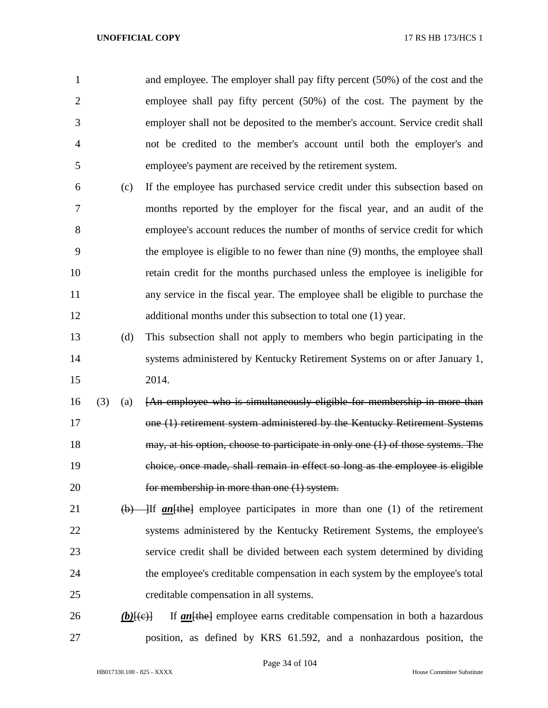and employee. The employer shall pay fifty percent (50%) of the cost and the employee shall pay fifty percent (50%) of the cost. The payment by the employer shall not be deposited to the member's account. Service credit shall not be credited to the member's account until both the employer's and employee's payment are received by the retirement system.

- (c) If the employee has purchased service credit under this subsection based on months reported by the employer for the fiscal year, and an audit of the employee's account reduces the number of months of service credit for which the employee is eligible to no fewer than nine (9) months, the employee shall retain credit for the months purchased unless the employee is ineligible for any service in the fiscal year. The employee shall be eligible to purchase the 12 additional months under this subsection to total one (1) year.
- (d) This subsection shall not apply to members who begin participating in the systems administered by Kentucky Retirement Systems on or after January 1, 2014.
- (3) (a) [An employee who is simultaneously eligible for membership in more than one (1) retirement system administered by the Kentucky Retirement Systems 18 may, at his option, choose to participate in only one (1) of those systems. The choice, once made, shall remain in effect so long as the employee is eligible for membership in more than one (1) system.
- 21 (b) If *an* [the] employee participates in more than one (1) of the retirement systems administered by the Kentucky Retirement Systems, the employee's service credit shall be divided between each system determined by dividing the employee's creditable compensation in each system by the employee's total creditable compensation in all systems.
- 26 *(b)* $\{\leftrightarrow\}$  If *an* $\{\leftrightarrow\}$  employee earns creditable compensation in both a hazardous position, as defined by KRS 61.592, and a nonhazardous position, the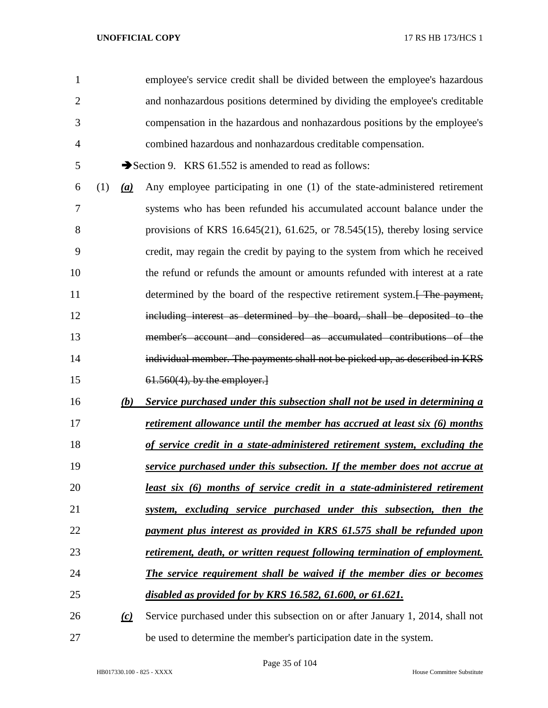| 1              |     |          | employee's service credit shall be divided between the employee's hazardous            |
|----------------|-----|----------|----------------------------------------------------------------------------------------|
| $\overline{2}$ |     |          | and nonhazardous positions determined by dividing the employee's creditable            |
| 3              |     |          | compensation in the hazardous and nonhazardous positions by the employee's             |
| $\overline{4}$ |     |          | combined hazardous and nonhazardous creditable compensation.                           |
| 5              |     |          | Section 9. KRS 61.552 is amended to read as follows:                                   |
| 6              | (1) | (a)      | Any employee participating in one (1) of the state-administered retirement             |
| 7              |     |          | systems who has been refunded his accumulated account balance under the                |
| 8              |     |          | provisions of KRS 16.645(21), 61.625, or 78.545(15), thereby losing service            |
| 9              |     |          | credit, may regain the credit by paying to the system from which he received           |
| 10             |     |          | the refund or refunds the amount or amounts refunded with interest at a rate           |
| 11             |     |          | determined by the board of the respective retirement system. <del>[ The payment,</del> |
| 12             |     |          | including interest as determined by the board, shall be deposited to the               |
| 13             |     |          | member's account and considered as accumulated contributions of the                    |
| 14             |     |          | individual member. The payments shall not be picked up, as described in KRS            |
| 15             |     |          | $61.560(4)$ , by the employer.                                                         |
| 16             |     | (b)      | Service purchased under this subsection shall not be used in determining a             |
| 17             |     |          | retirement allowance until the member has accrued at least six (6) months              |
| 18             |     |          | of service credit in a state-administered retirement system, excluding the             |
| 19             |     |          | service purchased under this subsection. If the member does not accrue at              |
| 20             |     |          | least six (6) months of service credit in a state-administered retirement              |
| 21             |     |          | system, excluding service purchased under this subsection, then the                    |
| 22             |     |          | payment plus interest as provided in KRS 61.575 shall be refunded upon                 |
| 23             |     |          | retirement, death, or written request following termination of employment.             |
| 24             |     |          | The service requirement shall be waived if the member dies or becomes                  |
| 25             |     |          | disabled as provided for by KRS 16.582, 61.600, or 61.621.                             |
| 26             |     | $\omega$ | Service purchased under this subsection on or after January 1, 2014, shall not         |
| 27             |     |          | be used to determine the member's participation date in the system.                    |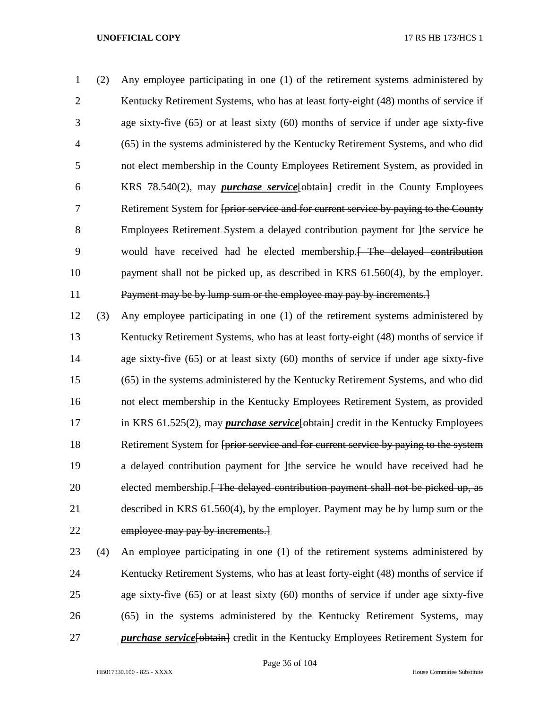(2) Any employee participating in one (1) of the retirement systems administered by Kentucky Retirement Systems, who has at least forty-eight (48) months of service if age sixty-five (65) or at least sixty (60) months of service if under age sixty-five (65) in the systems administered by the Kentucky Retirement Systems, and who did not elect membership in the County Employees Retirement System, as provided in KRS 78.540(2), may *purchase service*[obtain] credit in the County Employees Retirement System for [prior service and for current service by paying to the County 8 Employees Retirement System a delayed contribution payment for lthe service he would have received had he elected membership.[ The delayed contribution payment shall not be picked up, as described in KRS 61.560(4), by the employer. Payment may be by lump sum or the employee may pay by increments.]

 (3) Any employee participating in one (1) of the retirement systems administered by 13 Kentucky Retirement Systems, who has at least forty-eight (48) months of service if age sixty-five (65) or at least sixty (60) months of service if under age sixty-five (65) in the systems administered by the Kentucky Retirement Systems, and who did not elect membership in the Kentucky Employees Retirement System, as provided 17 in KRS 61.525(2), may *purchase service* [obtain] credit in the Kentucky Employees 18 Retirement System for <del>[prior service and for current service by paying to the system</del> 19 a delayed contribution payment for lthe service he would have received had he 20 elected membership.<del>[ The delayed contribution payment shall not be picked up, as</del> described in KRS 61.560(4), by the employer. Payment may be by lump sum or the 22 employee may pay by increments.

 (4) An employee participating in one (1) of the retirement systems administered by 24 Kentucky Retirement Systems, who has at least forty-eight (48) months of service if age sixty-five (65) or at least sixty (60) months of service if under age sixty-five (65) in the systems administered by the Kentucky Retirement Systems, may *purchase service* [obtain] credit in the Kentucky Employees Retirement System for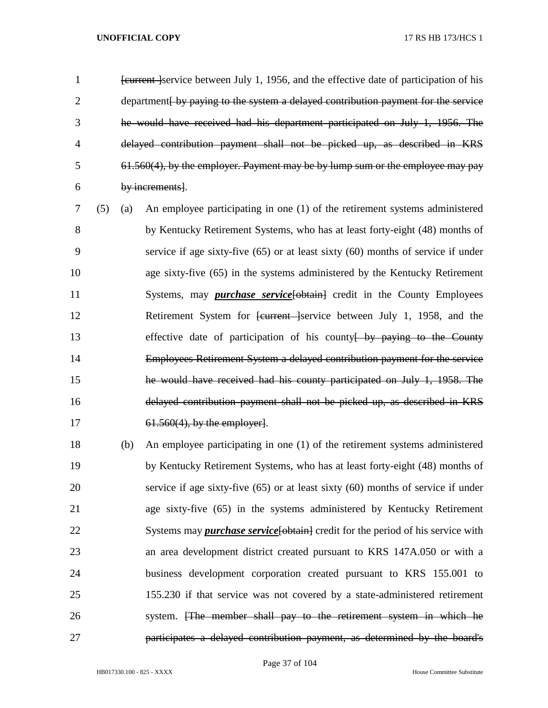*Eurrent Service between July 1, 1956, and the effective date of participation of his* 2 department by paying to the system a delayed contribution payment for the service he would have received had his department participated on July 1, 1956. The delayed contribution payment shall not be picked up, as described in KRS 61.560(4), by the employer. Payment may be by lump sum or the employee may pay by increments].

 (5) (a) An employee participating in one (1) of the retirement systems administered by Kentucky Retirement Systems, who has at least forty-eight (48) months of service if age sixty-five (65) or at least sixty (60) months of service if under age sixty-five (65) in the systems administered by the Kentucky Retirement 11 Systems, may *purchase service* [- obtain] credit in the County Employees 12 Retirement System for <del>[current ]</del>service between July 1, 1958, and the 13 effective date of participation of his county by paying to the County Employees Retirement System a delayed contribution payment for the service he would have received had his county participated on July 1, 1958. The delayed contribution payment shall not be picked up, as described in KRS 17 61.560(4), by the employer.

 (b) An employee participating in one (1) of the retirement systems administered by Kentucky Retirement Systems, who has at least forty-eight (48) months of service if age sixty-five (65) or at least sixty (60) months of service if under age sixty-five (65) in the systems administered by Kentucky Retirement 22 Systems may *purchase service* [obtain] credit for the period of his service with an area development district created pursuant to KRS 147A.050 or with a business development corporation created pursuant to KRS 155.001 to 155.230 if that service was not covered by a state-administered retirement system. [The member shall pay to the retirement system in which he participates a delayed contribution payment, as determined by the board's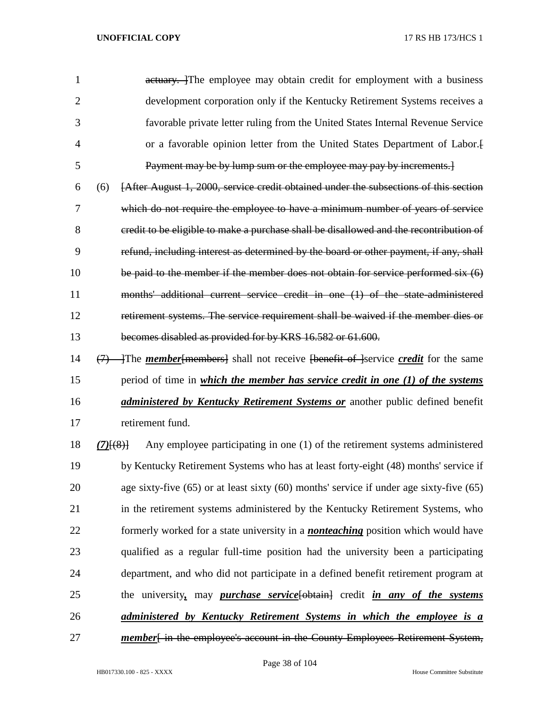1 actuary. The employee may obtain credit for employment with a business development corporation only if the Kentucky Retirement Systems receives a favorable private letter ruling from the United States Internal Revenue Service or a favorable opinion letter from the United States Department of Labor.[ Payment may be by lump sum or the employee may pay by increments.]

 (6) [After August 1, 2000, service credit obtained under the subsections of this section which do not require the employee to have a minimum number of years of service credit to be eligible to make a purchase shall be disallowed and the recontribution of refund, including interest as determined by the board or other payment, if any, shall 10 be paid to the member if the member does not obtain for service performed six  $(6)$  months' additional current service credit in one (1) of the state-administered retirement systems. The service requirement shall be waived if the member dies or becomes disabled as provided for by KRS 16.582 or 61.600.

14 (7) The *member* [members] shall not receive [benefit of ]service *credit* for the same period of time in *which the member has service credit in one (1) of the systems administered by Kentucky Retirement Systems or* another public defined benefit retirement fund.

 *(7)*[(8)] Any employee participating in one (1) of the retirement systems administered by Kentucky Retirement Systems who has at least forty-eight (48) months' service if age sixty-five (65) or at least sixty (60) months' service if under age sixty-five (65) in the retirement systems administered by the Kentucky Retirement Systems, who formerly worked for a state university in a *nonteaching* position which would have qualified as a regular full-time position had the university been a participating department, and who did not participate in a defined benefit retirement program at the university*,* may *purchase service*[obtain] credit *in any of the systems administered by Kentucky Retirement Systems in which the employee is a*  **member** [in the employee's account in the County Employees Retirement System,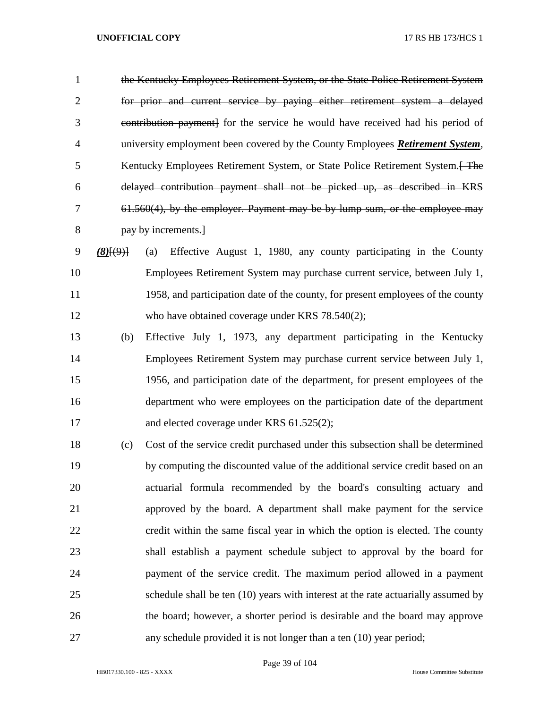the Kentucky Employees Retirement System, or the State Police Retirement System for prior and current service by paying either retirement system a delayed contribution payment] for the service he would have received had his period of university employment been covered by the County Employees *Retirement System*, 5 Kentucky Employees Retirement System, or State Police Retirement System. The delayed contribution payment shall not be picked up, as described in KRS 61.560(4), by the employer. Payment may be by lump sum, or the employee may pay by increments.]

- *(8)*[(9)] (a) Effective August 1, 1980, any county participating in the County Employees Retirement System may purchase current service, between July 1, 1958, and participation date of the county, for present employees of the county 12 who have obtained coverage under KRS 78.540(2);
- (b) Effective July 1, 1973, any department participating in the Kentucky Employees Retirement System may purchase current service between July 1, 1956, and participation date of the department, for present employees of the department who were employees on the participation date of the department 17 and elected coverage under KRS 61.525(2);
- (c) Cost of the service credit purchased under this subsection shall be determined by computing the discounted value of the additional service credit based on an actuarial formula recommended by the board's consulting actuary and approved by the board. A department shall make payment for the service credit within the same fiscal year in which the option is elected. The county shall establish a payment schedule subject to approval by the board for payment of the service credit. The maximum period allowed in a payment schedule shall be ten (10) years with interest at the rate actuarially assumed by the board; however, a shorter period is desirable and the board may approve any schedule provided it is not longer than a ten (10) year period;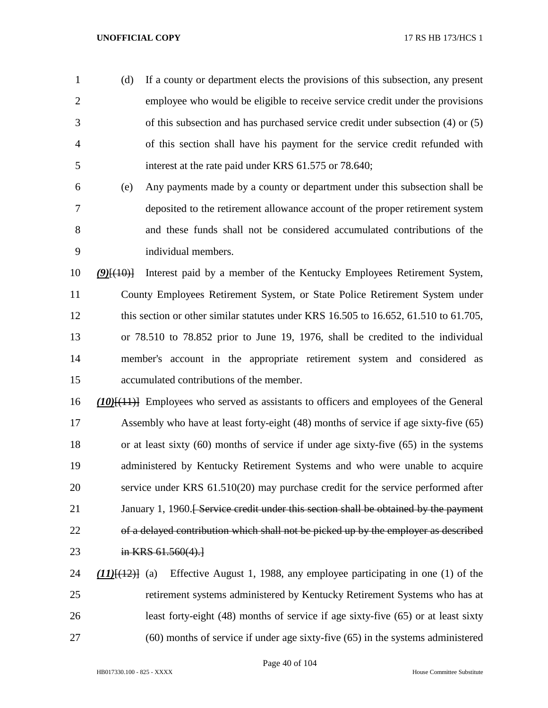(d) If a county or department elects the provisions of this subsection, any present employee who would be eligible to receive service credit under the provisions of this subsection and has purchased service credit under subsection (4) or (5) of this section shall have his payment for the service credit refunded with interest at the rate paid under KRS 61.575 or 78.640;

 (e) Any payments made by a county or department under this subsection shall be deposited to the retirement allowance account of the proper retirement system and these funds shall not be considered accumulated contributions of the individual members.

 *(9)*[(10)] Interest paid by a member of the Kentucky Employees Retirement System, County Employees Retirement System, or State Police Retirement System under 12 this section or other similar statutes under KRS 16.505 to 16.652, 61.510 to 61.705, or 78.510 to 78.852 prior to June 19, 1976, shall be credited to the individual member's account in the appropriate retirement system and considered as accumulated contributions of the member.

 *(10)*[(11)] Employees who served as assistants to officers and employees of the General Assembly who have at least forty-eight (48) months of service if age sixty-five (65) or at least sixty (60) months of service if under age sixty-five (65) in the systems administered by Kentucky Retirement Systems and who were unable to acquire service under KRS 61.510(20) may purchase credit for the service performed after 21 January 1, 1960.<del>[ Service credit under this section shall be obtained by the payment</del> of a delayed contribution which shall not be picked up by the employer as described 23 in KRS 61.560(4).

 *(11)*[(12)] (a) Effective August 1, 1988, any employee participating in one (1) of the retirement systems administered by Kentucky Retirement Systems who has at least forty-eight (48) months of service if age sixty-five (65) or at least sixty (60) months of service if under age sixty-five (65) in the systems administered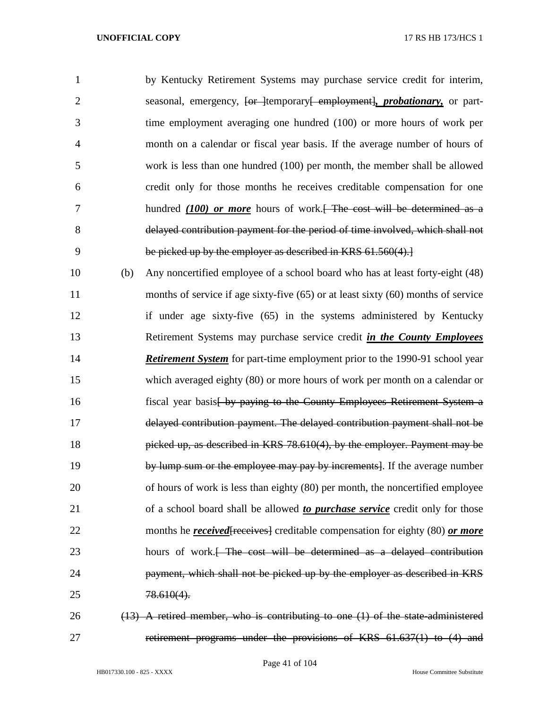| $\mathbf{1}$   |     | by Kentucky Retirement Systems may purchase service credit for interim,                                 |
|----------------|-----|---------------------------------------------------------------------------------------------------------|
| $\overline{2}$ |     | seasonal, emergency, <del>[or ]</del> temporary <del>[ employment], <i>probationary</i>,</del> or part- |
| 3              |     | time employment averaging one hundred (100) or more hours of work per                                   |
| 4              |     | month on a calendar or fiscal year basis. If the average number of hours of                             |
| 5              |     | work is less than one hundred (100) per month, the member shall be allowed                              |
| 6              |     | credit only for those months he receives creditable compensation for one                                |
| 7              |     | hundred $(100)$ or more hours of work. The cost will be determined as a                                 |
| 8              |     | delayed contribution payment for the period of time involved, which shall not                           |
| 9              |     | be picked up by the employer as described in KRS 61.560(4).                                             |
| 10             | (b) | Any noncertified employee of a school board who has at least forty-eight (48)                           |
| 11             |     | months of service if age sixty-five (65) or at least sixty (60) months of service                       |
| 12             |     | if under age sixty-five (65) in the systems administered by Kentucky                                    |
| 13             |     | Retirement Systems may purchase service credit in the County Employees                                  |
| 14             |     | <b>Retirement System</b> for part-time employment prior to the 1990-91 school year                      |
| 15             |     | which averaged eighty (80) or more hours of work per month on a calendar or                             |
| 16             |     | fiscal year basis by paying to the County Employees Retirement System a                                 |
| 17             |     | delayed contribution payment. The delayed contribution payment shall not be                             |
| 18             |     | picked up, as described in KRS 78.610(4), by the employer. Payment may be                               |
| 19             |     | by lump sum or the employee may pay by increments]. If the average number                               |
| 20             |     | of hours of work is less than eighty (80) per month, the noncertified employee                          |
| 21             |     | of a school board shall be allowed to <i>purchase service</i> credit only for those                     |
| 22             |     | months he <b>received</b> [receives] creditable compensation for eighty (80) or more                    |
| 23             |     | hours of work. <del> The cost will be determined as a delayed contribution</del>                        |
| 24             |     | payment, which shall not be picked up by the employer as described in KRS                               |
| 25             |     | $78.610(4)$ .                                                                                           |
| 26             |     | $(13)$ A retired member, who is contributing to one $(1)$ of the state-administered                     |

retirement programs under the provisions of KRS 61.637(1) to (4) and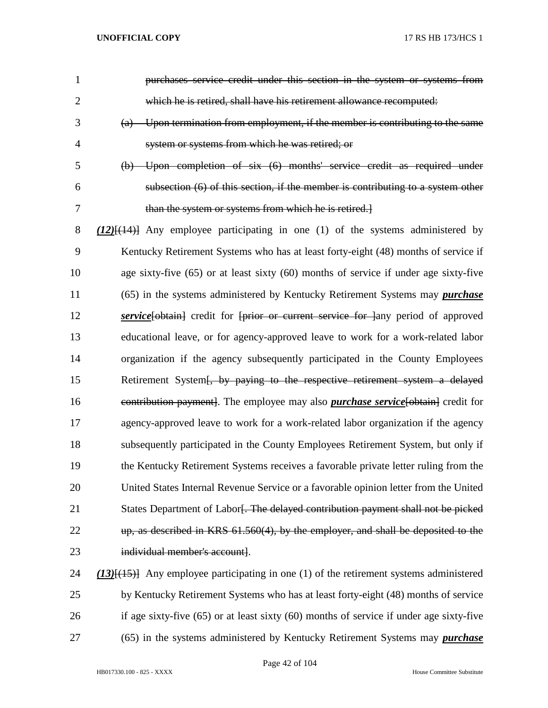| 1              | purchases service credit under this section in the system or systems from                      |
|----------------|------------------------------------------------------------------------------------------------|
| $\overline{2}$ | which he is retired, shall have his retirement allowance recomputed:                           |
| 3              | (a) Upon termination from employment, if the member is contributing to the same                |
| $\overline{4}$ | system or systems from which he was retired; or                                                |
| 5              | (b) Upon completion of six (6) months' service credit as required under                        |
| 6              | subsection (6) of this section, if the member is contributing to a system other                |
| 7              | than the system or systems from which he is retired.                                           |
| 8              | $(12)$ [ $(14)$ ] Any employee participating in one (1) of the systems administered by         |
| 9              | Kentucky Retirement Systems who has at least forty-eight (48) months of service if             |
| 10             | age sixty-five (65) or at least sixty (60) months of service if under age sixty-five           |
| 11             | (65) in the systems administered by Kentucky Retirement Systems may <i>purchase</i>            |
| 12             | service [obtain] credit for [prior or current service for ]any period of approved              |
| 13             | educational leave, or for agency-approved leave to work for a work-related labor               |
| 14             | organization if the agency subsequently participated in the County Employees                   |
| 15             | Retirement System [, by paying to the respective retirement system a delayed                   |
| 16             | eontribution payment]. The employee may also <i>purchase service</i> [obtain] credit for       |
| 17             | agency-approved leave to work for a work-related labor organization if the agency              |
| 18             | subsequently participated in the County Employees Retirement System, but only if               |
| 19             | the Kentucky Retirement Systems receives a favorable private letter ruling from the            |
| 20             | United States Internal Revenue Service or a favorable opinion letter from the United           |
| 21             | States Department of Labor. The delayed contribution payment shall not be picked               |
| 22             | up, as described in KRS 61.560(4), by the employer, and shall be deposited to the              |
| 23             | individual member's account].                                                                  |
| 24             | $(13)$ { $(15)$ } Any employee participating in one (1) of the retirement systems administered |
| 25             | by Kentucky Retirement Systems who has at least forty-eight (48) months of service             |
| 26             | if age sixty-five $(65)$ or at least sixty $(60)$ months of service if under age sixty-five    |

(65) in the systems administered by Kentucky Retirement Systems may *purchase*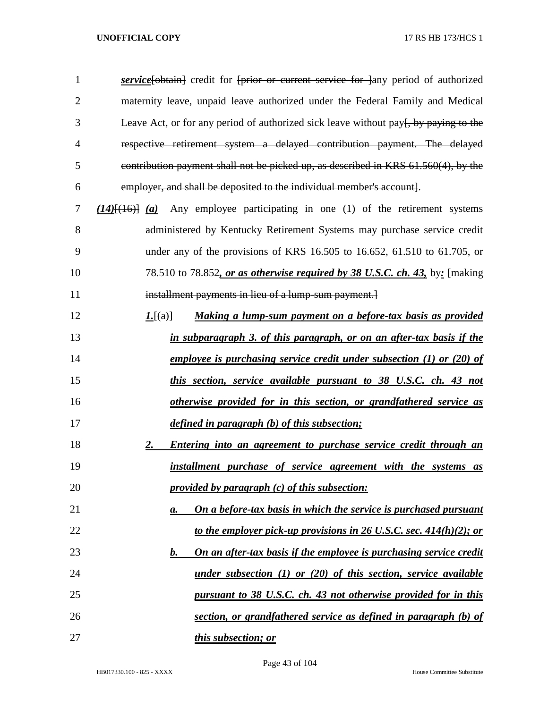| $\mathbf{1}$   | <b>service</b> [bbtain] credit for [prior or current service for ] any period of authorized |
|----------------|---------------------------------------------------------------------------------------------|
| $\overline{2}$ | maternity leave, unpaid leave authorized under the Federal Family and Medical               |
| 3              | Leave Act, or for any period of authorized sick leave without pay. by paying to the         |
| 4              | respective retirement system a delayed contribution payment. The delayed                    |
| 5              | contribution payment shall not be picked up, as described in KRS 61.560(4), by the          |
| 6              | employer, and shall be deposited to the individual member's account].                       |
| 7              | $(14)$ $(16)$ $(a)$ Any employee participating in one (1) of the retirement systems         |
| 8              | administered by Kentucky Retirement Systems may purchase service credit                     |
| 9              | under any of the provisions of KRS 16.505 to 16.652, 61.510 to 61.705, or                   |
| 10             | 78.510 to 78.852, or as otherwise required by 38 U.S.C. ch. 43, by: [making]                |
| 11             | installment payments in lieu of a lump sum payment.                                         |
| 12             | Making a lump-sum payment on a before-tax basis as provided<br>1.[(a)]                      |
| 13             | in subparagraph 3. of this paragraph, or on an after-tax basis if the                       |
| 14             | <u>employee is purchasing service credit under subsection (1) or (20) of</u>                |
| 15             | this section, service available pursuant to 38 U.S.C. ch. 43 not                            |
| 16             | otherwise provided for in this section, or grandfathered service as                         |
| 17             | defined in paragraph (b) of this subsection;                                                |
| 18             | Entering into an agreement to purchase service credit through an<br>2.                      |
| 19             | installment purchase of service agreement with the systems as                               |
| 20             | provided by paragraph (c) of this subsection:                                               |
| 21             | On a before-tax basis in which the service is purchased pursuant<br>$\mathbf{a}$ .          |
| 22             | to the employer pick-up provisions in 26 U.S.C. sec. $414(h)(2)$ ; or                       |
| 23             | On an after-tax basis if the employee is purchasing service credit<br><u>b.</u>             |
| 24             | under subsection $(1)$ or $(20)$ of this section, service available                         |
| 25             | pursuant to 38 U.S.C. ch. 43 not otherwise provided for in this                             |
| 26             | section, or grandfathered service as defined in paragraph (b) of                            |
| 27             | <i>this subsection; or</i>                                                                  |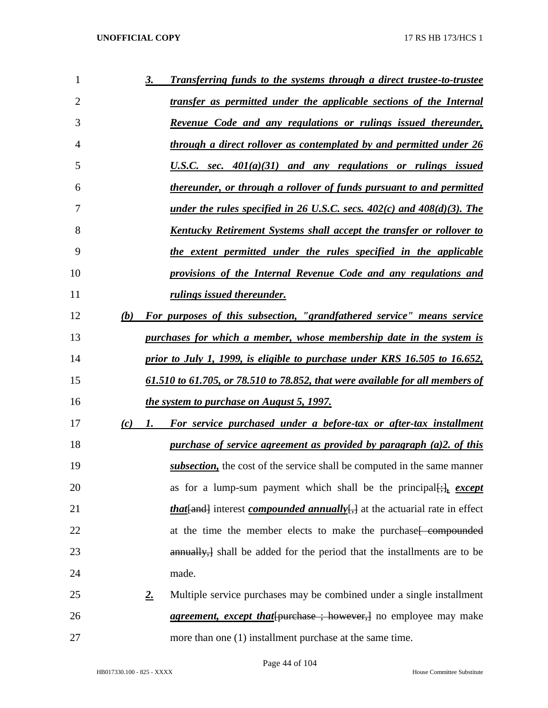| 1              |     | 3.         | Transferring funds to the systems through a direct trustee-to-trustee                                   |
|----------------|-----|------------|---------------------------------------------------------------------------------------------------------|
| $\overline{2}$ |     |            | transfer as permitted under the applicable sections of the Internal                                     |
| 3              |     |            | <u>Revenue Code and any regulations or rulings issued thereunder,</u>                                   |
| $\overline{4}$ |     |            | through a direct rollover as contemplated by and permitted under 26                                     |
| 5              |     |            | U.S.C. sec. $401(a)(31)$ and any regulations or rulings issued                                          |
| 6              |     |            | thereunder, or through a rollover of funds pursuant to and permitted                                    |
| 7              |     |            | <u>under the rules specified in 26 U.S.C. secs. <math>402(c)</math> and <math>408(d)(3)</math>. The</u> |
| 8              |     |            | <u>Kentucky Retirement Systems shall accept the transfer or rollover to</u>                             |
| 9              |     |            | the extent permitted under the rules specified in the applicable                                        |
| 10             |     |            | provisions of the Internal Revenue Code and any regulations and                                         |
| 11             |     |            | rulings issued thereunder.                                                                              |
| 12             | (b) |            | For purposes of this subsection, "grandfathered service" means service                                  |
| 13             |     |            | purchases for which a member, whose membership date in the system is                                    |
| 14             |     |            | prior to July 1, 1999, is eligible to purchase under KRS 16.505 to 16.652,                              |
| 15             |     |            | 61.510 to 61.705, or 78.510 to 78.852, that were available for all members of                           |
| 16             |     |            | the system to purchase on August 5, 1997.                                                               |
| 17             | (c) | <i>I</i> . | For service purchased under a before-tax or after-tax installment                                       |
| 18             |     |            | purchase of service agreement as provided by paragraph (a)2. of this                                    |
| 19             |     |            | <i>subsection</i> , the cost of the service shall be computed in the same manner                        |
| 20             |     |            | as for a lump-sum payment which shall be the principal $[\cdot]_1$ , except                             |
| 21             |     |            | <i>that</i> [and] interest <i>compounded annually</i> [] at the actuarial rate in effect                |
| 22             |     |            | at the time the member elects to make the purchase <del>compounded</del>                                |
| 23             |     |            | annually, shall be added for the period that the installments are to be                                 |
| 24             |     | made.      |                                                                                                         |
| 25             |     | 2.         | Multiple service purchases may be combined under a single installment                                   |
| 26             |     |            | <i>agreement, except that</i> [purchase ; however,] no employee may make                                |
| 27             |     |            | more than one (1) installment purchase at the same time.                                                |

Page 44 of 104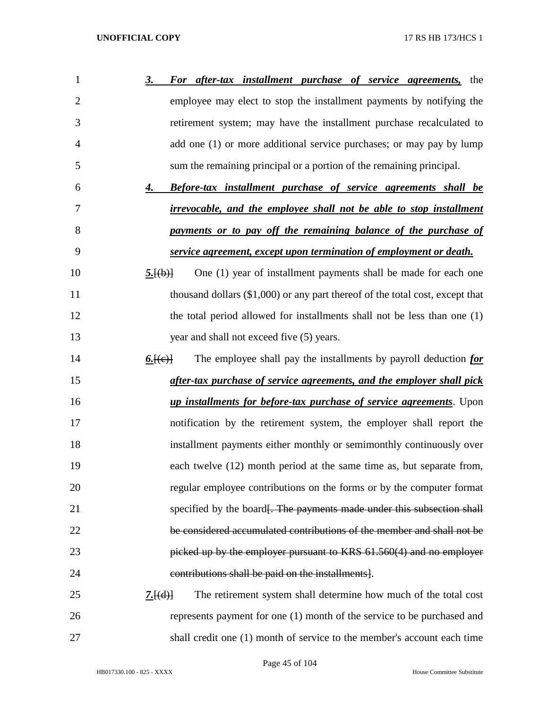| 1              | For after-tax installment purchase of service agreements,<br><u>3.</u><br>the |
|----------------|-------------------------------------------------------------------------------|
| $\overline{2}$ | employee may elect to stop the installment payments by notifying the          |
| 3              | retirement system; may have the installment purchase recalculated to          |
| $\overline{4}$ | add one (1) or more additional service purchases; or may pay by lump          |
| 5              | sum the remaining principal or a portion of the remaining principal.          |
| 6              | <b>Before-tax installment purchase of service agreements shall be</b><br>4.   |
| 7              | <i>irrevocable, and the employee shall not be able to stop installment</i>    |
| 8              | payments or to pay off the remaining balance of the purchase of               |
| 9              | service agreement, except upon termination of employment or death.            |
| 10             | One (1) year of installment payments shall be made for each one<br>5.[(b)]    |
| 11             | thousand dollars (\$1,000) or any part thereof of the total cost, except that |
| 12             | the total period allowed for installments shall not be less than one (1)      |
| 13             | year and shall not exceed five (5) years.                                     |
| 14             | The employee shall pay the installments by payroll deduction for<br>6. (e)    |
| 15             | after-tax purchase of service agreements, and the employer shall pick         |
| 16             | <i>up installments for before-tax purchase of service agreements</i> . Upon   |
| 17             | notification by the retirement system, the employer shall report the          |
| 18             | installment payments either monthly or semimonthly continuously over          |
| 19             | each twelve (12) month period at the same time as, but separate from,         |
| 20             | regular employee contributions on the forms or by the computer format         |
| 21             | specified by the board. The payments made under this subsection shall         |
| 22             | be considered accumulated contributions of the member and shall not be        |
| 23             | picked up by the employer pursuant to KRS 61.560(4) and no employer           |
| 24             | contributions shall be paid on the installments.                              |
| 25             | The retirement system shall determine how much of the total cost<br>7.[(d)]   |
| 26             | represents payment for one (1) month of the service to be purchased and       |
| 27             | shall credit one (1) month of service to the member's account each time       |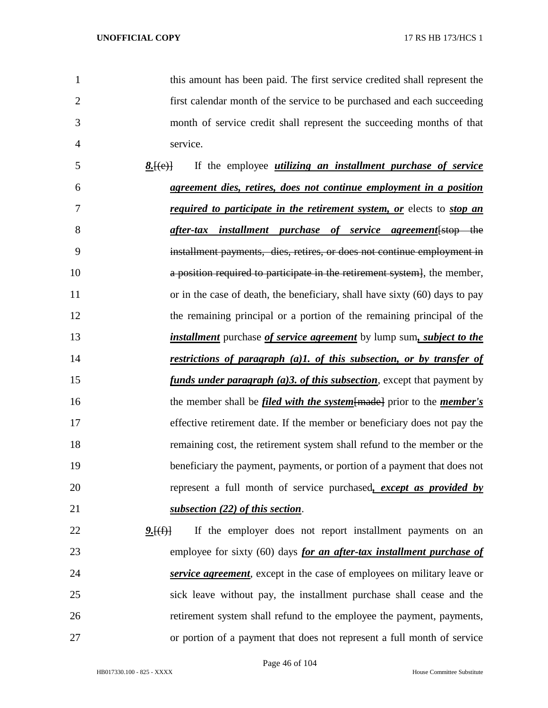this amount has been paid. The first service credited shall represent the first calendar month of the service to be purchased and each succeeding month of service credit shall represent the succeeding months of that service. *8.*[(e)] If the employee *utilizing an installment purchase of service agreement dies, retires, does not continue employment in a position required to participate in the retirement system, or* elects to *stop an after-tax installment purchase of service agreement*[stop the installment payments, dies, retires, or does not continue employment in a position required to participate in the retirement system], the member, 11 or in the case of death, the beneficiary, shall have sixty (60) days to pay the remaining principal or a portion of the remaining principal of the *installment* purchase *of service agreement* by lump sum*, subject to the restrictions of paragraph (a)1. of this subsection, or by transfer of funds under paragraph (a)3. of this subsection*, except that payment by the member shall be *filed with the system*[made] prior to the *member's* effective retirement date. If the member or beneficiary does not pay the remaining cost, the retirement system shall refund to the member or the beneficiary the payment, payments, or portion of a payment that does not represent a full month of service purchased*, except as provided by subsection (22) of this section*. 22 9.<del>[(f)]</del> If the employer does not report installment payments on an employee for sixty (60) days *for an after-tax installment purchase of service agreement*, except in the case of employees on military leave or sick leave without pay, the installment purchase shall cease and the retirement system shall refund to the employee the payment, payments, or portion of a payment that does not represent a full month of service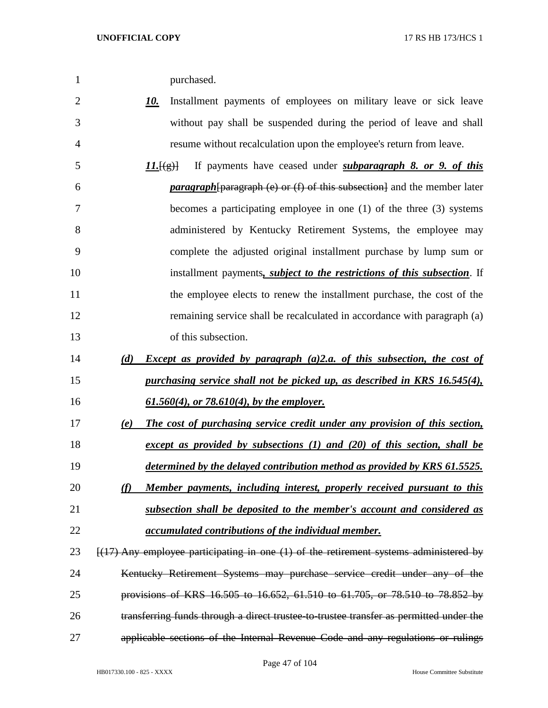|  | purchased. |
|--|------------|
|--|------------|

- *10.* Installment payments of employees on military leave or sick leave without pay shall be suspended during the period of leave and shall resume without recalculation upon the employee's return from leave.
- *11.*[(g)] If payments have ceased under *subparagraph 8. or 9. of this paragraph*[paragraph (e) or (f) of this subsection] and the member later becomes a participating employee in one (1) of the three (3) systems administered by Kentucky Retirement Systems, the employee may complete the adjusted original installment purchase by lump sum or installment payments*, subject to the restrictions of this subsection*. If the employee elects to renew the installment purchase, the cost of the 12 remaining service shall be recalculated in accordance with paragraph (a) of this subsection.
- *(d) Except as provided by paragraph (a)2.a. of this subsection, the cost of purchasing service shall not be picked up, as described in KRS 16.545(4), 61.560(4), or 78.610(4), by the employer.*
- *(e) The cost of purchasing service credit under any provision of this section, except as provided by subsections (1) and (20) of this section, shall be*
- *determined by the delayed contribution method as provided by KRS 61.5525. (f) Member payments, including interest, properly received pursuant to this*
- *subsection shall be deposited to the member's account and considered as*
- *accumulated contributions of the individual member.*
- 23 [(17) Any employee participating in one (1) of the retirement systems administered by Kentucky Retirement Systems may purchase service credit under any of the provisions of KRS 16.505 to 16.652, 61.510 to 61.705, or 78.510 to 78.852 by transferring funds through a direct trustee-to-trustee transfer as permitted under the applicable sections of the Internal Revenue Code and any regulations or rulings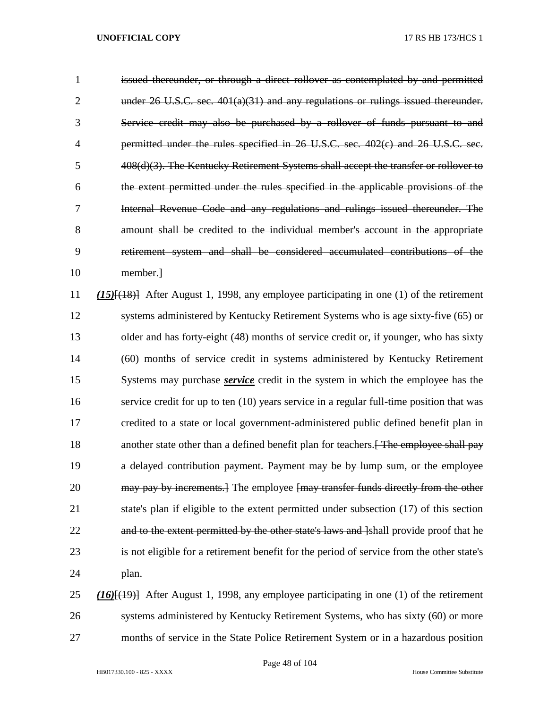issued thereunder, or through a direct rollover as contemplated by and permitted under 26 U.S.C. sec. 401(a)(31) and any regulations or rulings issued thereunder. Service credit may also be purchased by a rollover of funds pursuant to and permitted under the rules specified in 26 U.S.C. sec. 402(c) and 26 U.S.C. sec. 408(d)(3). The Kentucky Retirement Systems shall accept the transfer or rollover to the extent permitted under the rules specified in the applicable provisions of the Internal Revenue Code and any regulations and rulings issued thereunder. The amount shall be credited to the individual member's account in the appropriate retirement system and shall be considered accumulated contributions of the member.] *(15)*[(18)] After August 1, 1998, any employee participating in one (1) of the retirement systems administered by Kentucky Retirement Systems who is age sixty-five (65) or 13 older and has forty-eight (48) months of service credit or, if younger, who has sixty (60) months of service credit in systems administered by Kentucky Retirement Systems may purchase *service* credit in the system in which the employee has the service credit for up to ten (10) years service in a regular full-time position that was credited to a state or local government-administered public defined benefit plan in 18 another state other than a defined benefit plan for teachers. The employee shall pay a delayed contribution payment. Payment may be by lump sum, or the employee 20 may pay by increments. The employee fmay transfer funds directly from the other state's plan if eligible to the extent permitted under subsection (17) of this section 22 and to the extent permitted by the other state's laws and label provide proof that he is not eligible for a retirement benefit for the period of service from the other state's plan. *(16)*[(19)] After August 1, 1998, any employee participating in one (1) of the retirement systems administered by Kentucky Retirement Systems, who has sixty (60) or more

months of service in the State Police Retirement System or in a hazardous position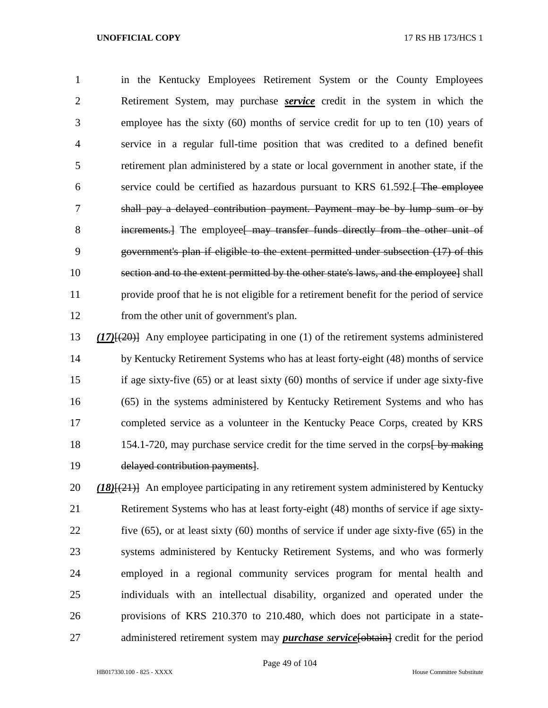in the Kentucky Employees Retirement System or the County Employees Retirement System, may purchase *service* credit in the system in which the employee has the sixty (60) months of service credit for up to ten (10) years of service in a regular full-time position that was credited to a defined benefit retirement plan administered by a state or local government in another state, if the 6 service could be certified as hazardous pursuant to KRS 61.592. The employee shall pay a delayed contribution payment. Payment may be by lump sum or by 8 increments.] The employee may transfer funds directly from the other unit of government's plan if eligible to the extent permitted under subsection (17) of this section and to the extent permitted by the other state's laws, and the employee] shall provide proof that he is not eligible for a retirement benefit for the period of service from the other unit of government's plan.

 *(17)*[(20)] Any employee participating in one (1) of the retirement systems administered by Kentucky Retirement Systems who has at least forty-eight (48) months of service if age sixty-five (65) or at least sixty (60) months of service if under age sixty-five (65) in the systems administered by Kentucky Retirement Systems and who has completed service as a volunteer in the Kentucky Peace Corps, created by KRS 18 154.1-720, may purchase service credit for the time served in the corps by making delayed contribution payments].

 *(18)*[(21)] An employee participating in any retirement system administered by Kentucky Retirement Systems who has at least forty-eight (48) months of service if age sixty- five (65), or at least sixty (60) months of service if under age sixty-five (65) in the systems administered by Kentucky Retirement Systems, and who was formerly employed in a regional community services program for mental health and individuals with an intellectual disability, organized and operated under the provisions of KRS 210.370 to 210.480, which does not participate in a state-27 administered retirement system may *purchase service* [obtain] credit for the period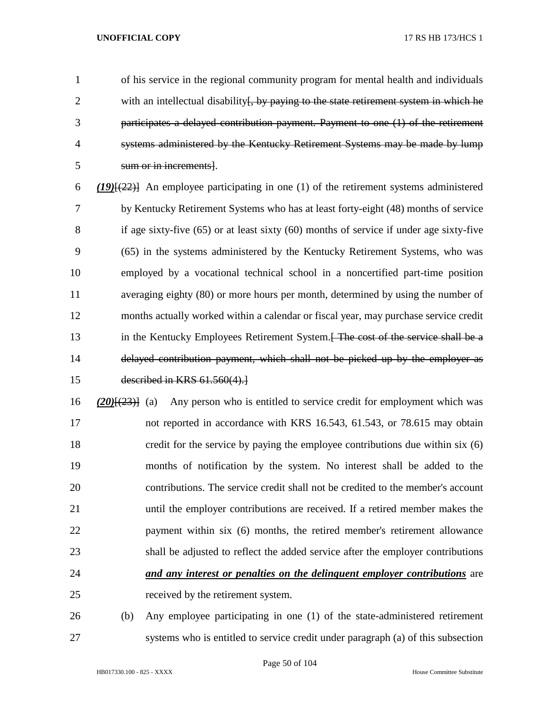of his service in the regional community program for mental health and individuals 2 with an intellectual disability <del>[, by paying to the state retirement system in which he</del> participates a delayed contribution payment. Payment to one (1) of the retirement systems administered by the Kentucky Retirement Systems may be made by lump sum or in increments].

 *(19)*[(22)] An employee participating in one (1) of the retirement systems administered by Kentucky Retirement Systems who has at least forty-eight (48) months of service 8 if age sixty-five (65) or at least sixty (60) months of service if under age sixty-five (65) in the systems administered by the Kentucky Retirement Systems, who was employed by a vocational technical school in a noncertified part-time position averaging eighty (80) or more hours per month, determined by using the number of months actually worked within a calendar or fiscal year, may purchase service credit 13 in the Kentucky Employees Retirement System.<del>[ The cost of the service shall be a</del> delayed contribution payment, which shall not be picked up by the employer as described in KRS 61.560(4).]

 *(20)*[(23)] (a) Any person who is entitled to service credit for employment which was not reported in accordance with KRS 16.543, 61.543, or 78.615 may obtain credit for the service by paying the employee contributions due within six (6) months of notification by the system. No interest shall be added to the contributions. The service credit shall not be credited to the member's account until the employer contributions are received. If a retired member makes the 22 payment within six (6) months, the retired member's retirement allowance shall be adjusted to reflect the added service after the employer contributions *and any interest or penalties on the delinquent employer contributions* are received by the retirement system.

 (b) Any employee participating in one (1) of the state-administered retirement systems who is entitled to service credit under paragraph (a) of this subsection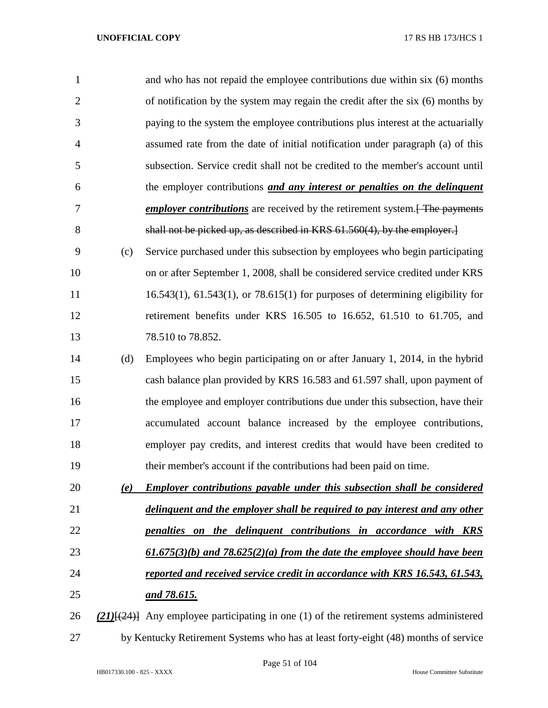| 1              |     | and who has not repaid the employee contributions due within six (6) months                    |
|----------------|-----|------------------------------------------------------------------------------------------------|
| $\overline{2}$ |     | of notification by the system may regain the credit after the six (6) months by                |
| 3              |     | paying to the system the employee contributions plus interest at the actuarially               |
| $\overline{4}$ |     | assumed rate from the date of initial notification under paragraph (a) of this                 |
| 5              |     | subsection. Service credit shall not be credited to the member's account until                 |
| 6              |     | the employer contributions and any interest or penalties on the delinquent                     |
| 7              |     | <b><i>employer contributions</i></b> are received by the retirement system. Fine payments      |
| 8              |     | shall not be picked up, as described in KRS 61.560(4), by the employer.                        |
| 9              | (c) | Service purchased under this subsection by employees who begin participating                   |
| 10             |     | on or after September 1, 2008, shall be considered service credited under KRS                  |
| 11             |     | $16.543(1)$ , $61.543(1)$ , or $78.615(1)$ for purposes of determining eligibility for         |
| 12             |     | retirement benefits under KRS 16.505 to 16.652, 61.510 to 61.705, and                          |
| 13             |     | 78.510 to 78.852.                                                                              |
| 14             | (d) | Employees who begin participating on or after January 1, 2014, in the hybrid                   |
| 15             |     | cash balance plan provided by KRS 16.583 and 61.597 shall, upon payment of                     |
| 16             |     | the employee and employer contributions due under this subsection, have their                  |
| 17             |     | accumulated account balance increased by the employee contributions,                           |
| 18             |     | employer pay credits, and interest credits that would have been credited to                    |
| 19             |     | their member's account if the contributions had been paid on time.                             |
| 20             | (e) | <b>Employer contributions payable under this subsection shall be considered</b>                |
| 21             |     | delinguent and the employer shall be required to pay interest and any other                    |
| 22             |     | penalties on the delinquent contributions in accordance with KRS                               |
| 23             |     | $\underline{61.675(3)(b)}$ and $78.625(2)(a)$ from the date the employee should have been      |
| 24             |     | reported and received service credit in accordance with KRS 16.543, 61.543,                    |
| 25             |     | <u>and 78.615.</u>                                                                             |
| 26             |     | $(21)$ { $(24)$ } Any employee participating in one (1) of the retirement systems administered |
| 27             |     | by Kentucky Retirement Systems who has at least forty-eight (48) months of service             |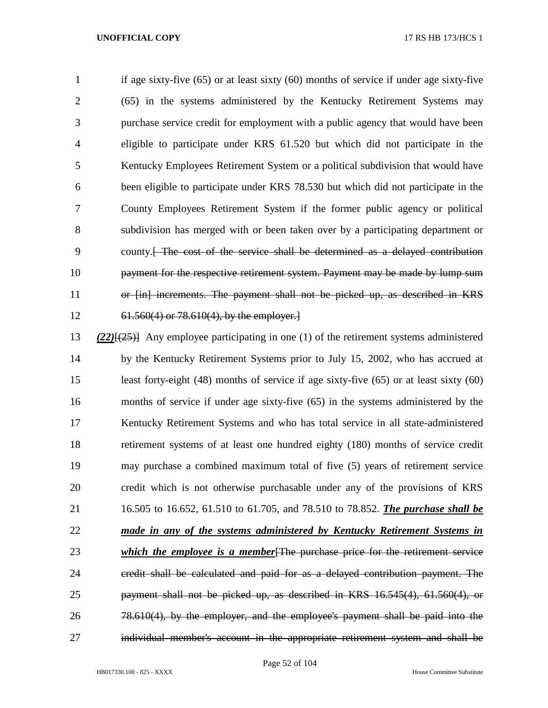if age sixty-five (65) or at least sixty (60) months of service if under age sixty-five (65) in the systems administered by the Kentucky Retirement Systems may purchase service credit for employment with a public agency that would have been eligible to participate under KRS 61.520 but which did not participate in the Kentucky Employees Retirement System or a political subdivision that would have been eligible to participate under KRS 78.530 but which did not participate in the County Employees Retirement System if the former public agency or political subdivision has merged with or been taken over by a participating department or county.[ The cost of the service shall be determined as a delayed contribution payment for the respective retirement system. Payment may be made by lump sum or [in] increments. The payment shall not be picked up, as described in KRS 61.560(4) or 78.610(4), by the employer.]

 *(22)*[(25)] Any employee participating in one (1) of the retirement systems administered by the Kentucky Retirement Systems prior to July 15, 2002, who has accrued at least forty-eight (48) months of service if age sixty-five (65) or at least sixty (60) months of service if under age sixty-five (65) in the systems administered by the Kentucky Retirement Systems and who has total service in all state-administered retirement systems of at least one hundred eighty (180) months of service credit may purchase a combined maximum total of five (5) years of retirement service credit which is not otherwise purchasable under any of the provisions of KRS 16.505 to 16.652, 61.510 to 61.705, and 78.510 to 78.852. *The purchase shall be made in any of the systems administered by Kentucky Retirement Systems in which the employee is a member*[The purchase price for the retirement service credit shall be calculated and paid for as a delayed contribution payment. The payment shall not be picked up, as described in KRS 16.545(4), 61.560(4), or 78.610(4), by the employer, and the employee's payment shall be paid into the individual member's account in the appropriate retirement system and shall be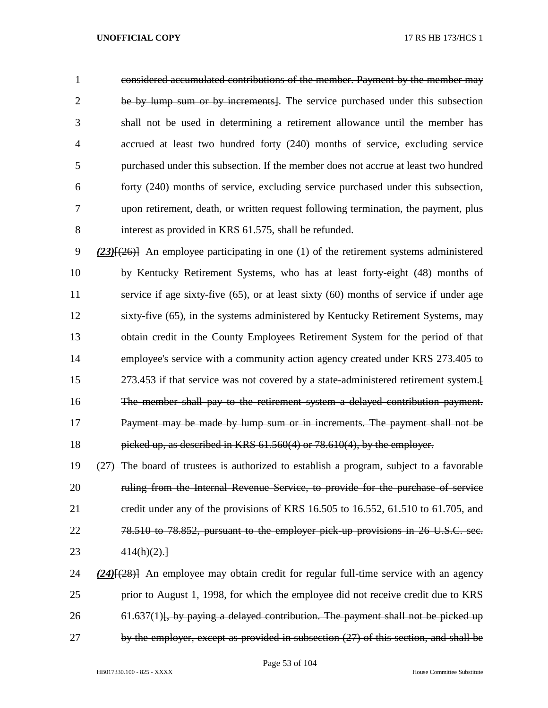considered accumulated contributions of the member. Payment by the member may be by lump sum or by increments]. The service purchased under this subsection shall not be used in determining a retirement allowance until the member has accrued at least two hundred forty (240) months of service, excluding service purchased under this subsection. If the member does not accrue at least two hundred forty (240) months of service, excluding service purchased under this subsection, upon retirement, death, or written request following termination, the payment, plus interest as provided in KRS 61.575, shall be refunded.

 *(23)*[(26)] An employee participating in one (1) of the retirement systems administered by Kentucky Retirement Systems, who has at least forty-eight (48) months of service if age sixty-five (65), or at least sixty (60) months of service if under age sixty-five (65), in the systems administered by Kentucky Retirement Systems, may obtain credit in the County Employees Retirement System for the period of that employee's service with a community action agency created under KRS 273.405 to 273.453 if that service was not covered by a state-administered retirement system.[ The member shall pay to the retirement system a delayed contribution payment. Payment may be made by lump sum or in increments. The payment shall not be picked up, as described in KRS 61.560(4) or 78.610(4), by the employer.

 (27) The board of trustees is authorized to establish a program, subject to a favorable 20 ruling from the Internal Revenue Service, to provide for the purchase of service credit under any of the provisions of KRS 16.505 to 16.552, 61.510 to 61.705, and 78.510 to 78.852, pursuant to the employer pick-up provisions in 26 U.S.C. sec. 414(h)(2).]

 *(24)*[(28)] An employee may obtain credit for regular full-time service with an agency prior to August 1, 1998, for which the employee did not receive credit due to KRS 26 61.637(1)<del>, by paying a delayed contribution. The payment shall not be picked up</del> by the employer, except as provided in subsection (27) of this section, and shall be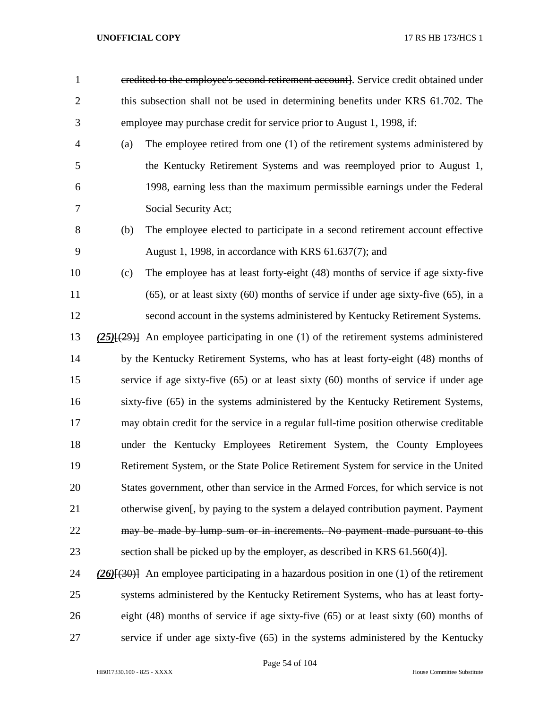- credited to the employee's second retirement account]. Service credit obtained under 2 this subsection shall not be used in determining benefits under KRS 61.702. The employee may purchase credit for service prior to August 1, 1998, if:
- (a) The employee retired from one (1) of the retirement systems administered by the Kentucky Retirement Systems and was reemployed prior to August 1, 1998, earning less than the maximum permissible earnings under the Federal Social Security Act;
- (b) The employee elected to participate in a second retirement account effective August 1, 1998, in accordance with KRS 61.637(7); and
- (c) The employee has at least forty-eight (48) months of service if age sixty-five (65), or at least sixty (60) months of service if under age sixty-five (65), in a second account in the systems administered by Kentucky Retirement Systems.
- *(25)*[(29)] An employee participating in one (1) of the retirement systems administered by the Kentucky Retirement Systems, who has at least forty-eight (48) months of service if age sixty-five (65) or at least sixty (60) months of service if under age sixty-five (65) in the systems administered by the Kentucky Retirement Systems, may obtain credit for the service in a regular full-time position otherwise creditable under the Kentucky Employees Retirement System, the County Employees Retirement System, or the State Police Retirement System for service in the United States government, other than service in the Armed Forces, for which service is not 21 otherwise given<del>[, by paying to the system a delayed contribution payment. Payment</del> 22 may be made by lump sum or in increments. No payment made pursuant to this section shall be picked up by the employer, as described in KRS 61.560(4)].
- *(26)*[(30)] An employee participating in a hazardous position in one (1) of the retirement systems administered by the Kentucky Retirement Systems, who has at least forty- eight (48) months of service if age sixty-five (65) or at least sixty (60) months of service if under age sixty-five (65) in the systems administered by the Kentucky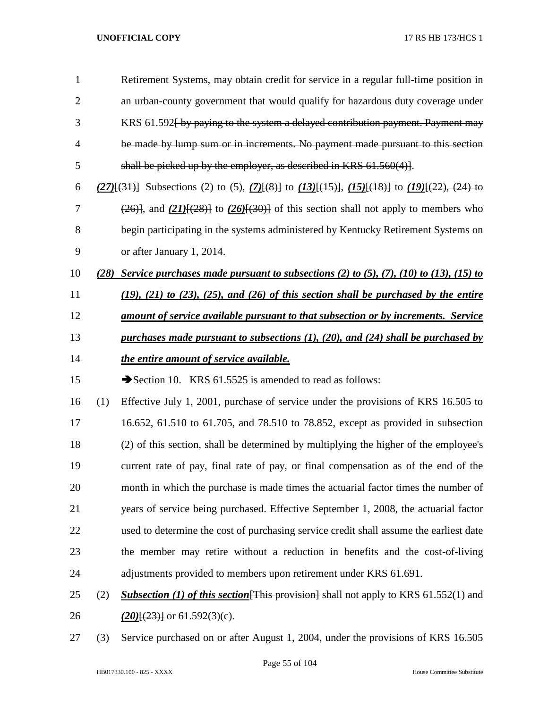| $\mathbf{1}$   |      | Retirement Systems, may obtain credit for service in a regular full-time position in                       |
|----------------|------|------------------------------------------------------------------------------------------------------------|
| $\overline{2}$ |      | an urban-county government that would qualify for hazardous duty coverage under                            |
| 3              |      | KRS 61.592 by paying to the system a delayed contribution payment. Payment may                             |
| $\overline{4}$ |      | be made by lump sum or in increments. No payment made pursuant to this section                             |
| 5              |      | shall be picked up by the employer, as described in KRS 61.560(4).                                         |
| 6              |      | $(27)$ [(31)] Subsections (2) to (5), $(7)$ [(8)] to $(13)$ [(15)], $(15)$ [(18)] to $(19)$ [(22), (24) to |
| 7              |      | $(26)$ , and $(21)$ [ $(28)$ ] to $(26)$ [ $(30)$ ] of this section shall not apply to members who         |
| 8              |      | begin participating in the systems administered by Kentucky Retirement Systems on                          |
| 9              |      | or after January 1, 2014.                                                                                  |
| 10             | (28) | Service purchases made pursuant to subsections (2) to (5), (7), (10) to (13), (15) to                      |
| 11             |      | $(19)$ , $(21)$ to $(23)$ , $(25)$ , and $(26)$ of this section shall be purchased by the entire           |
| 12             |      | amount of service available pursuant to that subsection or by increments. Service                          |
| 13             |      | purchases made pursuant to subsections $(1)$ , $(20)$ , and $(24)$ shall be purchased by                   |
| 14             |      | the entire amount of service available.                                                                    |
| 15             |      |                                                                                                            |
|                |      | Section 10. KRS $61.5525$ is amended to read as follows:                                                   |
| 16             | (1)  | Effective July 1, 2001, purchase of service under the provisions of KRS 16.505 to                          |
| 17             |      | 16.652, 61.510 to 61.705, and 78.510 to 78.852, except as provided in subsection                           |
| 18             |      | (2) of this section, shall be determined by multiplying the higher of the employee's                       |
| 19             |      | current rate of pay, final rate of pay, or final compensation as of the end of the                         |
| 20             |      | month in which the purchase is made times the actuarial factor times the number of                         |
| 21             |      | years of service being purchased. Effective September 1, 2008, the actuarial factor                        |
| 22             |      | used to determine the cost of purchasing service credit shall assume the earliest date                     |
| 23             |      | the member may retire without a reduction in benefits and the cost-of-living                               |
| 24             |      | adjustments provided to members upon retirement under KRS 61.691.                                          |
| 25             | (2)  | <b>Subsection (1) of this section</b> [This provision] shall not apply to KRS $61.552(1)$ and              |

**(20)**[(23)] or 61.592(3)(c).

(3) Service purchased on or after August 1, 2004, under the provisions of KRS 16.505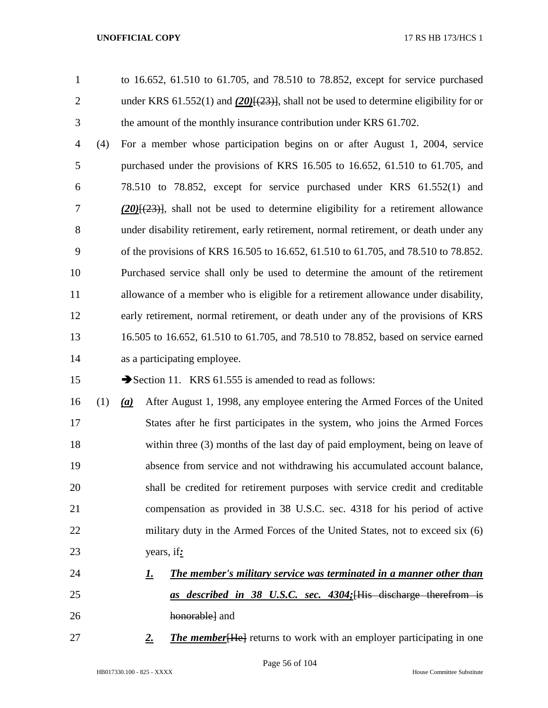to 16.652, 61.510 to 61.705, and 78.510 to 78.852, except for service purchased 2 under KRS 61.552(1) and (20)<del>[(23)]</del>, shall not be used to determine eligibility for or the amount of the monthly insurance contribution under KRS 61.702.

 (4) For a member whose participation begins on or after August 1, 2004, service purchased under the provisions of KRS 16.505 to 16.652, 61.510 to 61.705, and 78.510 to 78.852, except for service purchased under KRS 61.552(1) and *(20)*[(23)], shall not be used to determine eligibility for a retirement allowance under disability retirement, early retirement, normal retirement, or death under any of the provisions of KRS 16.505 to 16.652, 61.510 to 61.705, and 78.510 to 78.852. Purchased service shall only be used to determine the amount of the retirement allowance of a member who is eligible for a retirement allowance under disability, early retirement, normal retirement, or death under any of the provisions of KRS 16.505 to 16.652, 61.510 to 61.705, and 78.510 to 78.852, based on service earned as a participating employee.

15 Section 11. KRS 61.555 is amended to read as follows:

- (1) *(a)* After August 1, 1998, any employee entering the Armed Forces of the United States after he first participates in the system, who joins the Armed Forces within three (3) months of the last day of paid employment, being on leave of absence from service and not withdrawing his accumulated account balance, shall be credited for retirement purposes with service credit and creditable compensation as provided in 38 U.S.C. sec. 4318 for his period of active 22 military duty in the Armed Forces of the United States, not to exceed six (6) years, if*:*
- *1. The member's military service was terminated in a manner other than as described in 38 U.S.C. sec. 4304;*[His discharge therefrom is honorable] and
- *2. The member*[He] returns to work with an employer participating in one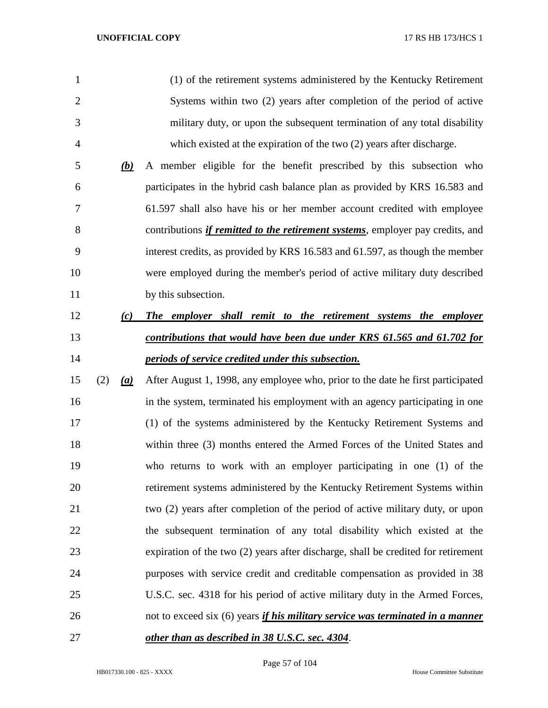| $\mathbf{1}$   |     |     | (1) of the retirement systems administered by the Kentucky Retirement                  |
|----------------|-----|-----|----------------------------------------------------------------------------------------|
| $\overline{2}$ |     |     | Systems within two (2) years after completion of the period of active                  |
| 3              |     |     | military duty, or upon the subsequent termination of any total disability              |
| $\overline{4}$ |     |     | which existed at the expiration of the two (2) years after discharge.                  |
| 5              |     | (b) | A member eligible for the benefit prescribed by this subsection who                    |
| 6              |     |     | participates in the hybrid cash balance plan as provided by KRS 16.583 and             |
| 7              |     |     | 61.597 shall also have his or her member account credited with employee                |
| 8              |     |     | contributions <i>if remitted to the retirement systems</i> , employer pay credits, and |
| 9              |     |     | interest credits, as provided by KRS 16.583 and 61.597, as though the member           |
| 10             |     |     | were employed during the member's period of active military duty described             |
| 11             |     |     | by this subsection.                                                                    |
| 12             |     | (c) | The employer shall remit to the retirement systems the employer                        |
| 13             |     |     | contributions that would have been due under KRS 61.565 and 61.702 for                 |
| 14             |     |     | periods of service credited under this subsection.                                     |
| 15             | (2) | (a) | After August 1, 1998, any employee who, prior to the date he first participated        |
| 16             |     |     | in the system, terminated his employment with an agency participating in one           |
| 17             |     |     | (1) of the systems administered by the Kentucky Retirement Systems and                 |
| 18             |     |     | within three (3) months entered the Armed Forces of the United States and              |
| 19             |     |     | who returns to work with an employer participating in one (1) of the                   |
| 20             |     |     | retirement systems administered by the Kentucky Retirement Systems within              |
| 21             |     |     | two (2) years after completion of the period of active military duty, or upon          |
| 22             |     |     |                                                                                        |
|                |     |     | the subsequent termination of any total disability which existed at the                |
| 23             |     |     | expiration of the two (2) years after discharge, shall be credited for retirement      |
| 24             |     |     | purposes with service credit and creditable compensation as provided in 38             |
| 25             |     |     | U.S.C. sec. 4318 for his period of active military duty in the Armed Forces,           |
| 26             |     |     | not to exceed six (6) years <i>if his military service was terminated in a manner</i>  |

Page 57 of 104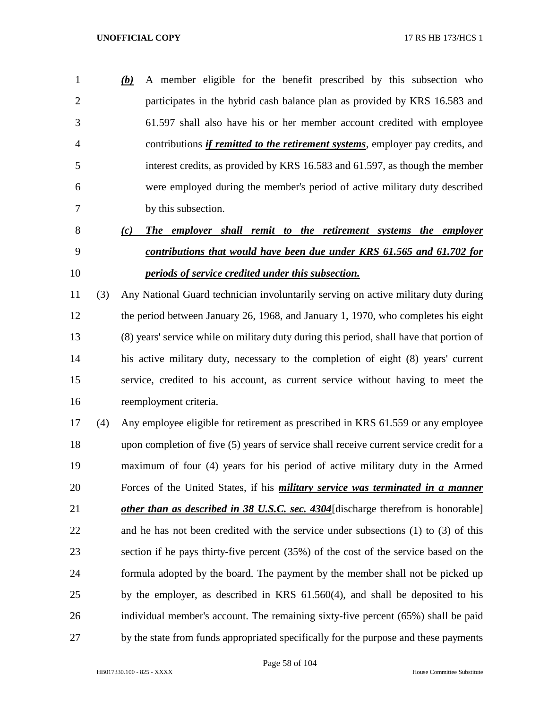*(b)* A member eligible for the benefit prescribed by this subsection who participates in the hybrid cash balance plan as provided by KRS 16.583 and 61.597 shall also have his or her member account credited with employee contributions *if remitted to the retirement systems*, employer pay credits, and interest credits, as provided by KRS 16.583 and 61.597, as though the member were employed during the member's period of active military duty described by this subsection.

# *(c) The employer shall remit to the retirement systems the employer contributions that would have been due under KRS 61.565 and 61.702 for periods of service credited under this subsection.*

 (3) Any National Guard technician involuntarily serving on active military duty during the period between January 26, 1968, and January 1, 1970, who completes his eight (8) years' service while on military duty during this period, shall have that portion of his active military duty, necessary to the completion of eight (8) years' current service, credited to his account, as current service without having to meet the reemployment criteria.

 (4) Any employee eligible for retirement as prescribed in KRS 61.559 or any employee upon completion of five (5) years of service shall receive current service credit for a maximum of four (4) years for his period of active military duty in the Armed Forces of the United States, if his *military service was terminated in a manner other than as described in 38 U.S.C. sec. 4304*[discharge therefrom is honorable] and he has not been credited with the service under subsections (1) to (3) of this section if he pays thirty-five percent (35%) of the cost of the service based on the formula adopted by the board. The payment by the member shall not be picked up by the employer, as described in KRS 61.560(4), and shall be deposited to his individual member's account. The remaining sixty-five percent (65%) shall be paid by the state from funds appropriated specifically for the purpose and these payments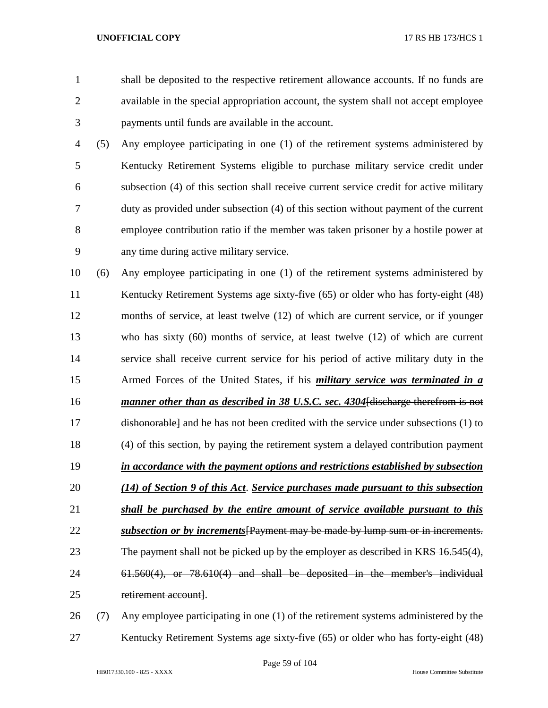shall be deposited to the respective retirement allowance accounts. If no funds are available in the special appropriation account, the system shall not accept employee payments until funds are available in the account.

- (5) Any employee participating in one (1) of the retirement systems administered by Kentucky Retirement Systems eligible to purchase military service credit under subsection (4) of this section shall receive current service credit for active military duty as provided under subsection (4) of this section without payment of the current employee contribution ratio if the member was taken prisoner by a hostile power at any time during active military service.
- (6) Any employee participating in one (1) of the retirement systems administered by Kentucky Retirement Systems age sixty-five (65) or older who has forty-eight (48) months of service, at least twelve (12) of which are current service, or if younger who has sixty (60) months of service, at least twelve (12) of which are current service shall receive current service for his period of active military duty in the Armed Forces of the United States, if his *military service was terminated in a manner other than as described in 38 U.S.C. sec. 4304*[discharge therefrom is not dishonorable] and he has not been credited with the service under subsections (1) to (4) of this section, by paying the retirement system a delayed contribution payment *in accordance with the payment options and restrictions established by subsection (14) of Section 9 of this Act*. *Service purchases made pursuant to this subsection shall be purchased by the entire amount of service available pursuant to this subsection or by increments*[Payment may be made by lump sum or in increments. The payment shall not be picked up by the employer as described in KRS 16.545(4), 61.560(4), or 78.610(4) and shall be deposited in the member's individual 25 retirement account.
- (7) Any employee participating in one (1) of the retirement systems administered by the Kentucky Retirement Systems age sixty-five (65) or older who has forty-eight (48)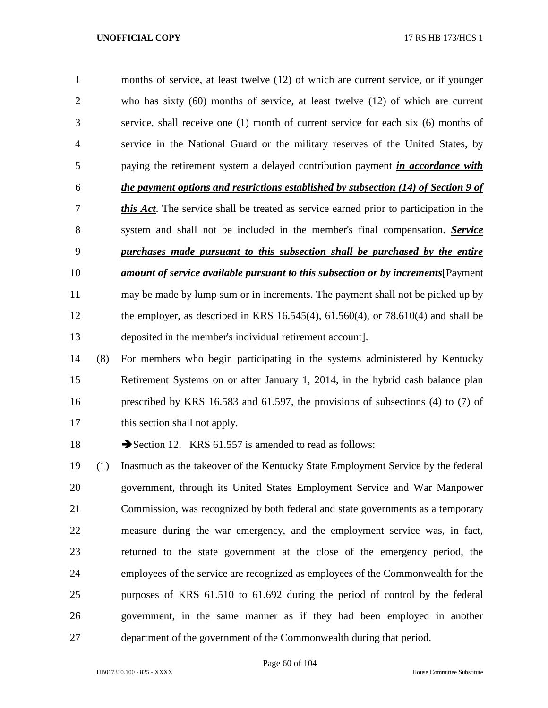months of service, at least twelve (12) of which are current service, or if younger who has sixty (60) months of service, at least twelve (12) of which are current service, shall receive one (1) month of current service for each six (6) months of service in the National Guard or the military reserves of the United States, by paying the retirement system a delayed contribution payment *in accordance with the payment options and restrictions established by subsection (14) of Section 9 of this Act*. The service shall be treated as service earned prior to participation in the system and shall not be included in the member's final compensation. *Service purchases made pursuant to this subsection shall be purchased by the entire amount of service available pursuant to this subsection or by increments* $\overline{Pa}$ 11 may be made by lump sum or in increments. The payment shall not be picked up by the employer, as described in KRS 16.545(4), 61.560(4), or 78.610(4) and shall be deposited in the member's individual retirement account].

 (8) For members who begin participating in the systems administered by Kentucky Retirement Systems on or after January 1, 2014, in the hybrid cash balance plan prescribed by KRS 16.583 and 61.597, the provisions of subsections (4) to (7) of this section shall not apply.

18 Section 12. KRS 61.557 is amended to read as follows:

 (1) Inasmuch as the takeover of the Kentucky State Employment Service by the federal government, through its United States Employment Service and War Manpower Commission, was recognized by both federal and state governments as a temporary measure during the war emergency, and the employment service was, in fact, returned to the state government at the close of the emergency period, the employees of the service are recognized as employees of the Commonwealth for the purposes of KRS 61.510 to 61.692 during the period of control by the federal government, in the same manner as if they had been employed in another department of the government of the Commonwealth during that period.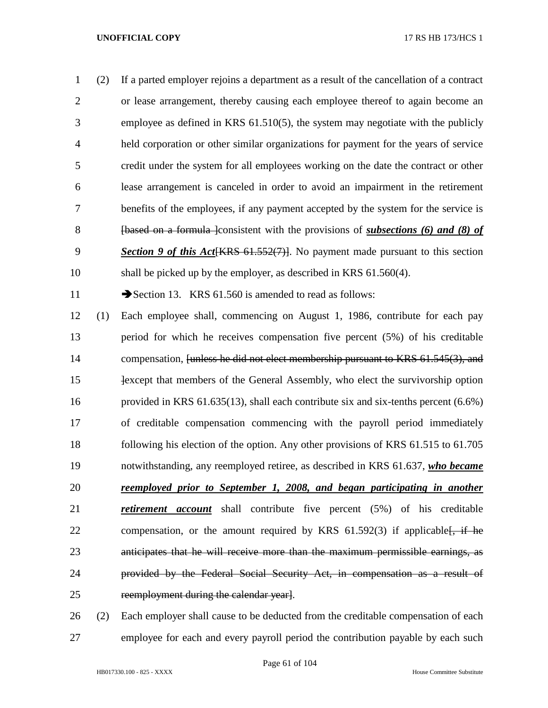(2) If a parted employer rejoins a department as a result of the cancellation of a contract or lease arrangement, thereby causing each employee thereof to again become an employee as defined in KRS 61.510(5), the system may negotiate with the publicly held corporation or other similar organizations for payment for the years of service credit under the system for all employees working on the date the contract or other lease arrangement is canceled in order to avoid an impairment in the retirement benefits of the employees, if any payment accepted by the system for the service is [based on a formula ]consistent with the provisions of *subsections (6) and (8) of Section 9 of this Act*[KRS 61.552(7)]. No payment made pursuant to this section shall be picked up by the employer, as described in KRS 61.560(4).

11 Section 13. KRS 61.560 is amended to read as follows:

 (1) Each employee shall, commencing on August 1, 1986, contribute for each pay period for which he receives compensation five percent (5%) of his creditable 14 compensation, [unless he did not elect membership pursuant to KRS 61.545(3), and **Example 15** Hexcept that members of the General Assembly, who elect the survivorship option provided in KRS 61.635(13), shall each contribute six and six-tenths percent (6.6%) of creditable compensation commencing with the payroll period immediately following his election of the option. Any other provisions of KRS 61.515 to 61.705 notwithstanding, any reemployed retiree, as described in KRS 61.637, *who became reemployed prior to September 1, 2008, and began participating in another retirement account* shall contribute five percent (5%) of his creditable 22 compensation, or the amount required by KRS  $61.592(3)$  if applicable  $\frac{1}{2}$ , if he anticipates that he will receive more than the maximum permissible earnings, as provided by the Federal Social Security Act, in compensation as a result of reemployment during the calendar year].

 (2) Each employer shall cause to be deducted from the creditable compensation of each employee for each and every payroll period the contribution payable by each such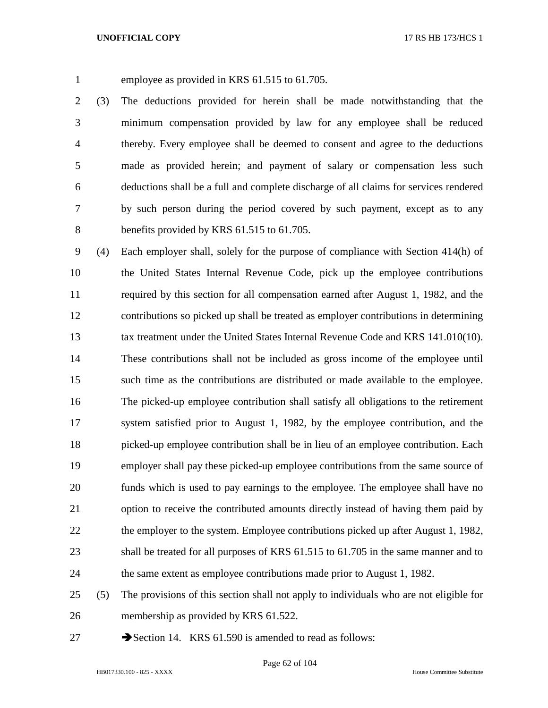employee as provided in KRS 61.515 to 61.705.

 (3) The deductions provided for herein shall be made notwithstanding that the minimum compensation provided by law for any employee shall be reduced thereby. Every employee shall be deemed to consent and agree to the deductions made as provided herein; and payment of salary or compensation less such deductions shall be a full and complete discharge of all claims for services rendered by such person during the period covered by such payment, except as to any benefits provided by KRS 61.515 to 61.705.

 (4) Each employer shall, solely for the purpose of compliance with Section 414(h) of the United States Internal Revenue Code, pick up the employee contributions required by this section for all compensation earned after August 1, 1982, and the contributions so picked up shall be treated as employer contributions in determining tax treatment under the United States Internal Revenue Code and KRS 141.010(10). These contributions shall not be included as gross income of the employee until such time as the contributions are distributed or made available to the employee. The picked-up employee contribution shall satisfy all obligations to the retirement system satisfied prior to August 1, 1982, by the employee contribution, and the picked-up employee contribution shall be in lieu of an employee contribution. Each employer shall pay these picked-up employee contributions from the same source of funds which is used to pay earnings to the employee. The employee shall have no option to receive the contributed amounts directly instead of having them paid by 22 the employer to the system. Employee contributions picked up after August 1, 1982, shall be treated for all purposes of KRS 61.515 to 61.705 in the same manner and to the same extent as employee contributions made prior to August 1, 1982.

- (5) The provisions of this section shall not apply to individuals who are not eligible for membership as provided by KRS 61.522.
- 
- 27 Section 14. KRS 61.590 is amended to read as follows: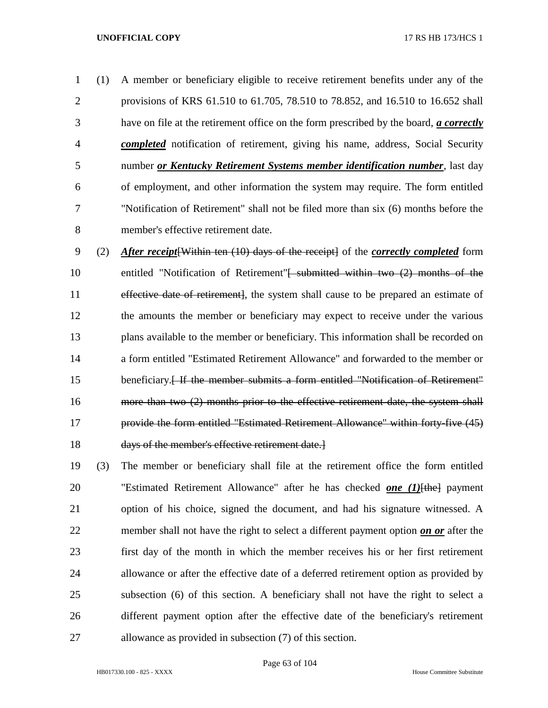(1) A member or beneficiary eligible to receive retirement benefits under any of the provisions of KRS 61.510 to 61.705, 78.510 to 78.852, and 16.510 to 16.652 shall have on file at the retirement office on the form prescribed by the board, *a correctly completed* notification of retirement, giving his name, address, Social Security number *or Kentucky Retirement Systems member identification number*, last day of employment, and other information the system may require. The form entitled "Notification of Retirement" shall not be filed more than six (6) months before the member's effective retirement date.

 (2) *After receipt*[Within ten (10) days of the receipt] of the *correctly completed* form 10 entitled "Notification of Retirement"<del>[ submitted within two (2) months of the</del> 11 effective date of retirement, the system shall cause to be prepared an estimate of the amounts the member or beneficiary may expect to receive under the various plans available to the member or beneficiary. This information shall be recorded on a form entitled "Estimated Retirement Allowance" and forwarded to the member or 15 beneficiary.<del>[If the member submits a form entitled "Notification of Retirement"</del> more than two (2) months prior to the effective retirement date, the system shall provide the form entitled "Estimated Retirement Allowance" within forty-five (45) days of the member's effective retirement date.]

 (3) The member or beneficiary shall file at the retirement office the form entitled "Estimated Retirement Allowance" after he has checked *one (1)*[the] payment option of his choice, signed the document, and had his signature witnessed. A member shall not have the right to select a different payment option *on or* after the first day of the month in which the member receives his or her first retirement allowance or after the effective date of a deferred retirement option as provided by subsection (6) of this section. A beneficiary shall not have the right to select a different payment option after the effective date of the beneficiary's retirement allowance as provided in subsection (7) of this section.

Page 63 of 104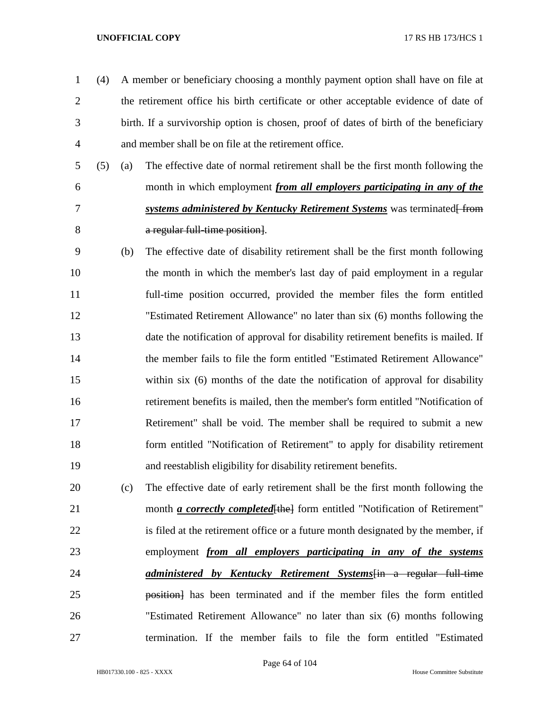- (4) A member or beneficiary choosing a monthly payment option shall have on file at the retirement office his birth certificate or other acceptable evidence of date of birth. If a survivorship option is chosen, proof of dates of birth of the beneficiary and member shall be on file at the retirement office.
- (5) (a) The effective date of normal retirement shall be the first month following the month in which employment *from all employers participating in any of the T systems administered by Kentucky Retirement Systems* was terminated from **a regular full-time position**.
- (b) The effective date of disability retirement shall be the first month following the month in which the member's last day of paid employment in a regular full-time position occurred, provided the member files the form entitled "Estimated Retirement Allowance" no later than six (6) months following the date the notification of approval for disability retirement benefits is mailed. If the member fails to file the form entitled "Estimated Retirement Allowance" within six (6) months of the date the notification of approval for disability retirement benefits is mailed, then the member's form entitled "Notification of Retirement" shall be void. The member shall be required to submit a new form entitled "Notification of Retirement" to apply for disability retirement and reestablish eligibility for disability retirement benefits.
- (c) The effective date of early retirement shall be the first month following the 21 month *a correctly completed* [the] form entitled "Notification of Retirement" is filed at the retirement office or a future month designated by the member, if employment *from all employers participating in any of the systems administered by Kentucky Retirement Systems*[in a regular full-time **position** has been terminated and if the member files the form entitled "Estimated Retirement Allowance" no later than six (6) months following termination. If the member fails to file the form entitled "Estimated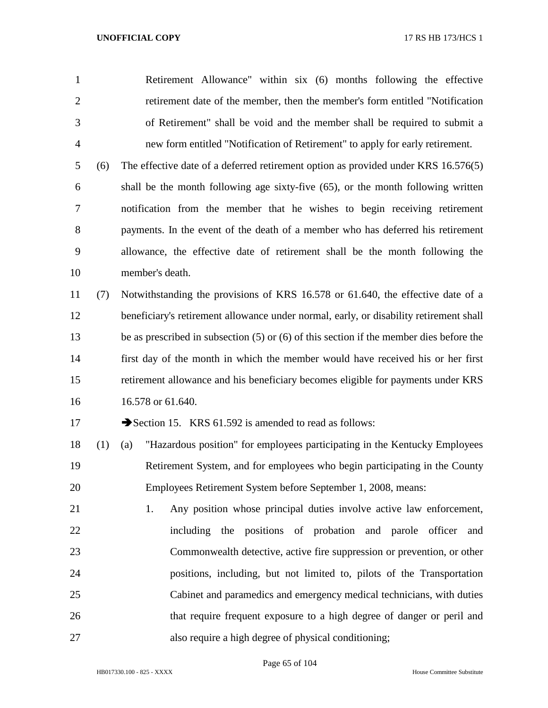Retirement Allowance" within six (6) months following the effective retirement date of the member, then the member's form entitled "Notification of Retirement" shall be void and the member shall be required to submit a new form entitled "Notification of Retirement" to apply for early retirement.

 (6) The effective date of a deferred retirement option as provided under KRS 16.576(5) shall be the month following age sixty-five (65), or the month following written notification from the member that he wishes to begin receiving retirement payments. In the event of the death of a member who has deferred his retirement allowance, the effective date of retirement shall be the month following the member's death.

 (7) Notwithstanding the provisions of KRS 16.578 or 61.640, the effective date of a beneficiary's retirement allowance under normal, early, or disability retirement shall be as prescribed in subsection (5) or (6) of this section if the member dies before the first day of the month in which the member would have received his or her first retirement allowance and his beneficiary becomes eligible for payments under KRS 16.578 or 61.640.

17 Section 15. KRS 61.592 is amended to read as follows:

 (1) (a) "Hazardous position" for employees participating in the Kentucky Employees Retirement System, and for employees who begin participating in the County Employees Retirement System before September 1, 2008, means:

 1. Any position whose principal duties involve active law enforcement, including the positions of probation and parole officer and Commonwealth detective, active fire suppression or prevention, or other positions, including, but not limited to, pilots of the Transportation Cabinet and paramedics and emergency medical technicians, with duties that require frequent exposure to a high degree of danger or peril and also require a high degree of physical conditioning;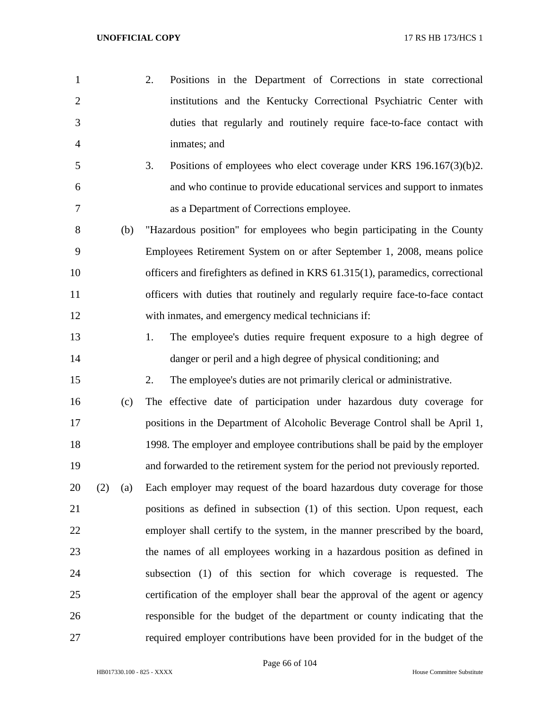2. Positions in the Department of Corrections in state correctional institutions and the Kentucky Correctional Psychiatric Center with duties that regularly and routinely require face-to-face contact with inmates; and 3. Positions of employees who elect coverage under KRS 196.167(3)(b)2. and who continue to provide educational services and support to inmates as a Department of Corrections employee. (b) "Hazardous position" for employees who begin participating in the County Employees Retirement System on or after September 1, 2008, means police officers and firefighters as defined in KRS 61.315(1), paramedics, correctional officers with duties that routinely and regularly require face-to-face contact with inmates, and emergency medical technicians if: 1. The employee's duties require frequent exposure to a high degree of danger or peril and a high degree of physical conditioning; and 2. The employee's duties are not primarily clerical or administrative. (c) The effective date of participation under hazardous duty coverage for positions in the Department of Alcoholic Beverage Control shall be April 1, 1998. The employer and employee contributions shall be paid by the employer and forwarded to the retirement system for the period not previously reported. (2) (a) Each employer may request of the board hazardous duty coverage for those positions as defined in subsection (1) of this section. Upon request, each employer shall certify to the system, in the manner prescribed by the board, the names of all employees working in a hazardous position as defined in subsection (1) of this section for which coverage is requested. The certification of the employer shall bear the approval of the agent or agency responsible for the budget of the department or county indicating that the required employer contributions have been provided for in the budget of the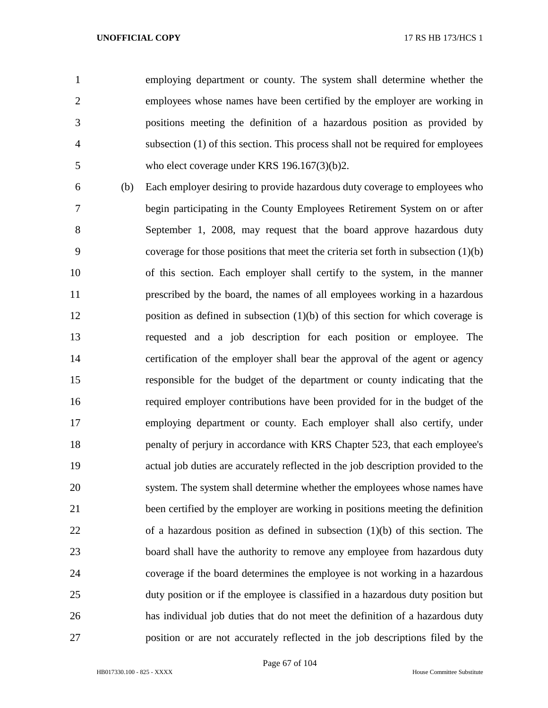employing department or county. The system shall determine whether the employees whose names have been certified by the employer are working in positions meeting the definition of a hazardous position as provided by subsection (1) of this section. This process shall not be required for employees 5 who elect coverage under KRS 196.167(3)(b)2.

 (b) Each employer desiring to provide hazardous duty coverage to employees who begin participating in the County Employees Retirement System on or after September 1, 2008, may request that the board approve hazardous duty coverage for those positions that meet the criteria set forth in subsection (1)(b) of this section. Each employer shall certify to the system, in the manner prescribed by the board, the names of all employees working in a hazardous position as defined in subsection (1)(b) of this section for which coverage is requested and a job description for each position or employee. The certification of the employer shall bear the approval of the agent or agency responsible for the budget of the department or county indicating that the required employer contributions have been provided for in the budget of the employing department or county. Each employer shall also certify, under penalty of perjury in accordance with KRS Chapter 523, that each employee's actual job duties are accurately reflected in the job description provided to the system. The system shall determine whether the employees whose names have been certified by the employer are working in positions meeting the definition of a hazardous position as defined in subsection (1)(b) of this section. The board shall have the authority to remove any employee from hazardous duty coverage if the board determines the employee is not working in a hazardous duty position or if the employee is classified in a hazardous duty position but has individual job duties that do not meet the definition of a hazardous duty position or are not accurately reflected in the job descriptions filed by the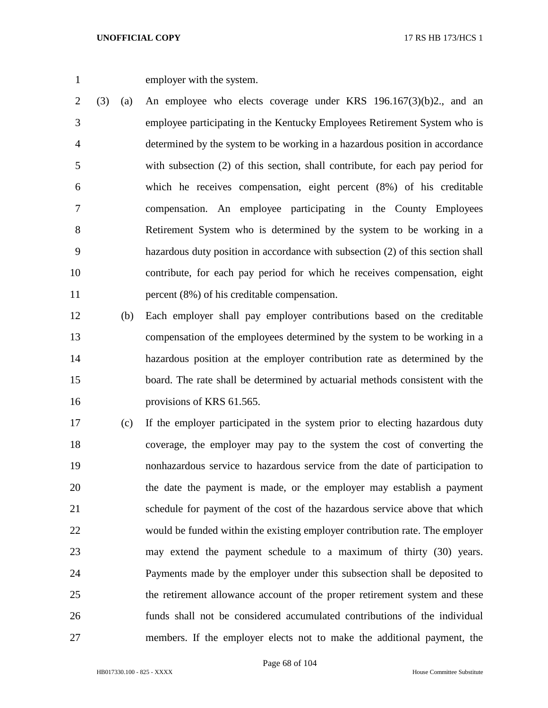employer with the system.

 (3) (a) An employee who elects coverage under KRS 196.167(3)(b)2., and an employee participating in the Kentucky Employees Retirement System who is determined by the system to be working in a hazardous position in accordance with subsection (2) of this section, shall contribute, for each pay period for which he receives compensation, eight percent (8%) of his creditable compensation. An employee participating in the County Employees Retirement System who is determined by the system to be working in a hazardous duty position in accordance with subsection (2) of this section shall contribute, for each pay period for which he receives compensation, eight 11 percent (8%) of his creditable compensation.

 (b) Each employer shall pay employer contributions based on the creditable compensation of the employees determined by the system to be working in a hazardous position at the employer contribution rate as determined by the board. The rate shall be determined by actuarial methods consistent with the 16 provisions of KRS 61.565.

 (c) If the employer participated in the system prior to electing hazardous duty coverage, the employer may pay to the system the cost of converting the nonhazardous service to hazardous service from the date of participation to the date the payment is made, or the employer may establish a payment schedule for payment of the cost of the hazardous service above that which would be funded within the existing employer contribution rate. The employer may extend the payment schedule to a maximum of thirty (30) years. Payments made by the employer under this subsection shall be deposited to the retirement allowance account of the proper retirement system and these funds shall not be considered accumulated contributions of the individual members. If the employer elects not to make the additional payment, the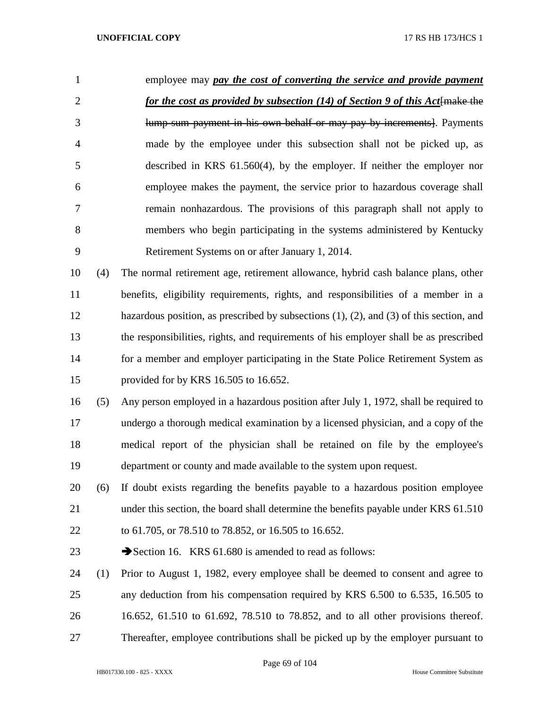| 1              |     | employee may pay the cost of converting the service and provide payment           |
|----------------|-----|-----------------------------------------------------------------------------------|
| 2              |     | for the cost as provided by subsection (14) of Section 9 of this Act[make the     |
| 3              |     | lump-sum payment in his own behalf or may pay by increments. Payments             |
| $\overline{4}$ |     | made by the employee under this subsection shall not be picked up, as             |
| 5              |     | described in KRS $61.560(4)$ , by the employer. If neither the employer nor       |
| 6              |     | employee makes the payment, the service prior to hazardous coverage shall         |
| 7              |     | remain nonhazardous. The provisions of this paragraph shall not apply to          |
| 8              |     | members who begin participating in the systems administered by Kentucky           |
| 9              |     | Retirement Systems on or after January 1, 2014.                                   |
| 10             | (4) | The normal retirement age, retirement allowance, hybrid cash balance plans, other |
|                |     |                                                                                   |

 benefits, eligibility requirements, rights, and responsibilities of a member in a hazardous position, as prescribed by subsections (1), (2), and (3) of this section, and the responsibilities, rights, and requirements of his employer shall be as prescribed for a member and employer participating in the State Police Retirement System as provided for by KRS 16.505 to 16.652.

- (5) Any person employed in a hazardous position after July 1, 1972, shall be required to undergo a thorough medical examination by a licensed physician, and a copy of the medical report of the physician shall be retained on file by the employee's department or county and made available to the system upon request.
- (6) If doubt exists regarding the benefits payable to a hazardous position employee 21 under this section, the board shall determine the benefits payable under KRS 61.510
- to 61.705, or 78.510 to 78.852, or 16.505 to 16.652.
- 23 Section 16. KRS 61.680 is amended to read as follows:
- (1) Prior to August 1, 1982, every employee shall be deemed to consent and agree to any deduction from his compensation required by KRS 6.500 to 6.535, 16.505 to 16.652, 61.510 to 61.692, 78.510 to 78.852, and to all other provisions thereof.
- Thereafter, employee contributions shall be picked up by the employer pursuant to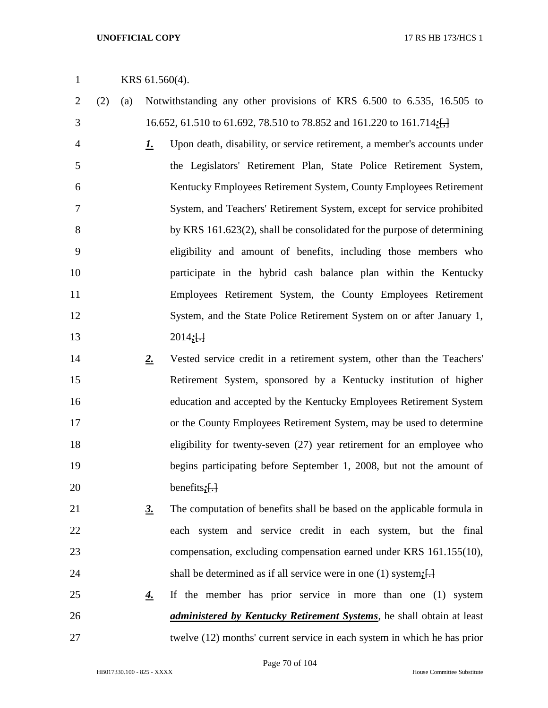# KRS 61.560(4).

- (2) (a) Notwithstanding any other provisions of KRS 6.500 to 6.535, 16.505 to 16.652, 61.510 to 61.692, 78.510 to 78.852 and 161.220 to 161.714*:*[,]
- *1.* Upon death, disability, or service retirement, a member's accounts under the Legislators' Retirement Plan, State Police Retirement System, Kentucky Employees Retirement System, County Employees Retirement System, and Teachers' Retirement System, except for service prohibited 8 by KRS 161.623(2), shall be consolidated for the purpose of determining eligibility and amount of benefits, including those members who participate in the hybrid cash balance plan within the Kentucky Employees Retirement System, the County Employees Retirement System, and the State Police Retirement System on or after January 1, 2014*;*[.]
- *2.* Vested service credit in a retirement system, other than the Teachers' Retirement System, sponsored by a Kentucky institution of higher education and accepted by the Kentucky Employees Retirement System or the County Employees Retirement System, may be used to determine 18 eligibility for twenty-seven (27) year retirement for an employee who begins participating before September 1, 2008, but not the amount of benefits*;*[.]
- *3.* The computation of benefits shall be based on the applicable formula in each system and service credit in each system, but the final compensation, excluding compensation earned under KRS 161.155(10), 24 shall be determined as if all service were in one (1) system;  $\Box$
- *4.* If the member has prior service in more than one (1) system *administered by Kentucky Retirement Systems*, he shall obtain at least twelve (12) months' current service in each system in which he has prior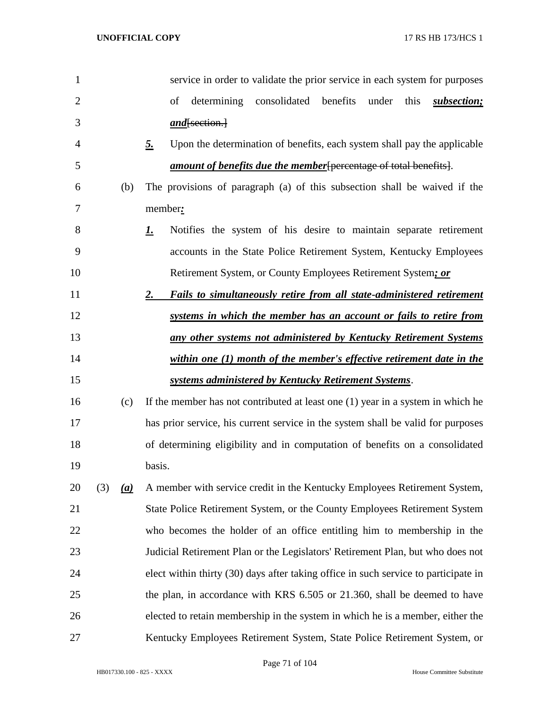| 1              |     |           | service in order to validate the prior service in each system for purposes          |
|----------------|-----|-----------|-------------------------------------------------------------------------------------|
| $\overline{2}$ |     |           | determining<br>consolidated benefits<br>under<br>this<br>of<br>subsection;          |
| 3              |     |           | and[section.]                                                                       |
| 4              |     | <u>5.</u> | Upon the determination of benefits, each system shall pay the applicable            |
| 5              |     |           | amount of benefits due the member [percentage of total benefits].                   |
| 6              |     | (b)       | The provisions of paragraph (a) of this subsection shall be waived if the           |
| 7              |     |           | member:                                                                             |
| 8              |     | <u>I.</u> | Notifies the system of his desire to maintain separate retirement                   |
| 9              |     |           | accounts in the State Police Retirement System, Kentucky Employees                  |
| 10             |     |           | Retirement System, or County Employees Retirement System; or                        |
| 11             |     |           | 2.<br><b>Fails to simultaneously retire from all state-administered retirement</b>  |
| 12             |     |           | systems in which the member has an account or fails to retire from                  |
| 13             |     |           | any other systems not administered by Kentucky Retirement Systems                   |
| 14             |     |           | within one (1) month of the member's effective retirement date in the               |
| 15             |     |           | systems administered by Kentucky Retirement Systems.                                |
| 16             |     | (c)       | If the member has not contributed at least one $(1)$ year in a system in which he   |
| 17             |     |           | has prior service, his current service in the system shall be valid for purposes    |
| 18             |     |           | of determining eligibility and in computation of benefits on a consolidated         |
| 19             |     |           | basis.                                                                              |
| 20             | (3) | (a)       | A member with service credit in the Kentucky Employees Retirement System,           |
| 21             |     |           | State Police Retirement System, or the County Employees Retirement System           |
| 22             |     |           | who becomes the holder of an office entitling him to membership in the              |
| 23             |     |           | Judicial Retirement Plan or the Legislators' Retirement Plan, but who does not      |
| 24             |     |           | elect within thirty (30) days after taking office in such service to participate in |
| 25             |     |           | the plan, in accordance with KRS 6.505 or 21.360, shall be deemed to have           |
| 26             |     |           | elected to retain membership in the system in which he is a member, either the      |
| 27             |     |           | Kentucky Employees Retirement System, State Police Retirement System, or            |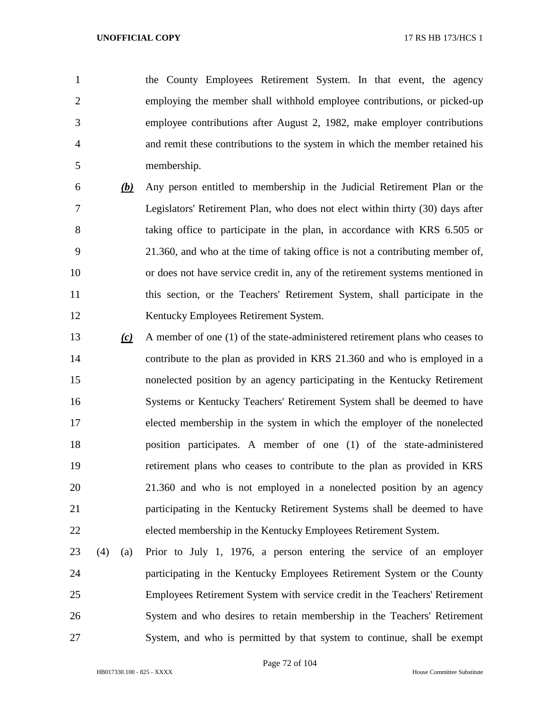the County Employees Retirement System. In that event, the agency employing the member shall withhold employee contributions, or picked-up employee contributions after August 2, 1982, make employer contributions and remit these contributions to the system in which the member retained his membership.

- *(b)* Any person entitled to membership in the Judicial Retirement Plan or the Legislators' Retirement Plan, who does not elect within thirty (30) days after taking office to participate in the plan, in accordance with KRS 6.505 or 21.360, and who at the time of taking office is not a contributing member of, or does not have service credit in, any of the retirement systems mentioned in this section, or the Teachers' Retirement System, shall participate in the Kentucky Employees Retirement System.
- *(c)* A member of one (1) of the state-administered retirement plans who ceases to contribute to the plan as provided in KRS 21.360 and who is employed in a nonelected position by an agency participating in the Kentucky Retirement Systems or Kentucky Teachers' Retirement System shall be deemed to have elected membership in the system in which the employer of the nonelected position participates. A member of one (1) of the state-administered retirement plans who ceases to contribute to the plan as provided in KRS 21.360 and who is not employed in a nonelected position by an agency participating in the Kentucky Retirement Systems shall be deemed to have elected membership in the Kentucky Employees Retirement System.
- (4) (a) Prior to July 1, 1976, a person entering the service of an employer participating in the Kentucky Employees Retirement System or the County Employees Retirement System with service credit in the Teachers' Retirement System and who desires to retain membership in the Teachers' Retirement System, and who is permitted by that system to continue, shall be exempt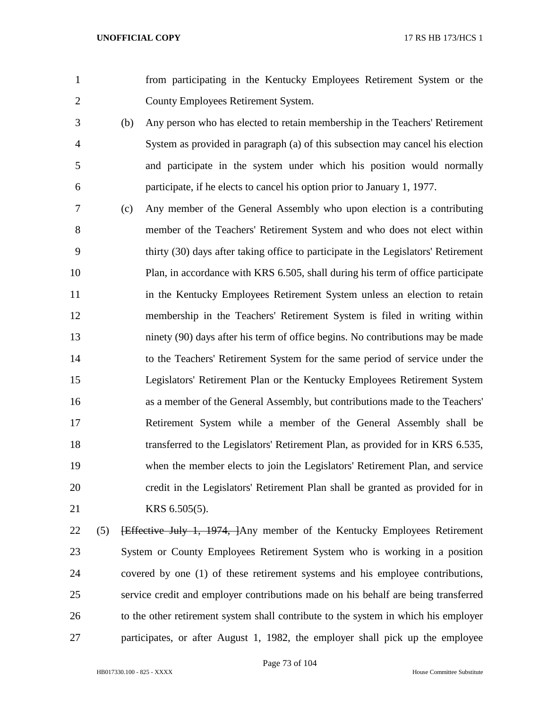from participating in the Kentucky Employees Retirement System or the County Employees Retirement System.

- (b) Any person who has elected to retain membership in the Teachers' Retirement System as provided in paragraph (a) of this subsection may cancel his election and participate in the system under which his position would normally participate, if he elects to cancel his option prior to January 1, 1977.
- (c) Any member of the General Assembly who upon election is a contributing member of the Teachers' Retirement System and who does not elect within thirty (30) days after taking office to participate in the Legislators' Retirement Plan, in accordance with KRS 6.505, shall during his term of office participate 11 in the Kentucky Employees Retirement System unless an election to retain membership in the Teachers' Retirement System is filed in writing within ninety (90) days after his term of office begins. No contributions may be made to the Teachers' Retirement System for the same period of service under the Legislators' Retirement Plan or the Kentucky Employees Retirement System as a member of the General Assembly, but contributions made to the Teachers' Retirement System while a member of the General Assembly shall be transferred to the Legislators' Retirement Plan, as provided for in KRS 6.535, when the member elects to join the Legislators' Retirement Plan, and service credit in the Legislators' Retirement Plan shall be granted as provided for in KRS 6.505(5).
- 22 (5) <del>[Effective July 1, 1974, ]</del>Any member of the Kentucky Employees Retirement System or County Employees Retirement System who is working in a position covered by one (1) of these retirement systems and his employee contributions, service credit and employer contributions made on his behalf are being transferred to the other retirement system shall contribute to the system in which his employer participates, or after August 1, 1982, the employer shall pick up the employee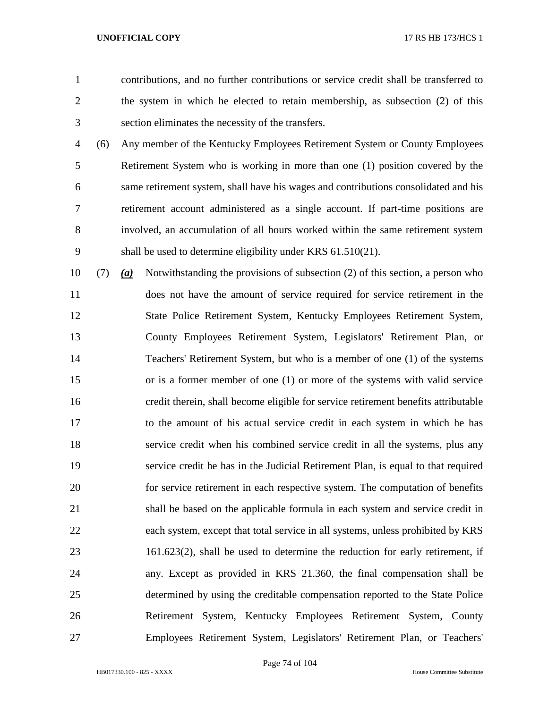contributions, and no further contributions or service credit shall be transferred to the system in which he elected to retain membership, as subsection (2) of this section eliminates the necessity of the transfers.

- (6) Any member of the Kentucky Employees Retirement System or County Employees Retirement System who is working in more than one (1) position covered by the same retirement system, shall have his wages and contributions consolidated and his retirement account administered as a single account. If part-time positions are involved, an accumulation of all hours worked within the same retirement system shall be used to determine eligibility under KRS 61.510(21).
- (7) *(a)* Notwithstanding the provisions of subsection (2) of this section, a person who does not have the amount of service required for service retirement in the State Police Retirement System, Kentucky Employees Retirement System, County Employees Retirement System, Legislators' Retirement Plan, or Teachers' Retirement System, but who is a member of one (1) of the systems or is a former member of one (1) or more of the systems with valid service credit therein, shall become eligible for service retirement benefits attributable to the amount of his actual service credit in each system in which he has service credit when his combined service credit in all the systems, plus any service credit he has in the Judicial Retirement Plan, is equal to that required for service retirement in each respective system. The computation of benefits shall be based on the applicable formula in each system and service credit in each system, except that total service in all systems, unless prohibited by KRS 161.623(2), shall be used to determine the reduction for early retirement, if any. Except as provided in KRS 21.360, the final compensation shall be determined by using the creditable compensation reported to the State Police Retirement System, Kentucky Employees Retirement System, County Employees Retirement System, Legislators' Retirement Plan, or Teachers'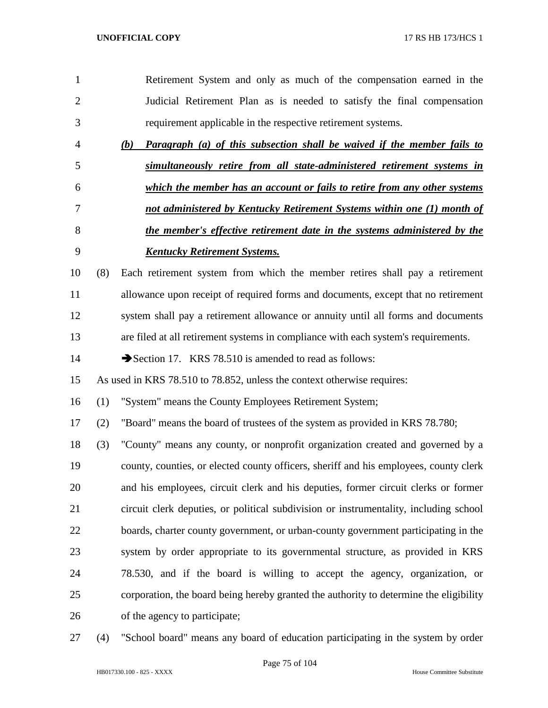|     | Retirement System and only as much of the compensation earned in the                   |
|-----|----------------------------------------------------------------------------------------|
|     | Judicial Retirement Plan as is needed to satisfy the final compensation                |
|     | requirement applicable in the respective retirement systems.                           |
|     | <b>Paragraph</b> (a) of this subsection shall be waived if the member fails to<br>(b)  |
|     | simultaneously retire from all state-administered retirement systems in                |
|     | which the member has an account or fails to retire from any other systems              |
|     | not administered by Kentucky Retirement Systems within one (1) month of                |
|     | the member's effective retirement date in the systems administered by the              |
|     | <b>Kentucky Retirement Systems.</b>                                                    |
| (8) | Each retirement system from which the member retires shall pay a retirement            |
|     | allowance upon receipt of required forms and documents, except that no retirement      |
|     | system shall pay a retirement allowance or annuity until all forms and documents       |
|     | are filed at all retirement systems in compliance with each system's requirements.     |
|     | Section 17. KRS 78.510 is amended to read as follows:                                  |
|     | As used in KRS 78.510 to 78.852, unless the context otherwise requires:                |
| (1) | "System" means the County Employees Retirement System;                                 |
| (2) | "Board" means the board of trustees of the system as provided in KRS 78.780;           |
| (3) | "County" means any county, or nonprofit organization created and governed by a         |
|     | county, counties, or elected county officers, sheriff and his employees, county clerk  |
|     | and his employees, circuit clerk and his deputies, former circuit clerks or former     |
|     | circuit clerk deputies, or political subdivision or instrumentality, including school  |
|     | boards, charter county government, or urban-county government participating in the     |
|     | system by order appropriate to its governmental structure, as provided in KRS          |
|     | 78.530, and if the board is willing to accept the agency, organization, or             |
|     | corporation, the board being hereby granted the authority to determine the eligibility |
|     |                                                                                        |
|     |                                                                                        |

(4) "School board" means any board of education participating in the system by order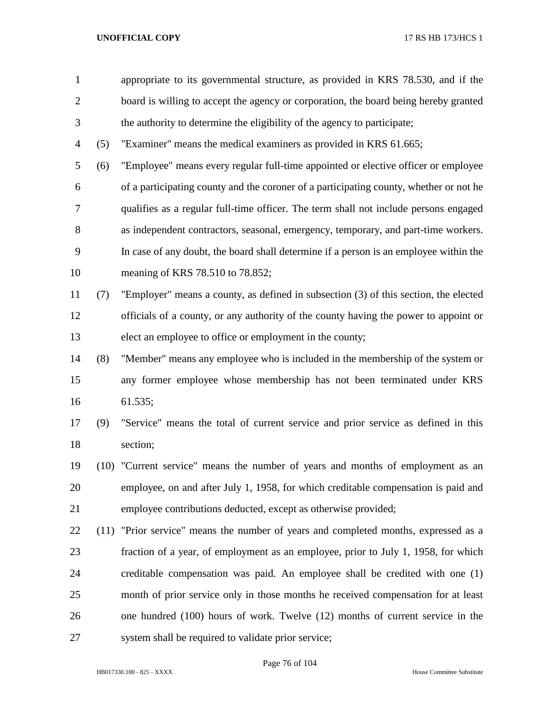appropriate to its governmental structure, as provided in KRS 78.530, and if the board is willing to accept the agency or corporation, the board being hereby granted the authority to determine the eligibility of the agency to participate;

(5) "Examiner" means the medical examiners as provided in KRS 61.665;

 (6) "Employee" means every regular full-time appointed or elective officer or employee of a participating county and the coroner of a participating county, whether or not he qualifies as a regular full-time officer. The term shall not include persons engaged as independent contractors, seasonal, emergency, temporary, and part-time workers. In case of any doubt, the board shall determine if a person is an employee within the meaning of KRS 78.510 to 78.852;

 (7) "Employer" means a county, as defined in subsection (3) of this section, the elected officials of a county, or any authority of the county having the power to appoint or elect an employee to office or employment in the county;

- (8) "Member" means any employee who is included in the membership of the system or any former employee whose membership has not been terminated under KRS 61.535;
- (9) "Service" means the total of current service and prior service as defined in this section;
- (10) "Current service" means the number of years and months of employment as an employee, on and after July 1, 1958, for which creditable compensation is paid and employee contributions deducted, except as otherwise provided;
- (11) "Prior service" means the number of years and completed months, expressed as a fraction of a year, of employment as an employee, prior to July 1, 1958, for which creditable compensation was paid. An employee shall be credited with one (1) month of prior service only in those months he received compensation for at least one hundred (100) hours of work. Twelve (12) months of current service in the system shall be required to validate prior service;

Page 76 of 104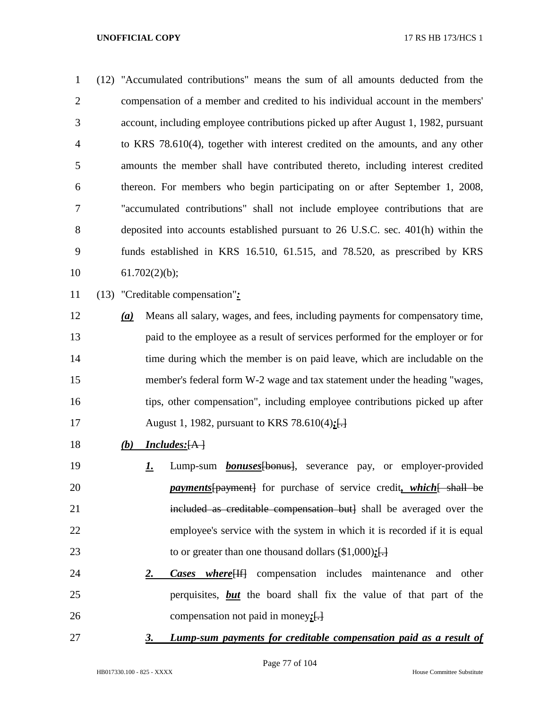| $\mathbf{1}$   |     | (12) "Accumulated contributions" means the sum of all amounts deducted from the    |
|----------------|-----|------------------------------------------------------------------------------------|
| $\overline{2}$ |     | compensation of a member and credited to his individual account in the members'    |
| 3              |     | account, including employee contributions picked up after August 1, 1982, pursuant |
| $\overline{4}$ |     | to KRS 78.610(4), together with interest credited on the amounts, and any other    |
| 5              |     | amounts the member shall have contributed thereto, including interest credited     |
| 6              |     | thereon. For members who begin participating on or after September 1, 2008,        |
| 7              |     | "accumulated contributions" shall not include employee contributions that are      |
| 8              |     | deposited into accounts established pursuant to 26 U.S.C. sec. 401(h) within the   |
| 9              |     | funds established in KRS 16.510, 61.515, and 78.520, as prescribed by KRS          |
| 10             |     | 61.702(2)(b);                                                                      |
| 11             |     | (13) "Creditable compensation":                                                    |
| 12             | (a) | Means all salary, wages, and fees, including payments for compensatory time,       |
| 13             |     | paid to the employee as a result of services performed for the employer or for     |
| 14             |     | time during which the member is on paid leave, which are includable on the         |
| 15             |     | member's federal form W-2 wage and tax statement under the heading "wages,         |
|                |     |                                                                                    |

- tips, other compensation", including employee contributions picked up after
- August 1, 1982, pursuant to KRS 78.610(4)*;*[.]
- *(b) Includes:*[A ]
- *1.* Lump-sum *bonuses*[bonus], severance pay, or employer-provided *payments* [payment] for purchase of service credit, which [ shall be 21 included as creditable compensation but] shall be averaged over the employee's service with the system in which it is recorded if it is equal 23 to or greater than one thousand dollars (\$1,000); [.]
- *2. Cases where*[If] compensation includes maintenance and other perquisites, *but* the board shall fix the value of that part of the compensation not paid in money*;*[.]
- 

# *3. Lump-sum payments for creditable compensation paid as a result of*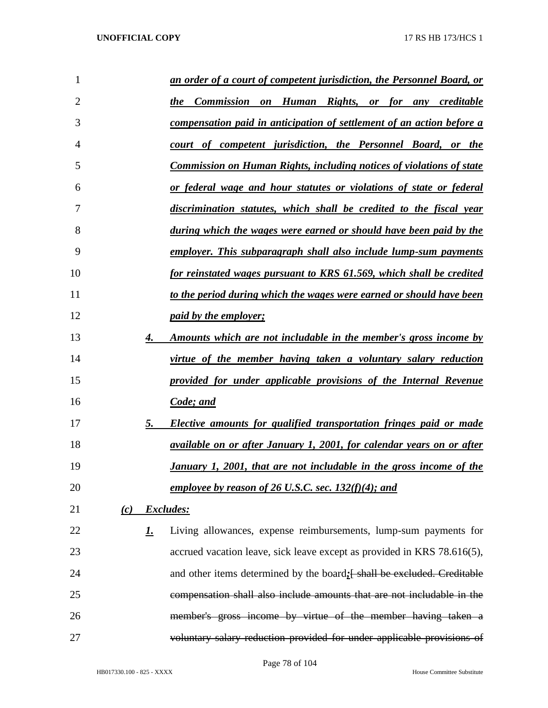| 1              |     |           | an order of a court of competent jurisdiction, the Personnel Board, or       |
|----------------|-----|-----------|------------------------------------------------------------------------------|
| $\overline{2}$ |     |           | the Commission on Human Rights, or for any creditable                        |
| 3              |     |           | compensation paid in anticipation of settlement of an action before a        |
| 4              |     |           | court of competent jurisdiction, the Personnel Board, or the                 |
| 5              |     |           | <b>Commission on Human Rights, including notices of violations of state</b>  |
| 6              |     |           | or federal wage and hour statutes or violations of state or federal          |
| 7              |     |           | discrimination statutes, which shall be credited to the fiscal year          |
| 8              |     |           | <u>during which the wages were earned or should have been paid by the</u>    |
| 9              |     |           | employer. This subparagraph shall also include lump-sum payments             |
| 10             |     |           | for reinstated wages pursuant to KRS 61.569, which shall be credited         |
| 11             |     |           | to the period during which the wages were earned or should have been         |
| 12             |     |           | <i>paid by the employer;</i>                                                 |
| 13             |     | 4.        | <u>Amounts which are not includable in the member's gross income by</u>      |
| 14             |     |           | virtue of the member having taken a voluntary salary reduction               |
| 15             |     |           | provided for under applicable provisions of the Internal Revenue             |
| 16             |     |           | Code; and                                                                    |
| 17             |     | 5.        | Elective amounts for qualified transportation fringes paid or made           |
| 18             |     |           | <i>available on or after January 1, 2001, for calendar years on or after</i> |
| 19             |     |           | January 1, 2001, that are not includable in the gross income of the          |
| 20             |     |           | employee by reason of 26 U.S.C. sec. $132(f)(4)$ ; and                       |
| 21             | (c) |           | Excludes:                                                                    |
| 22             |     | <u>1.</u> | Living allowances, expense reimbursements, lump-sum payments for             |
| 23             |     |           | accrued vacation leave, sick leave except as provided in KRS 78.616(5),      |
| 24             |     |           | and other items determined by the board; [shall be excluded. Creditable      |
| 25             |     |           | compensation shall also include amounts that are not includable in the       |
| 26             |     |           | member's gross income by virtue of the member having taken a                 |
| 27             |     |           | voluntary salary reduction provided for under applicable provisions of       |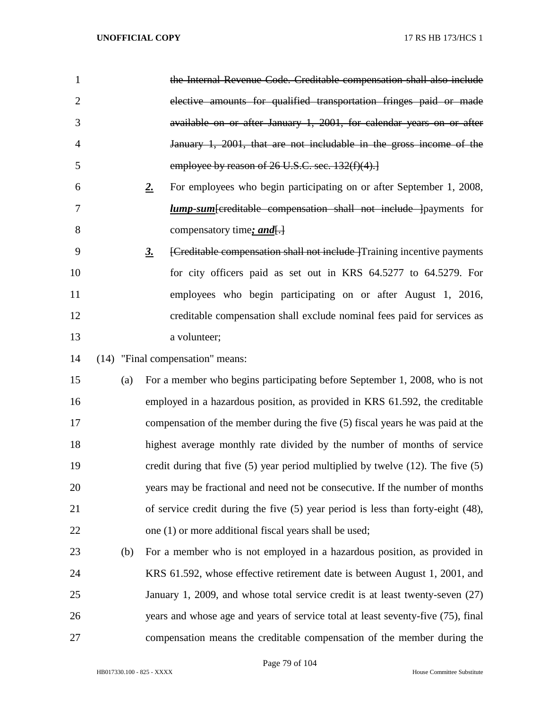| $\mathbf{1}$   |     | the Internal Revenue Code. Creditable compensation shall also include                       |
|----------------|-----|---------------------------------------------------------------------------------------------|
| $\overline{2}$ |     | elective amounts for qualified transportation fringes paid or made                          |
| 3              |     | available on or after January 1, 2001, for calendar years on or after                       |
| $\overline{4}$ |     | January 1, 2001, that are not includable in the gross income of the                         |
| 5              |     | employee by reason of 26 U.S.C. sec. 132(f)(4).]                                            |
| 6              |     | For employees who begin participating on or after September 1, 2008,<br>2.                  |
| 7              |     | <b>lump-sum</b> [creditable compensation shall not include ] payments for                   |
| 8              |     | compensatory time; and.                                                                     |
| 9              |     | [Creditable compensation shall not include Training incentive payments<br>$\underline{3}$ . |
| 10             |     | for city officers paid as set out in KRS 64.5277 to 64.5279. For                            |
| 11             |     | employees who begin participating on or after August 1, 2016,                               |
| 12             |     | creditable compensation shall exclude nominal fees paid for services as                     |
| 13             |     | a volunteer;                                                                                |
| 14             |     | (14) "Final compensation" means:                                                            |
| 15             | (a) | For a member who begins participating before September 1, 2008, who is not                  |
| 16             |     | employed in a hazardous position, as provided in KRS 61.592, the creditable                 |
| 17             |     | compensation of the member during the five (5) fiscal years he was paid at the              |
| 18             |     | highest average monthly rate divided by the number of months of service                     |
| 19             |     | credit during that five $(5)$ year period multiplied by twelve $(12)$ . The five $(5)$      |
| 20             |     | years may be fractional and need not be consecutive. If the number of months                |
| 21             |     | of service credit during the five $(5)$ year period is less than forty-eight $(48)$ ,       |
| 22             |     | one (1) or more additional fiscal years shall be used;                                      |
| 23             | (b) | For a member who is not employed in a hazardous position, as provided in                    |
| 24             |     | KRS 61.592, whose effective retirement date is between August 1, 2001, and                  |
| 25             |     | January 1, 2009, and whose total service credit is at least twenty-seven (27)               |
| 26             |     | years and whose age and years of service total at least seventy-five (75), final            |
| 27             |     | compensation means the creditable compensation of the member during the                     |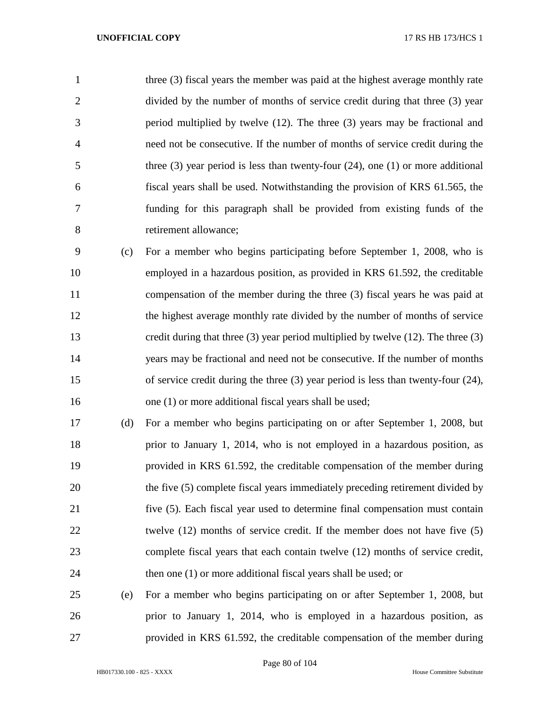1 three (3) fiscal years the member was paid at the highest average monthly rate divided by the number of months of service credit during that three (3) year period multiplied by twelve (12). The three (3) years may be fractional and need not be consecutive. If the number of months of service credit during the three (3) year period is less than twenty-four (24), one (1) or more additional fiscal years shall be used. Notwithstanding the provision of KRS 61.565, the funding for this paragraph shall be provided from existing funds of the retirement allowance;

 (c) For a member who begins participating before September 1, 2008, who is employed in a hazardous position, as provided in KRS 61.592, the creditable compensation of the member during the three (3) fiscal years he was paid at the highest average monthly rate divided by the number of months of service credit during that three (3) year period multiplied by twelve (12). The three (3) years may be fractional and need not be consecutive. If the number of months of service credit during the three (3) year period is less than twenty-four (24), 16 one (1) or more additional fiscal years shall be used;

 (d) For a member who begins participating on or after September 1, 2008, but prior to January 1, 2014, who is not employed in a hazardous position, as provided in KRS 61.592, the creditable compensation of the member during 20 the five (5) complete fiscal years immediately preceding retirement divided by five (5). Each fiscal year used to determine final compensation must contain 22 twelve (12) months of service credit. If the member does not have five (5) complete fiscal years that each contain twelve (12) months of service credit, 24 then one (1) or more additional fiscal years shall be used; or

 (e) For a member who begins participating on or after September 1, 2008, but prior to January 1, 2014, who is employed in a hazardous position, as provided in KRS 61.592, the creditable compensation of the member during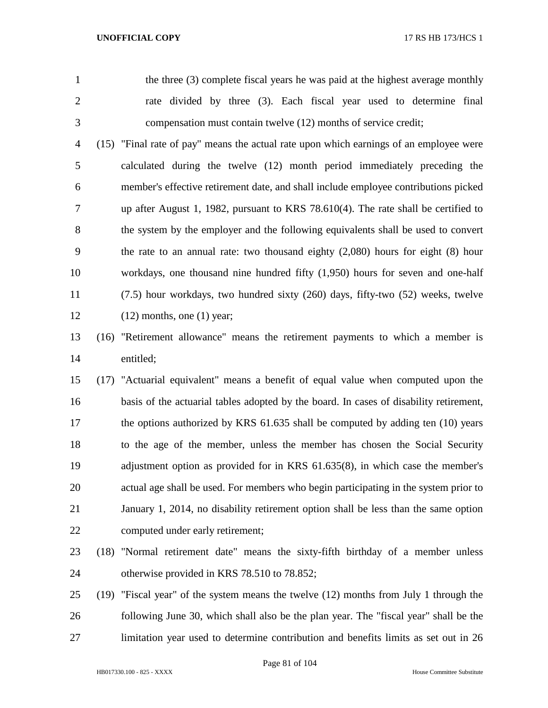the three (3) complete fiscal years he was paid at the highest average monthly rate divided by three (3). Each fiscal year used to determine final compensation must contain twelve (12) months of service credit;

 (15) "Final rate of pay" means the actual rate upon which earnings of an employee were calculated during the twelve (12) month period immediately preceding the member's effective retirement date, and shall include employee contributions picked up after August 1, 1982, pursuant to KRS 78.610(4). The rate shall be certified to the system by the employer and the following equivalents shall be used to convert the rate to an annual rate: two thousand eighty (2,080) hours for eight (8) hour workdays, one thousand nine hundred fifty (1,950) hours for seven and one-half (7.5) hour workdays, two hundred sixty (260) days, fifty-two (52) weeks, twelve  $(12)$  months, one  $(1)$  year;

 (16) "Retirement allowance" means the retirement payments to which a member is entitled;

 (17) "Actuarial equivalent" means a benefit of equal value when computed upon the basis of the actuarial tables adopted by the board. In cases of disability retirement, 17 the options authorized by KRS 61.635 shall be computed by adding ten (10) years to the age of the member, unless the member has chosen the Social Security adjustment option as provided for in KRS 61.635(8), in which case the member's actual age shall be used. For members who begin participating in the system prior to January 1, 2014, no disability retirement option shall be less than the same option computed under early retirement;

- (18) "Normal retirement date" means the sixty-fifth birthday of a member unless otherwise provided in KRS 78.510 to 78.852;
- (19) "Fiscal year" of the system means the twelve (12) months from July 1 through the following June 30, which shall also be the plan year. The "fiscal year" shall be the limitation year used to determine contribution and benefits limits as set out in 26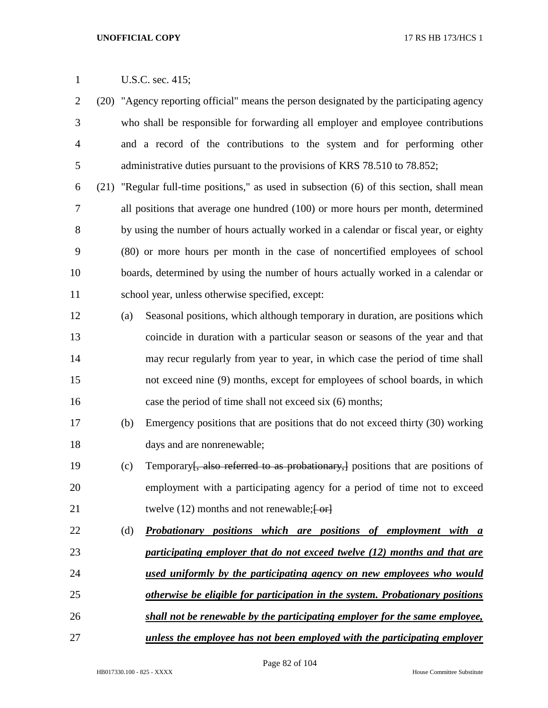- (20) "Agency reporting official" means the person designated by the participating agency who shall be responsible for forwarding all employer and employee contributions and a record of the contributions to the system and for performing other 5 administrative duties pursuant to the provisions of KRS 78.510 to 78.852;
- (21) "Regular full-time positions," as used in subsection (6) of this section, shall mean all positions that average one hundred (100) or more hours per month, determined by using the number of hours actually worked in a calendar or fiscal year, or eighty (80) or more hours per month in the case of noncertified employees of school boards, determined by using the number of hours actually worked in a calendar or school year, unless otherwise specified, except:
- (a) Seasonal positions, which although temporary in duration, are positions which coincide in duration with a particular season or seasons of the year and that may recur regularly from year to year, in which case the period of time shall not exceed nine (9) months, except for employees of school boards, in which case the period of time shall not exceed six (6) months;
- (b) Emergency positions that are positions that do not exceed thirty (30) working 18 days and are nonrenewable;
- 19 (c) Temporary<del>, also referred to as probationary, positions that are positions of</del> employment with a participating agency for a period of time not to exceed 21 twelve (12) months and not renewable; [-or]
- (d) *Probationary positions which are positions of employment with a participating employer that do not exceed twelve (12) months and that are used uniformly by the participating agency on new employees who would otherwise be eligible for participation in the system. Probationary positions*
- *shall not be renewable by the participating employer for the same employee,*
- *unless the employee has not been employed with the participating employer*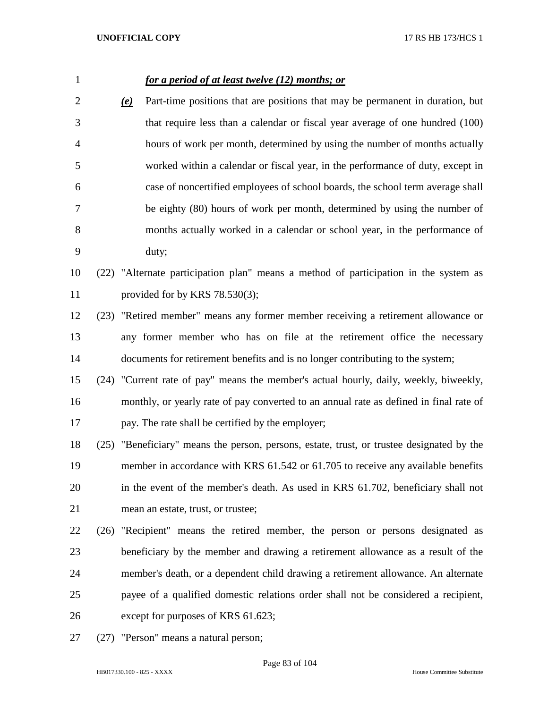| $\mathbf{1}$ |      |                           | for a period of at least twelve (12) months; or                                           |
|--------------|------|---------------------------|-------------------------------------------------------------------------------------------|
| 2            |      | $\left(\mathbf{e}\right)$ | Part-time positions that are positions that may be permanent in duration, but             |
| 3            |      |                           | that require less than a calendar or fiscal year average of one hundred (100)             |
| 4            |      |                           | hours of work per month, determined by using the number of months actually                |
| 5            |      |                           | worked within a calendar or fiscal year, in the performance of duty, except in            |
| 6            |      |                           | case of noncertified employees of school boards, the school term average shall            |
| 7            |      |                           | be eighty (80) hours of work per month, determined by using the number of                 |
| 8            |      |                           | months actually worked in a calendar or school year, in the performance of                |
| 9            |      |                           | duty;                                                                                     |
| 10           |      |                           | (22) "Alternate participation plan" means a method of participation in the system as      |
| 11           |      |                           | provided for by KRS $78.530(3)$ ;                                                         |
| 12           |      |                           | (23) "Retired member" means any former member receiving a retirement allowance or         |
| 13           |      |                           | any former member who has on file at the retirement office the necessary                  |
| 14           |      |                           | documents for retirement benefits and is no longer contributing to the system;            |
| 15           |      |                           | (24) "Current rate of pay" means the member's actual hourly, daily, weekly, biweekly,     |
| 16           |      |                           | monthly, or yearly rate of pay converted to an annual rate as defined in final rate of    |
| 17           |      |                           | pay. The rate shall be certified by the employer;                                         |
| 18           |      |                           | (25) "Beneficiary" means the person, persons, estate, trust, or trustee designated by the |
| 19           |      |                           | member in accordance with KRS 61.542 or 61.705 to receive any available benefits          |
| 20           |      |                           | in the event of the member's death. As used in KRS 61.702, beneficiary shall not          |
| 21           |      |                           | mean an estate, trust, or trustee;                                                        |
| 22           | (26) |                           | "Recipient" means the retired member, the person or persons designated as                 |
| 23           |      |                           | beneficiary by the member and drawing a retirement allowance as a result of the           |
| 24           |      |                           | member's death, or a dependent child drawing a retirement allowance. An alternate         |
| 25           |      |                           | payee of a qualified domestic relations order shall not be considered a recipient,        |
| 26           |      |                           | except for purposes of KRS 61.623;                                                        |
| 27           | (27) |                           | "Person" means a natural person;                                                          |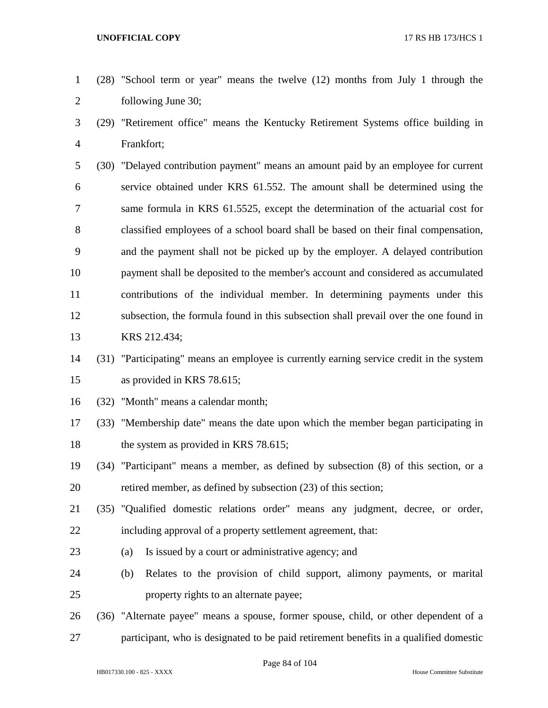- (28) "School term or year" means the twelve (12) months from July 1 through the following June 30;
- (29) "Retirement office" means the Kentucky Retirement Systems office building in Frankfort;
- (30) "Delayed contribution payment" means an amount paid by an employee for current service obtained under KRS 61.552. The amount shall be determined using the same formula in KRS 61.5525, except the determination of the actuarial cost for classified employees of a school board shall be based on their final compensation, and the payment shall not be picked up by the employer. A delayed contribution payment shall be deposited to the member's account and considered as accumulated contributions of the individual member. In determining payments under this subsection, the formula found in this subsection shall prevail over the one found in KRS 212.434;
- (31) "Participating" means an employee is currently earning service credit in the system as provided in KRS 78.615;
- (32) "Month" means a calendar month;
- (33) "Membership date" means the date upon which the member began participating in 18 the system as provided in KRS 78.615;
- (34) "Participant" means a member, as defined by subsection (8) of this section, or a retired member, as defined by subsection (23) of this section;
- (35) "Qualified domestic relations order" means any judgment, decree, or order, including approval of a property settlement agreement, that:
- (a) Is issued by a court or administrative agency; and
- (b) Relates to the provision of child support, alimony payments, or marital property rights to an alternate payee;
- (36) "Alternate payee" means a spouse, former spouse, child, or other dependent of a
- participant, who is designated to be paid retirement benefits in a qualified domestic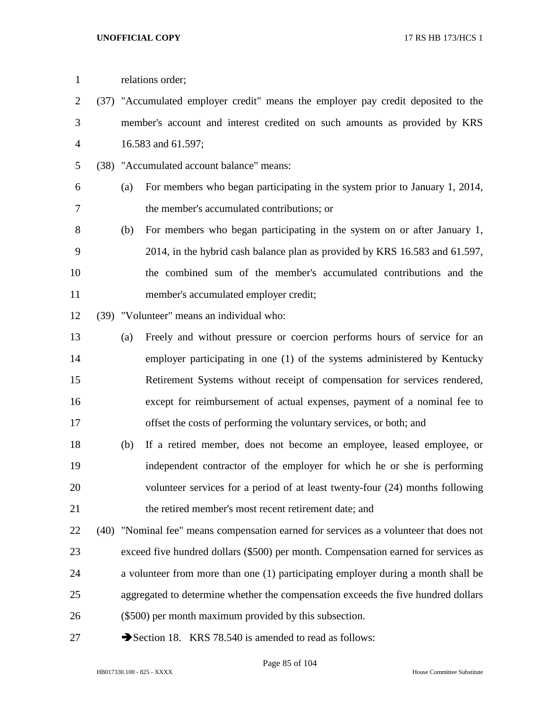| $\mathbf{1}$   | relations order;                                                                  |                                                                                        |  |  |
|----------------|-----------------------------------------------------------------------------------|----------------------------------------------------------------------------------------|--|--|
| $\overline{2}$ | (37) "Accumulated employer credit" means the employer pay credit deposited to the |                                                                                        |  |  |
| 3              |                                                                                   | member's account and interest credited on such amounts as provided by KRS              |  |  |
| 4              |                                                                                   | 16.583 and 61.597;                                                                     |  |  |
| 5              |                                                                                   | (38) "Accumulated account balance" means:                                              |  |  |
| 6              | (a)                                                                               | For members who began participating in the system prior to January 1, 2014,            |  |  |
| 7              |                                                                                   | the member's accumulated contributions; or                                             |  |  |
| 8              | (b)                                                                               | For members who began participating in the system on or after January 1,               |  |  |
| 9              |                                                                                   | 2014, in the hybrid cash balance plan as provided by KRS 16.583 and 61.597,            |  |  |
| 10             |                                                                                   | the combined sum of the member's accumulated contributions and the                     |  |  |
| 11             |                                                                                   | member's accumulated employer credit;                                                  |  |  |
| 12             |                                                                                   | (39) "Volunteer" means an individual who:                                              |  |  |
| 13             | (a)                                                                               | Freely and without pressure or coercion performs hours of service for an               |  |  |
| 14             |                                                                                   | employer participating in one (1) of the systems administered by Kentucky              |  |  |
| 15             |                                                                                   | Retirement Systems without receipt of compensation for services rendered,              |  |  |
| 16             |                                                                                   | except for reimbursement of actual expenses, payment of a nominal fee to               |  |  |
| 17             |                                                                                   | offset the costs of performing the voluntary services, or both; and                    |  |  |
| 18             | (b)                                                                               | If a retired member, does not become an employee, leased employee, or                  |  |  |
| 19             |                                                                                   | independent contractor of the employer for which he or she is performing               |  |  |
| 20             |                                                                                   | volunteer services for a period of at least twenty-four (24) months following          |  |  |
| 21             |                                                                                   | the retired member's most recent retirement date; and                                  |  |  |
| 22             |                                                                                   | (40) "Nominal fee" means compensation earned for services as a volunteer that does not |  |  |
| 23             |                                                                                   | exceed five hundred dollars (\$500) per month. Compensation earned for services as     |  |  |
| 24             |                                                                                   | a volunteer from more than one (1) participating employer during a month shall be      |  |  |
| 25             |                                                                                   | aggregated to determine whether the compensation exceeds the five hundred dollars      |  |  |
| 26             |                                                                                   | (\$500) per month maximum provided by this subsection.                                 |  |  |
| 27             |                                                                                   | Section 18. KRS 78.540 is amended to read as follows:                                  |  |  |

Page 85 of 104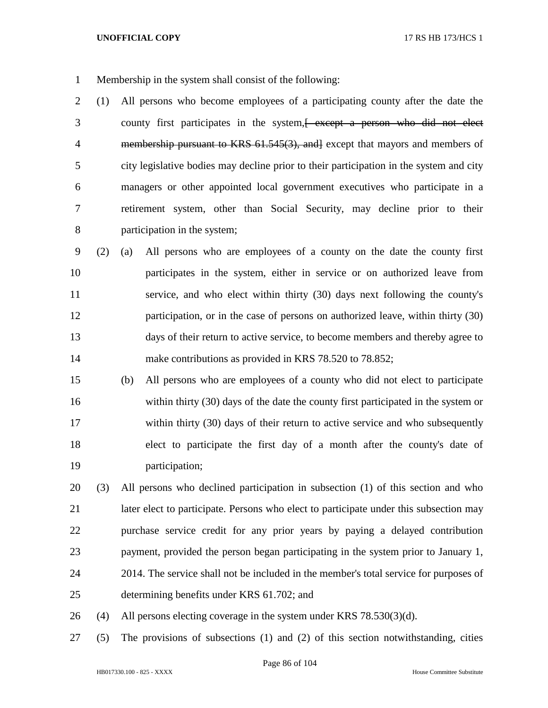- Membership in the system shall consist of the following:
- (1) All persons who become employees of a participating county after the date the 3 county first participates in the system, except a person who did not elect 4 membership pursuant to KRS 61.545(3), and except that mayors and members of city legislative bodies may decline prior to their participation in the system and city managers or other appointed local government executives who participate in a retirement system, other than Social Security, may decline prior to their participation in the system;
- (2) (a) All persons who are employees of a county on the date the county first participates in the system, either in service or on authorized leave from service, and who elect within thirty (30) days next following the county's participation, or in the case of persons on authorized leave, within thirty (30) days of their return to active service, to become members and thereby agree to 14 make contributions as provided in KRS 78.520 to 78.852;
- (b) All persons who are employees of a county who did not elect to participate within thirty (30) days of the date the county first participated in the system or within thirty (30) days of their return to active service and who subsequently elect to participate the first day of a month after the county's date of participation;
- (3) All persons who declined participation in subsection (1) of this section and who later elect to participate. Persons who elect to participate under this subsection may purchase service credit for any prior years by paying a delayed contribution payment, provided the person began participating in the system prior to January 1, 2014. The service shall not be included in the member's total service for purposes of determining benefits under KRS 61.702; and
- 26 (4) All persons electing coverage in the system under KRS  $78.530(3)(d)$ .
- (5) The provisions of subsections (1) and (2) of this section notwithstanding, cities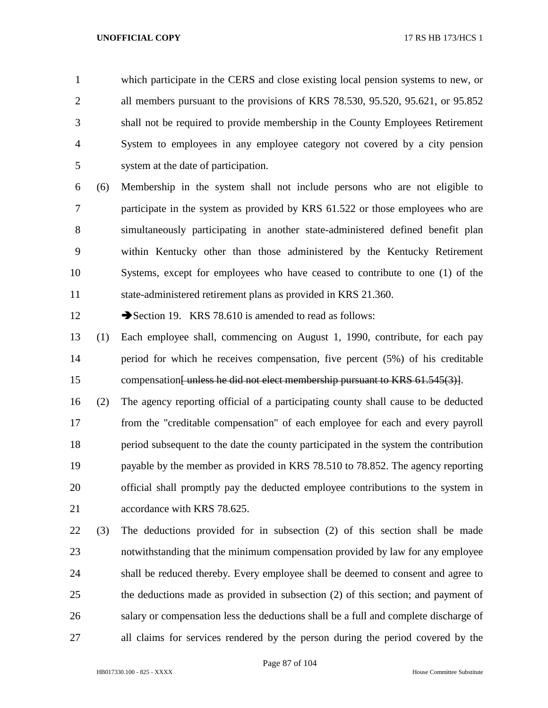which participate in the CERS and close existing local pension systems to new, or all members pursuant to the provisions of KRS 78.530, 95.520, 95.621, or 95.852 shall not be required to provide membership in the County Employees Retirement System to employees in any employee category not covered by a city pension system at the date of participation.

 (6) Membership in the system shall not include persons who are not eligible to participate in the system as provided by KRS 61.522 or those employees who are simultaneously participating in another state-administered defined benefit plan within Kentucky other than those administered by the Kentucky Retirement Systems, except for employees who have ceased to contribute to one (1) of the state-administered retirement plans as provided in KRS 21.360.

12 Section 19. KRS 78.610 is amended to read as follows:

- (1) Each employee shall, commencing on August 1, 1990, contribute, for each pay period for which he receives compensation, five percent (5%) of his creditable 15 compensation<del>[unless he did not elect membership pursuant to KRS 61.545(3)]</del>.
- (2) The agency reporting official of a participating county shall cause to be deducted from the "creditable compensation" of each employee for each and every payroll period subsequent to the date the county participated in the system the contribution payable by the member as provided in KRS 78.510 to 78.852. The agency reporting official shall promptly pay the deducted employee contributions to the system in 21 accordance with KRS 78.625.
- (3) The deductions provided for in subsection (2) of this section shall be made notwithstanding that the minimum compensation provided by law for any employee shall be reduced thereby. Every employee shall be deemed to consent and agree to the deductions made as provided in subsection (2) of this section; and payment of salary or compensation less the deductions shall be a full and complete discharge of all claims for services rendered by the person during the period covered by the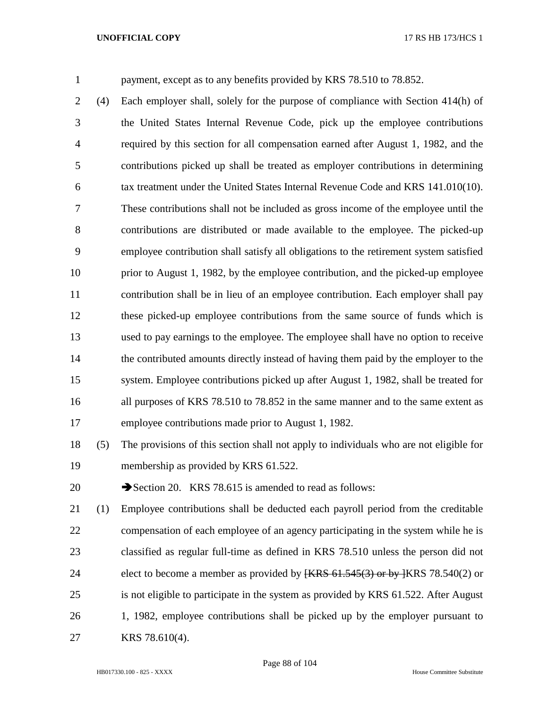payment, except as to any benefits provided by KRS 78.510 to 78.852.

 (4) Each employer shall, solely for the purpose of compliance with Section 414(h) of the United States Internal Revenue Code, pick up the employee contributions required by this section for all compensation earned after August 1, 1982, and the contributions picked up shall be treated as employer contributions in determining tax treatment under the United States Internal Revenue Code and KRS 141.010(10). These contributions shall not be included as gross income of the employee until the contributions are distributed or made available to the employee. The picked-up employee contribution shall satisfy all obligations to the retirement system satisfied prior to August 1, 1982, by the employee contribution, and the picked-up employee contribution shall be in lieu of an employee contribution. Each employer shall pay these picked-up employee contributions from the same source of funds which is used to pay earnings to the employee. The employee shall have no option to receive the contributed amounts directly instead of having them paid by the employer to the system. Employee contributions picked up after August 1, 1982, shall be treated for all purposes of KRS 78.510 to 78.852 in the same manner and to the same extent as employee contributions made prior to August 1, 1982.

- (5) The provisions of this section shall not apply to individuals who are not eligible for membership as provided by KRS 61.522.
- 20 Section 20. KRS 78.615 is amended to read as follows:
- (1) Employee contributions shall be deducted each payroll period from the creditable compensation of each employee of an agency participating in the system while he is classified as regular full-time as defined in KRS 78.510 unless the person did not 24 elect to become a member as provided by  $\{\text{KRS } 61.545(3) \text{ or by } \{\text{KRS } 78.540(2) \text{ or } \text{Cov } 20\}$  is not eligible to participate in the system as provided by KRS 61.522. After August 1, 1982, employee contributions shall be picked up by the employer pursuant to KRS 78.610(4).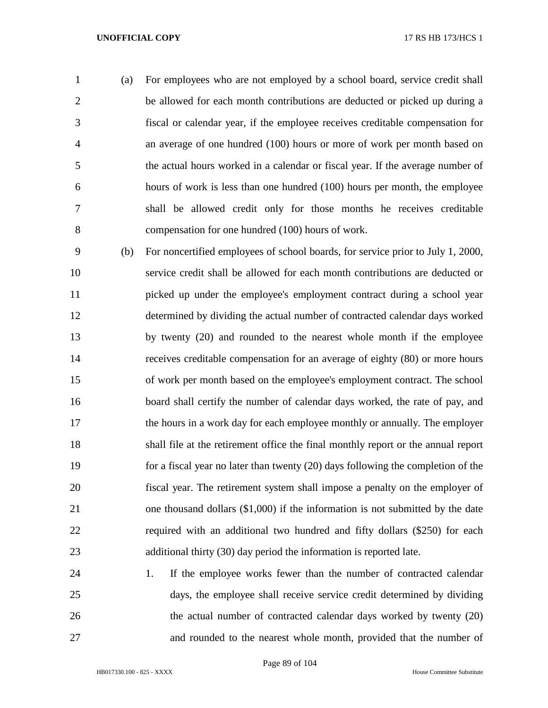- (a) For employees who are not employed by a school board, service credit shall be allowed for each month contributions are deducted or picked up during a fiscal or calendar year, if the employee receives creditable compensation for an average of one hundred (100) hours or more of work per month based on the actual hours worked in a calendar or fiscal year. If the average number of hours of work is less than one hundred (100) hours per month, the employee shall be allowed credit only for those months he receives creditable compensation for one hundred (100) hours of work.
- (b) For noncertified employees of school boards, for service prior to July 1, 2000, service credit shall be allowed for each month contributions are deducted or 11 picked up under the employee's employment contract during a school year determined by dividing the actual number of contracted calendar days worked by twenty (20) and rounded to the nearest whole month if the employee receives creditable compensation for an average of eighty (80) or more hours of work per month based on the employee's employment contract. The school board shall certify the number of calendar days worked, the rate of pay, and the hours in a work day for each employee monthly or annually. The employer shall file at the retirement office the final monthly report or the annual report for a fiscal year no later than twenty (20) days following the completion of the fiscal year. The retirement system shall impose a penalty on the employer of one thousand dollars (\$1,000) if the information is not submitted by the date required with an additional two hundred and fifty dollars (\$250) for each additional thirty (30) day period the information is reported late.
- 1. If the employee works fewer than the number of contracted calendar days, the employee shall receive service credit determined by dividing 26 the actual number of contracted calendar days worked by twenty (20) and rounded to the nearest whole month, provided that the number of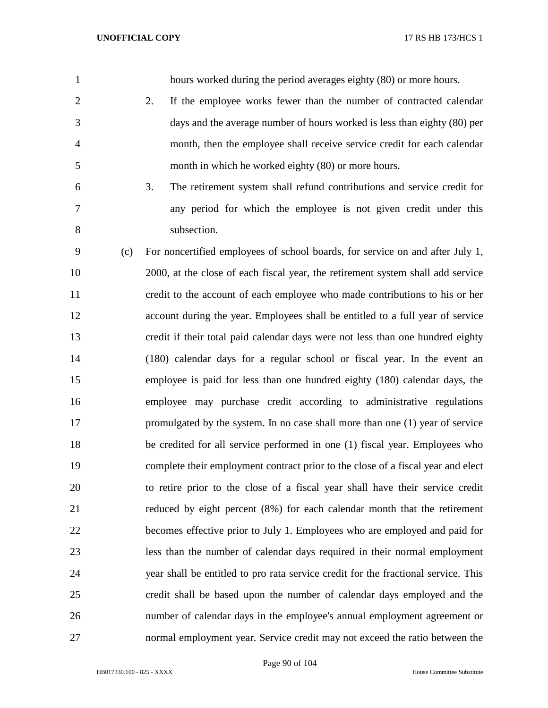| $\mathbf{1}$   | hours worked during the period averages eighty (80) or more hours.                 |
|----------------|------------------------------------------------------------------------------------|
| $\overline{2}$ | 2.<br>If the employee works fewer than the number of contracted calendar           |
| 3              | days and the average number of hours worked is less than eighty (80) per           |
| $\overline{4}$ | month, then the employee shall receive service credit for each calendar            |
| 5              | month in which he worked eighty (80) or more hours.                                |
| 6              | 3.<br>The retirement system shall refund contributions and service credit for      |
| 7              | any period for which the employee is not given credit under this                   |
| 8              | subsection.                                                                        |
| 9<br>(c)       | For noncertified employees of school boards, for service on and after July 1,      |
| 10             | 2000, at the close of each fiscal year, the retirement system shall add service    |
| 11             | credit to the account of each employee who made contributions to his or her        |
| 12             | account during the year. Employees shall be entitled to a full year of service     |
| 13             | credit if their total paid calendar days were not less than one hundred eighty     |
| 14             | (180) calendar days for a regular school or fiscal year. In the event an           |
| 15             | employee is paid for less than one hundred eighty (180) calendar days, the         |
| 16             | employee may purchase credit according to administrative regulations               |
| 17             | promulgated by the system. In no case shall more than one (1) year of service      |
| 18             | be credited for all service performed in one (1) fiscal year. Employees who        |
| 19             | complete their employment contract prior to the close of a fiscal year and elect   |
| 20             | to retire prior to the close of a fiscal year shall have their service credit      |
| 21             | reduced by eight percent (8%) for each calendar month that the retirement          |
| 22             | becomes effective prior to July 1. Employees who are employed and paid for         |
| 23             | less than the number of calendar days required in their normal employment          |
| 24             | year shall be entitled to pro rata service credit for the fractional service. This |
| 25             | credit shall be based upon the number of calendar days employed and the            |
| 26             | number of calendar days in the employee's annual employment agreement or           |
| 27             | normal employment year. Service credit may not exceed the ratio between the        |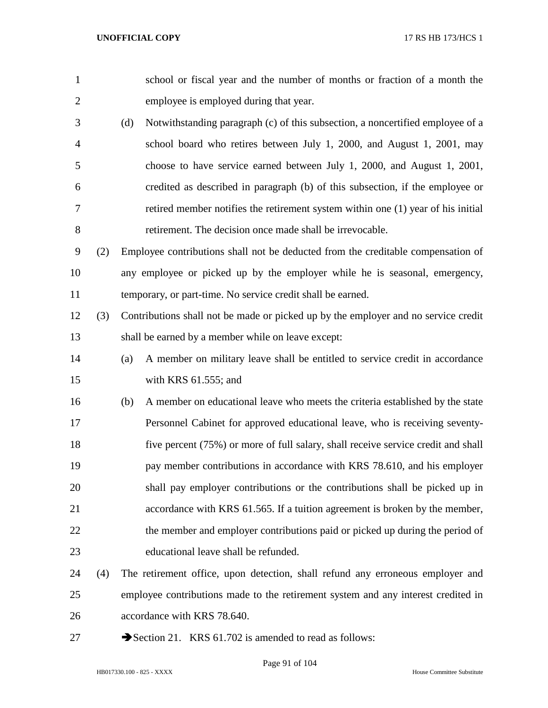| $\mathbf{1}$   |     |     | school or fiscal year and the number of months or fraction of a month the          |
|----------------|-----|-----|------------------------------------------------------------------------------------|
| $\overline{2}$ |     |     | employee is employed during that year.                                             |
| 3              |     | (d) | Notwithstanding paragraph (c) of this subsection, a noncertified employee of a     |
| $\overline{4}$ |     |     | school board who retires between July 1, 2000, and August 1, 2001, may             |
| 5              |     |     | choose to have service earned between July 1, 2000, and August 1, 2001,            |
| 6              |     |     | credited as described in paragraph (b) of this subsection, if the employee or      |
| 7              |     |     | retired member notifies the retirement system within one (1) year of his initial   |
| 8              |     |     | retirement. The decision once made shall be irrevocable.                           |
| 9              | (2) |     | Employee contributions shall not be deducted from the creditable compensation of   |
| 10             |     |     | any employee or picked up by the employer while he is seasonal, emergency,         |
| 11             |     |     | temporary, or part-time. No service credit shall be earned.                        |
| 12             | (3) |     | Contributions shall not be made or picked up by the employer and no service credit |
| 13             |     |     | shall be earned by a member while on leave except:                                 |
| 14             |     | (a) | A member on military leave shall be entitled to service credit in accordance       |
| 15             |     |     | with KRS $61.555$ ; and                                                            |
| 16             |     | (b) | A member on educational leave who meets the criteria established by the state      |
| 17             |     |     | Personnel Cabinet for approved educational leave, who is receiving seventy-        |
| 18             |     |     | five percent (75%) or more of full salary, shall receive service credit and shall  |
| 19             |     |     | pay member contributions in accordance with KRS 78.610, and his employer           |
| 20             |     |     | shall pay employer contributions or the contributions shall be picked up in        |
| 21             |     |     | accordance with KRS 61.565. If a tuition agreement is broken by the member,        |
| 22             |     |     | the member and employer contributions paid or picked up during the period of       |
| 23             |     |     | educational leave shall be refunded.                                               |
| 24             | (4) |     | The retirement office, upon detection, shall refund any erroneous employer and     |
| 25             |     |     | employee contributions made to the retirement system and any interest credited in  |
| 26             |     |     | accordance with KRS 78.640.                                                        |
| 27             |     |     | Section 21. KRS 61.702 is amended to read as follows:                              |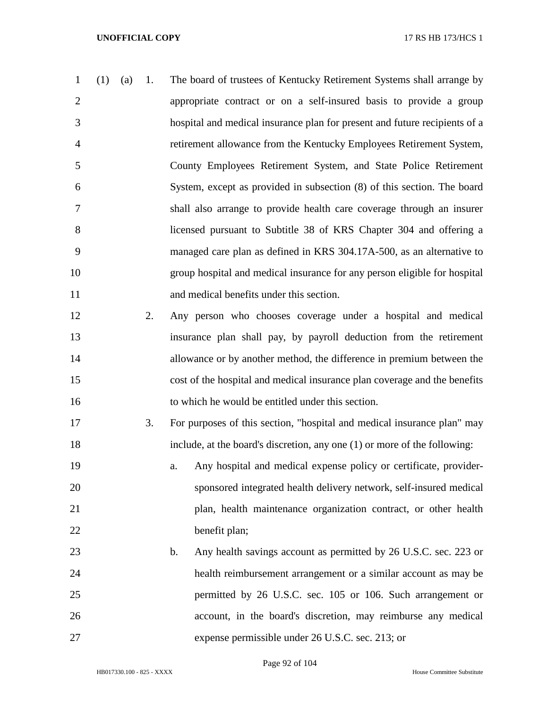- (1) (a) 1. The board of trustees of Kentucky Retirement Systems shall arrange by appropriate contract or on a self-insured basis to provide a group hospital and medical insurance plan for present and future recipients of a retirement allowance from the Kentucky Employees Retirement System, County Employees Retirement System, and State Police Retirement System, except as provided in subsection (8) of this section. The board shall also arrange to provide health care coverage through an insurer licensed pursuant to Subtitle 38 of KRS Chapter 304 and offering a managed care plan as defined in KRS 304.17A-500, as an alternative to group hospital and medical insurance for any person eligible for hospital and medical benefits under this section. 2. Any person who chooses coverage under a hospital and medical
- insurance plan shall pay, by payroll deduction from the retirement allowance or by another method, the difference in premium between the cost of the hospital and medical insurance plan coverage and the benefits to which he would be entitled under this section.
- 3. For purposes of this section, "hospital and medical insurance plan" may include, at the board's discretion, any one (1) or more of the following:
- a. Any hospital and medical expense policy or certificate, provider- sponsored integrated health delivery network, self-insured medical plan, health maintenance organization contract, or other health benefit plan;
- 23 b. Any health savings account as permitted by 26 U.S.C. sec. 223 or health reimbursement arrangement or a similar account as may be permitted by 26 U.S.C. sec. 105 or 106. Such arrangement or account, in the board's discretion, may reimburse any medical expense permissible under 26 U.S.C. sec. 213; or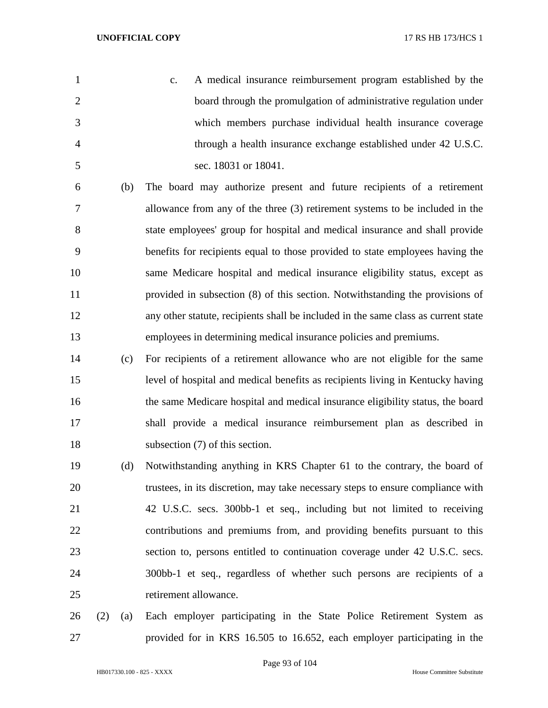| 1              |     | A medical insurance reimbursement program established by the<br>$\mathbf{c}$ .     |
|----------------|-----|------------------------------------------------------------------------------------|
| $\overline{2}$ |     | board through the promulgation of administrative regulation under                  |
| 3              |     | which members purchase individual health insurance coverage                        |
| $\overline{4}$ |     | through a health insurance exchange established under 42 U.S.C.                    |
| 5              |     | sec. 18031 or 18041.                                                               |
| 6              | (b) | The board may authorize present and future recipients of a retirement              |
| 7              |     | allowance from any of the three (3) retirement systems to be included in the       |
| 8              |     | state employees' group for hospital and medical insurance and shall provide        |
| 9              |     | benefits for recipients equal to those provided to state employees having the      |
| 10             |     | same Medicare hospital and medical insurance eligibility status, except as         |
| 11             |     | provided in subsection (8) of this section. Notwithstanding the provisions of      |
| 12             |     | any other statute, recipients shall be included in the same class as current state |
| 13             |     | employees in determining medical insurance policies and premiums.                  |
| 14             | (c) | For recipients of a retirement allowance who are not eligible for the same         |
| 15             |     | level of hospital and medical benefits as recipients living in Kentucky having     |
| 16             |     | the same Medicare hospital and medical insurance eligibility status, the board     |
| 17             |     | shall provide a medical insurance reimbursement plan as described in               |
| 18             |     | subsection (7) of this section.                                                    |
| 19             | (d) | Notwithstanding anything in KRS Chapter 61 to the contrary, the board of           |
| 20             |     | trustees, in its discretion, may take necessary steps to ensure compliance with    |
| 21             |     | 42 U.S.C. secs. 300bb-1 et seq., including but not limited to receiving            |
| 22             |     | contributions and premiums from, and providing benefits pursuant to this           |
| 23             |     | section to, persons entitled to continuation coverage under 42 U.S.C. secs.        |
|                |     |                                                                                    |

retirement allowance.

 (2) (a) Each employer participating in the State Police Retirement System as provided for in KRS 16.505 to 16.652, each employer participating in the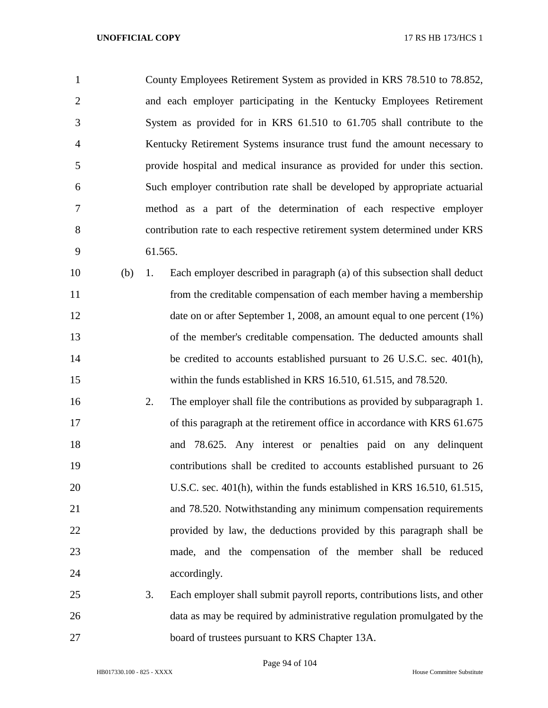County Employees Retirement System as provided in KRS 78.510 to 78.852, and each employer participating in the Kentucky Employees Retirement System as provided for in KRS 61.510 to 61.705 shall contribute to the Kentucky Retirement Systems insurance trust fund the amount necessary to provide hospital and medical insurance as provided for under this section. Such employer contribution rate shall be developed by appropriate actuarial method as a part of the determination of each respective employer contribution rate to each respective retirement system determined under KRS 61.565.

 (b) 1. Each employer described in paragraph (a) of this subsection shall deduct from the creditable compensation of each member having a membership 12 date on or after September 1, 2008, an amount equal to one percent (1%) of the member's creditable compensation. The deducted amounts shall 14 be credited to accounts established pursuant to 26 U.S.C. sec. 401(h), within the funds established in KRS 16.510, 61.515, and 78.520.

 2. The employer shall file the contributions as provided by subparagraph 1. 17 of this paragraph at the retirement office in accordance with KRS 61.675 and 78.625. Any interest or penalties paid on any delinquent contributions shall be credited to accounts established pursuant to 26 U.S.C. sec. 401(h), within the funds established in KRS 16.510, 61.515, and 78.520. Notwithstanding any minimum compensation requirements provided by law, the deductions provided by this paragraph shall be made, and the compensation of the member shall be reduced 24 accordingly.

 3. Each employer shall submit payroll reports, contributions lists, and other data as may be required by administrative regulation promulgated by the board of trustees pursuant to KRS Chapter 13A.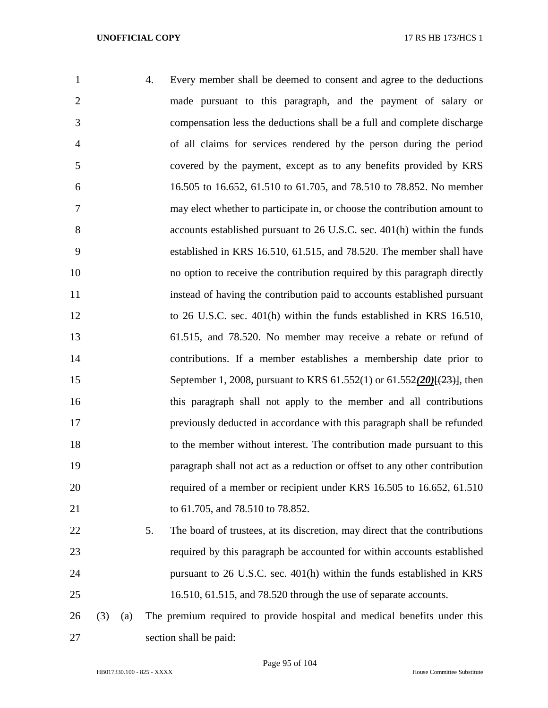| $\mathbf{1}$   | 4. | Every member shall be deemed to consent and agree to the deductions                 |
|----------------|----|-------------------------------------------------------------------------------------|
| $\overline{2}$ |    | made pursuant to this paragraph, and the payment of salary or                       |
| 3              |    | compensation less the deductions shall be a full and complete discharge             |
| $\overline{4}$ |    | of all claims for services rendered by the person during the period                 |
| 5              |    | covered by the payment, except as to any benefits provided by KRS                   |
| 6              |    | 16.505 to 16.652, 61.510 to 61.705, and 78.510 to 78.852. No member                 |
| 7              |    | may elect whether to participate in, or choose the contribution amount to           |
| 8              |    | accounts established pursuant to 26 U.S.C. sec. 401(h) within the funds             |
| 9              |    | established in KRS 16.510, 61.515, and 78.520. The member shall have                |
| 10             |    | no option to receive the contribution required by this paragraph directly           |
| 11             |    | instead of having the contribution paid to accounts established pursuant            |
| 12             |    | to 26 U.S.C. sec. 401(h) within the funds established in KRS 16.510,                |
| 13             |    | 61.515, and 78.520. No member may receive a rebate or refund of                     |
| 14             |    | contributions. If a member establishes a membership date prior to                   |
| 15             |    | September 1, 2008, pursuant to KRS 61.552(1) or 61.552(20) <del>[(23)]</del> , then |
| 16             |    | this paragraph shall not apply to the member and all contributions                  |
| 17             |    | previously deducted in accordance with this paragraph shall be refunded             |
| 18             |    | to the member without interest. The contribution made pursuant to this              |
| 19             |    | paragraph shall not act as a reduction or offset to any other contribution          |
| 20             |    | required of a member or recipient under KRS 16.505 to 16.652, 61.510                |
| 21             |    | to 61.705, and 78.510 to 78.852.                                                    |
| 22             | 5. | The board of trustees, at its discretion, may direct that the contributions         |
| 23             |    | required by this paragraph be accounted for within accounts established             |
| 24             |    | pursuant to 26 U.S.C. sec. 401(h) within the funds established in KRS               |
| 25             |    | 16.510, 61.515, and 78.520 through the use of separate accounts.                    |

 (3) (a) The premium required to provide hospital and medical benefits under this section shall be paid: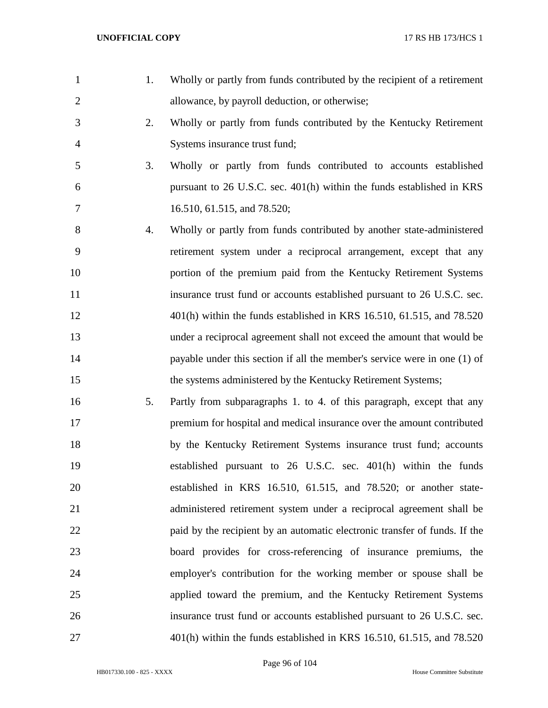| $\mathbf{1}$   | 1. | Wholly or partly from funds contributed by the recipient of a retirement   |
|----------------|----|----------------------------------------------------------------------------|
| $\overline{2}$ |    | allowance, by payroll deduction, or otherwise;                             |
| 3              | 2. | Wholly or partly from funds contributed by the Kentucky Retirement         |
| $\overline{4}$ |    | Systems insurance trust fund;                                              |
| 5              | 3. | Wholly or partly from funds contributed to accounts established            |
| 6              |    | pursuant to 26 U.S.C. sec. 401(h) within the funds established in KRS      |
| 7              |    | 16.510, 61.515, and 78.520;                                                |
| 8              | 4. | Wholly or partly from funds contributed by another state-administered      |
| 9              |    | retirement system under a reciprocal arrangement, except that any          |
| 10             |    | portion of the premium paid from the Kentucky Retirement Systems           |
| 11             |    | insurance trust fund or accounts established pursuant to 26 U.S.C. sec.    |
| 12             |    | $401(h)$ within the funds established in KRS 16.510, 61.515, and 78.520    |
| 13             |    | under a reciprocal agreement shall not exceed the amount that would be     |
| 14             |    | payable under this section if all the member's service were in one (1) of  |
| 15             |    | the systems administered by the Kentucky Retirement Systems;               |
| 16             | 5. | Partly from subparagraphs 1. to 4. of this paragraph, except that any      |
| 17             |    | premium for hospital and medical insurance over the amount contributed     |
| 18             |    | by the Kentucky Retirement Systems insurance trust fund; accounts          |
| 19             |    | established pursuant to 26 U.S.C. sec. 401(h) within the funds             |
| 20             |    | established in KRS 16.510, 61.515, and 78.520; or another state-           |
| 21             |    | administered retirement system under a reciprocal agreement shall be       |
| 22             |    | paid by the recipient by an automatic electronic transfer of funds. If the |
| 23             |    | board provides for cross-referencing of insurance premiums, the            |
| 24             |    | employer's contribution for the working member or spouse shall be          |
| 25             |    | applied toward the premium, and the Kentucky Retirement Systems            |
| 26             |    | insurance trust fund or accounts established pursuant to 26 U.S.C. sec.    |
| 27             |    | 401(h) within the funds established in KRS 16.510, 61.515, and 78.520      |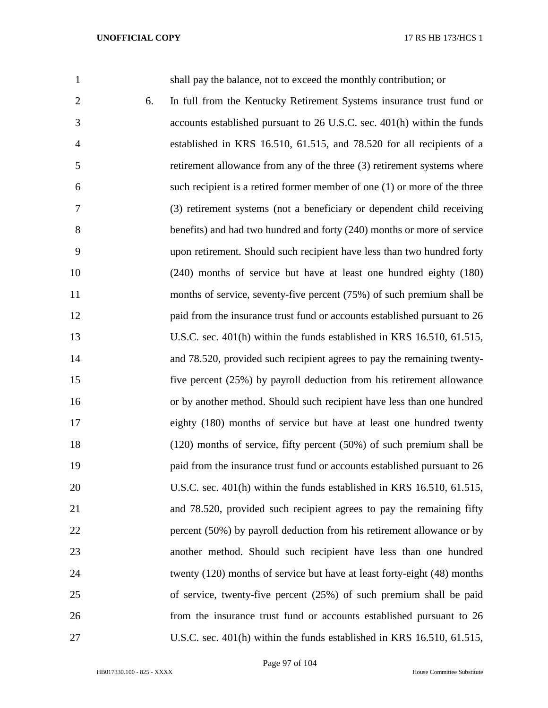| $\mathbf{1}$   |    | shall pay the balance, not to exceed the monthly contribution; or         |
|----------------|----|---------------------------------------------------------------------------|
| $\overline{2}$ | 6. | In full from the Kentucky Retirement Systems insurance trust fund or      |
| 3              |    | accounts established pursuant to 26 U.S.C. sec. 401(h) within the funds   |
| 4              |    | established in KRS 16.510, 61.515, and 78.520 for all recipients of a     |
| 5              |    | retirement allowance from any of the three (3) retirement systems where   |
| 6              |    | such recipient is a retired former member of one (1) or more of the three |
| 7              |    | (3) retirement systems (not a beneficiary or dependent child receiving    |
| 8              |    | benefits) and had two hundred and forty (240) months or more of service   |
| 9              |    | upon retirement. Should such recipient have less than two hundred forty   |
| 10             |    | (240) months of service but have at least one hundred eighty (180)        |
| 11             |    | months of service, seventy-five percent (75%) of such premium shall be    |
| 12             |    | paid from the insurance trust fund or accounts established pursuant to 26 |
| 13             |    | U.S.C. sec. 401(h) within the funds established in KRS 16.510, 61.515,    |
| 14             |    | and 78.520, provided such recipient agrees to pay the remaining twenty-   |
| 15             |    | five percent (25%) by payroll deduction from his retirement allowance     |
| 16             |    | or by another method. Should such recipient have less than one hundred    |
| 17             |    | eighty (180) months of service but have at least one hundred twenty       |
| 18             |    | $(120)$ months of service, fifty percent $(50%)$ of such premium shall be |
| 19             |    | paid from the insurance trust fund or accounts established pursuant to 26 |
| 20             |    | U.S.C. sec. 401(h) within the funds established in KRS 16.510, 61.515,    |
| 21             |    | and 78.520, provided such recipient agrees to pay the remaining fifty     |
| 22             |    | percent (50%) by payroll deduction from his retirement allowance or by    |
| 23             |    | another method. Should such recipient have less than one hundred          |
| 24             |    | twenty (120) months of service but have at least forty-eight (48) months  |
| 25             |    | of service, twenty-five percent $(25%)$ of such premium shall be paid     |
| 26             |    | from the insurance trust fund or accounts established pursuant to 26      |
| 27             |    | U.S.C. sec. 401(h) within the funds established in KRS 16.510, 61.515,    |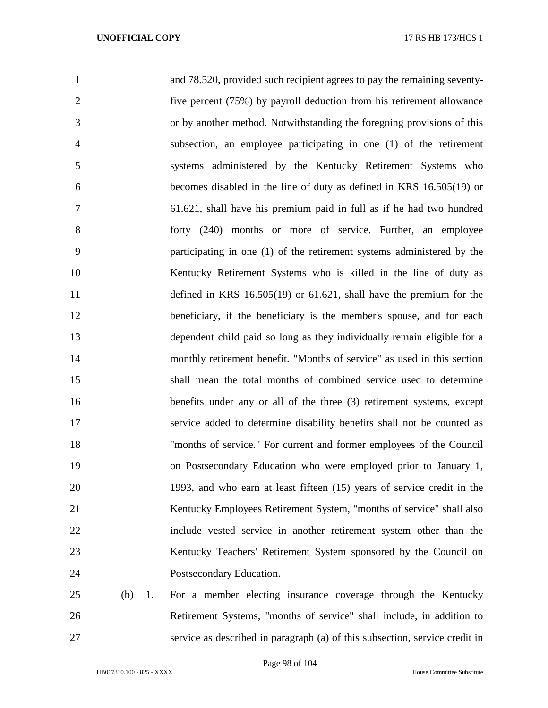| $\mathbf{1}$    | and 78.520, provided such recipient agrees to pay the remaining seventy- |
|-----------------|--------------------------------------------------------------------------|
| $\overline{2}$  | five percent (75%) by payroll deduction from his retirement allowance    |
| 3               | or by another method. Notwithstanding the foregoing provisions of this   |
| $\overline{4}$  | subsection, an employee participating in one (1) of the retirement       |
| 5               | systems administered by the Kentucky Retirement Systems who              |
| 6               | becomes disabled in the line of duty as defined in KRS 16.505(19) or     |
| 7               | 61.621, shall have his premium paid in full as if he had two hundred     |
| 8               | forty (240) months or more of service. Further, an employee              |
| 9               | participating in one (1) of the retirement systems administered by the   |
| 10              | Kentucky Retirement Systems who is killed in the line of duty as         |
| 11              | defined in KRS $16.505(19)$ or $61.621$ , shall have the premium for the |
| 12              | beneficiary, if the beneficiary is the member's spouse, and for each     |
| 13              | dependent child paid so long as they individually remain eligible for a  |
| 14              | monthly retirement benefit. "Months of service" as used in this section  |
| 15              | shall mean the total months of combined service used to determine        |
| 16              | benefits under any or all of the three (3) retirement systems, except    |
| 17              | service added to determine disability benefits shall not be counted as   |
| 18              | "months of service." For current and former employees of the Council     |
| 19              | on Postsecondary Education who were employed prior to January 1,         |
| 20              | 1993, and who earn at least fifteen (15) years of service credit in the  |
| 21              | Kentucky Employees Retirement System, "months of service" shall also     |
| 22              | include vested service in another retirement system other than the       |
| 23              | Kentucky Teachers' Retirement System sponsored by the Council on         |
| 24              | Postsecondary Education.                                                 |
| 25<br>(b)<br>1. | For a member electing insurance coverage through the Kentucky            |
| 26              | Retirement Systems, "months of service" shall include, in addition to    |

service as described in paragraph (a) of this subsection, service credit in

HB017330.100 - 825 - XXXX House Committee Substitute

Page 98 of 104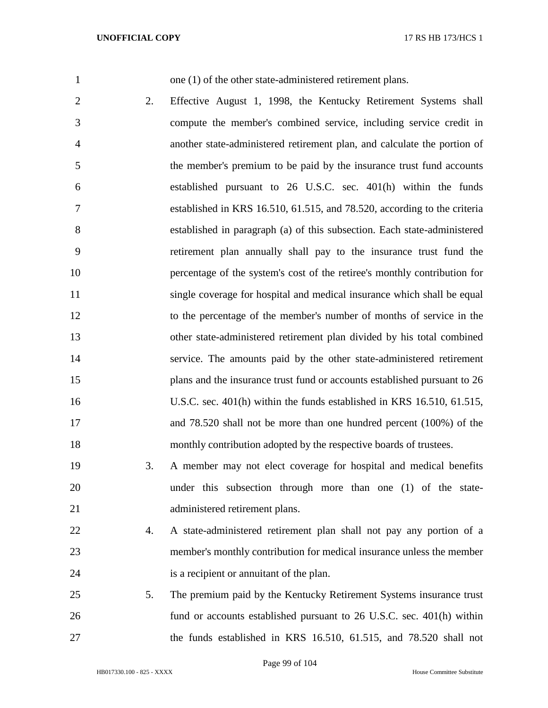1 one (1) of the other state-administered retirement plans.

- 2. Effective August 1, 1998, the Kentucky Retirement Systems shall compute the member's combined service, including service credit in another state-administered retirement plan, and calculate the portion of the member's premium to be paid by the insurance trust fund accounts established pursuant to 26 U.S.C. sec. 401(h) within the funds established in KRS 16.510, 61.515, and 78.520, according to the criteria established in paragraph (a) of this subsection. Each state-administered retirement plan annually shall pay to the insurance trust fund the percentage of the system's cost of the retiree's monthly contribution for 11 single coverage for hospital and medical insurance which shall be equal to the percentage of the member's number of months of service in the other state-administered retirement plan divided by his total combined service. The amounts paid by the other state-administered retirement plans and the insurance trust fund or accounts established pursuant to 26 U.S.C. sec. 401(h) within the funds established in KRS 16.510, 61.515, and 78.520 shall not be more than one hundred percent (100%) of the monthly contribution adopted by the respective boards of trustees.
- 3. A member may not elect coverage for hospital and medical benefits under this subsection through more than one (1) of the state-administered retirement plans.
- 4. A state-administered retirement plan shall not pay any portion of a member's monthly contribution for medical insurance unless the member is a recipient or annuitant of the plan.
- 5. The premium paid by the Kentucky Retirement Systems insurance trust fund or accounts established pursuant to 26 U.S.C. sec. 401(h) within the funds established in KRS 16.510, 61.515, and 78.520 shall not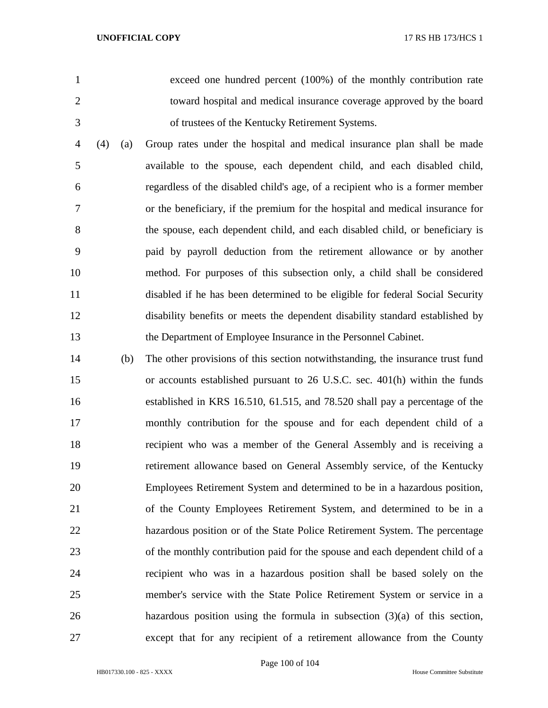exceed one hundred percent (100%) of the monthly contribution rate toward hospital and medical insurance coverage approved by the board of trustees of the Kentucky Retirement Systems.

 (4) (a) Group rates under the hospital and medical insurance plan shall be made available to the spouse, each dependent child, and each disabled child, regardless of the disabled child's age, of a recipient who is a former member or the beneficiary, if the premium for the hospital and medical insurance for the spouse, each dependent child, and each disabled child, or beneficiary is paid by payroll deduction from the retirement allowance or by another method. For purposes of this subsection only, a child shall be considered disabled if he has been determined to be eligible for federal Social Security disability benefits or meets the dependent disability standard established by the Department of Employee Insurance in the Personnel Cabinet.

 (b) The other provisions of this section notwithstanding, the insurance trust fund or accounts established pursuant to 26 U.S.C. sec. 401(h) within the funds established in KRS 16.510, 61.515, and 78.520 shall pay a percentage of the monthly contribution for the spouse and for each dependent child of a recipient who was a member of the General Assembly and is receiving a retirement allowance based on General Assembly service, of the Kentucky Employees Retirement System and determined to be in a hazardous position, of the County Employees Retirement System, and determined to be in a hazardous position or of the State Police Retirement System. The percentage of the monthly contribution paid for the spouse and each dependent child of a recipient who was in a hazardous position shall be based solely on the member's service with the State Police Retirement System or service in a hazardous position using the formula in subsection (3)(a) of this section, except that for any recipient of a retirement allowance from the County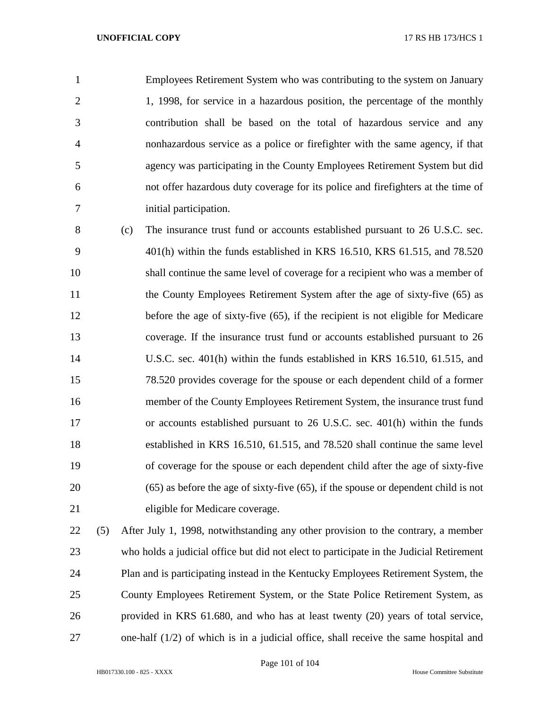Employees Retirement System who was contributing to the system on January 1, 1998, for service in a hazardous position, the percentage of the monthly contribution shall be based on the total of hazardous service and any nonhazardous service as a police or firefighter with the same agency, if that agency was participating in the County Employees Retirement System but did not offer hazardous duty coverage for its police and firefighters at the time of initial participation.

 (c) The insurance trust fund or accounts established pursuant to 26 U.S.C. sec. 401(h) within the funds established in KRS 16.510, KRS 61.515, and 78.520 shall continue the same level of coverage for a recipient who was a member of 11 the County Employees Retirement System after the age of sixty-five (65) as before the age of sixty-five (65), if the recipient is not eligible for Medicare coverage. If the insurance trust fund or accounts established pursuant to 26 U.S.C. sec. 401(h) within the funds established in KRS 16.510, 61.515, and 78.520 provides coverage for the spouse or each dependent child of a former member of the County Employees Retirement System, the insurance trust fund or accounts established pursuant to 26 U.S.C. sec. 401(h) within the funds established in KRS 16.510, 61.515, and 78.520 shall continue the same level of coverage for the spouse or each dependent child after the age of sixty-five (65) as before the age of sixty-five (65), if the spouse or dependent child is not eligible for Medicare coverage.

 (5) After July 1, 1998, notwithstanding any other provision to the contrary, a member who holds a judicial office but did not elect to participate in the Judicial Retirement Plan and is participating instead in the Kentucky Employees Retirement System, the County Employees Retirement System, or the State Police Retirement System, as provided in KRS 61.680, and who has at least twenty (20) years of total service, one-half (1/2) of which is in a judicial office, shall receive the same hospital and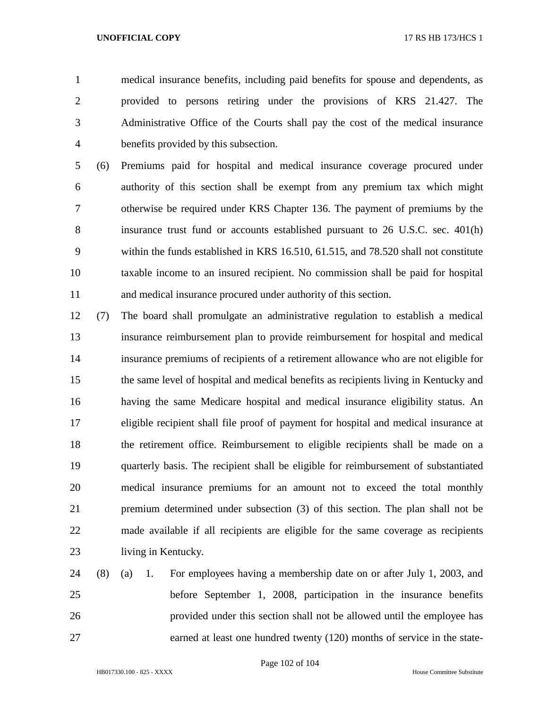medical insurance benefits, including paid benefits for spouse and dependents, as provided to persons retiring under the provisions of KRS 21.427. The Administrative Office of the Courts shall pay the cost of the medical insurance benefits provided by this subsection.

 (6) Premiums paid for hospital and medical insurance coverage procured under authority of this section shall be exempt from any premium tax which might otherwise be required under KRS Chapter 136. The payment of premiums by the insurance trust fund or accounts established pursuant to 26 U.S.C. sec. 401(h) within the funds established in KRS 16.510, 61.515, and 78.520 shall not constitute taxable income to an insured recipient. No commission shall be paid for hospital and medical insurance procured under authority of this section.

- (7) The board shall promulgate an administrative regulation to establish a medical insurance reimbursement plan to provide reimbursement for hospital and medical insurance premiums of recipients of a retirement allowance who are not eligible for the same level of hospital and medical benefits as recipients living in Kentucky and having the same Medicare hospital and medical insurance eligibility status. An eligible recipient shall file proof of payment for hospital and medical insurance at the retirement office. Reimbursement to eligible recipients shall be made on a quarterly basis. The recipient shall be eligible for reimbursement of substantiated medical insurance premiums for an amount not to exceed the total monthly premium determined under subsection (3) of this section. The plan shall not be made available if all recipients are eligible for the same coverage as recipients living in Kentucky.
- (8) (a) 1. For employees having a membership date on or after July 1, 2003, and before September 1, 2008, participation in the insurance benefits provided under this section shall not be allowed until the employee has earned at least one hundred twenty (120) months of service in the state-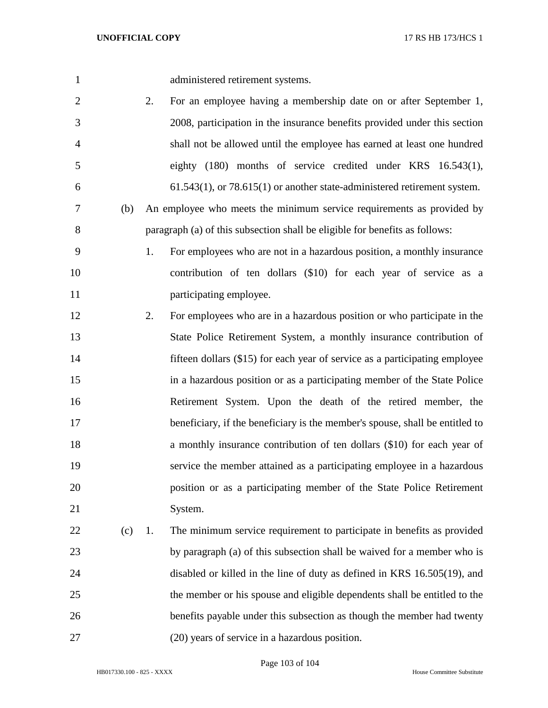administered retirement systems.

- 2. For an employee having a membership date on or after September 1, 2008, participation in the insurance benefits provided under this section shall not be allowed until the employee has earned at least one hundred eighty (180) months of service credited under KRS 16.543(1), 61.543(1), or 78.615(1) or another state-administered retirement system.
- (b) An employee who meets the minimum service requirements as provided by paragraph (a) of this subsection shall be eligible for benefits as follows:
- 1. For employees who are not in a hazardous position, a monthly insurance contribution of ten dollars (\$10) for each year of service as a **participating employee.**
- 2. For employees who are in a hazardous position or who participate in the State Police Retirement System, a monthly insurance contribution of fifteen dollars (\$15) for each year of service as a participating employee in a hazardous position or as a participating member of the State Police Retirement System. Upon the death of the retired member, the 17 beneficiary, if the beneficiary is the member's spouse, shall be entitled to **a** monthly insurance contribution of ten dollars (\$10) for each year of service the member attained as a participating employee in a hazardous position or as a participating member of the State Police Retirement System.
- (c) 1. The minimum service requirement to participate in benefits as provided by paragraph (a) of this subsection shall be waived for a member who is disabled or killed in the line of duty as defined in KRS 16.505(19), and the member or his spouse and eligible dependents shall be entitled to the benefits payable under this subsection as though the member had twenty (20) years of service in a hazardous position.